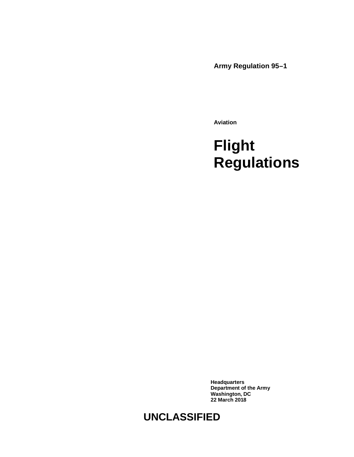**Army Regulation 95–1**

**Aviation**

# **Flight Regulations**

**Headquarters Department of the Army Washington, DC 22 March 2018**

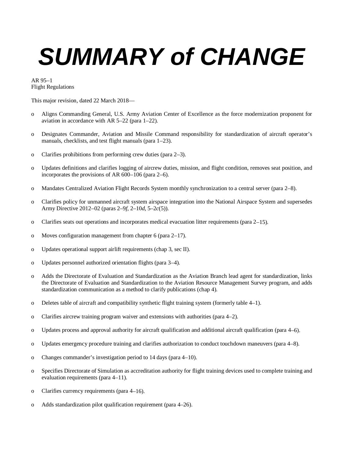# *SUMMARY of CHANGE*

AR 95–1 Flight Regulations

This major revision, dated 22 March 2018—

- o Aligns Commanding General, U.S. Army Aviation Center of Excellence as the force modernization proponent for aviation in accordance with AR 5–22 [\(para 1–22\)](#page-11-0).
- o Designates Commander, Aviation and Missile Command responsibility for standardization of aircraft operator's manuals, checklists, and test flight manuals [\(para 1–23\)](#page-12-0).
- o Clarifies prohibitions from performing crew duties [\(para 2–3\)](#page-13-0).
- o Updates definitions and clarifies logging of aircrew duties, mission, and flight condition, removes seat position, and incorporates the provisions of AR 600–106 [\(para 2–6\)](#page-14-0).
- o Mandates Centralized Aviation Flight Records System monthly synchronization to a central server [\(para 2–8\)](#page-16-0).
- o Clarifies policy for unmanned aircraft system airspace integration into the National Airspace System and supersedes Army Directive 2012–02 (para[s 2–9](#page-16-1)*f*, [2–10](#page-16-2)*d*, 5–2*c*(5)).
- o Clarifies seats out operations and incorporates medical evacuation litter requirements [\(para 2–15\)](#page-19-0).
- o Moves configuration management fro[m chapter 6](#page-51-0) [\(para 2–17\)](#page-20-0).
- o Updates operational support airlift requirements [\(chap 3,](#page-21-0) sec II).
- o Updates personnel authorized orientation flights [\(para 3–4\)](#page-22-0).
- o Adds the Directorate of Evaluation and Standardization as the Aviation Branch lead agent for standardization, links the Directorate of Evaluation and Standardization to the Aviation Resource Management Survey program, and adds standardization communication as a method to clarify publications [\(chap 4\)](#page-29-0).
- o Deletes table of aircraft and compatibility synthetic flight training system (formerly table 4–1).
- o Clarifies aircrew training program waiver and extensions with authorities [\(para 4–2\)](#page-29-1).
- o Updates process and approval authority for aircraft qualification and additional aircraft qualification [\(para 4–6\)](#page-30-0).
- o Updates emergency procedure training and clarifies authorization to conduct touchdown maneuvers [\(para 4–8\)](#page-31-0).
- o Changes commander's investigation period to 14 days [\(para 4–10\)](#page-33-0).
- o Specifies Directorate of Simulation as accreditation authority for flight training devices used to complete training and evaluation requirements [\(para 4–11\)](#page-34-0).
- o Clarifies currency requirements [\(para 4–16\)](#page-35-0).
- o Adds standardization pilot qualification requirement [\(para 4–26\)](#page-37-0).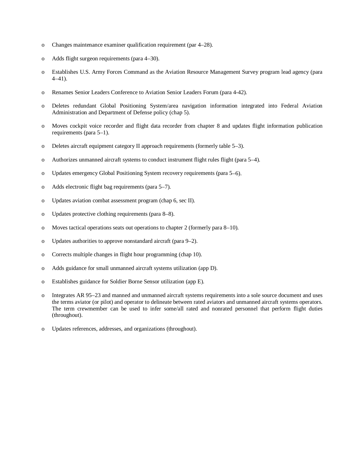- o Changes maintenance examiner qualification requirement (par 4–28).
- o Adds flight surgeon requirements [\(para 4–30\)](#page-38-0).
- o Establishes U.S. Army Forces Command as the Aviation Resource Management Survey program lead agency [\(para](#page-40-0)  [4–41\)](#page-40-0).
- o Renames Senior Leaders Conference to Aviation Senior Leaders Forum (para 4-42).
- o Deletes redundant Global Positioning System/area navigation information integrated into Federal Aviation Administration and Department of Defense policy [\(chap 5\)](#page-42-0).
- o Moves cockpit voice recorder and flight data recorder from [chapter 8](#page-55-0) and updates flight information publication requirements [\(para 5–1\)](#page-42-1).
- o Deletes aircraft equipment category II approach requirements (formerly table 5–3).
- o Authorizes unmanned aircraft systems to conduct instrument flight rules flight [\(para 5–4\)](#page-48-0).
- o Updates emergency Global Positioning System recovery requirements [\(para 5–6\)](#page-49-0).
- o Adds electronic flight bag requirements [\(para 5–7\)](#page-50-0).
- o Updates aviation combat assessment program [\(chap 6,](#page-51-0) sec II).
- o Updates protective clothing requirements [\(para 8–8\)](#page-57-0).
- o Moves tactical operations seats out operations to [chapter 2](#page-12-1) (formerly [para 8–10\)](#page-57-1).
- o Updates authorities to approve nonstandard aircraft [\(para 9–2\)](#page-59-0).
- o Corrects multiple changes in flight hour programming [\(chap 10\)](#page-62-0).
- o Adds guidance for small unmanned aircraft systems utilization [\(app D\)](#page-72-0).
- o Establishes guidance for Soldier Borne Sensor utilization [\(app E\)](#page-74-0).
- o Integrates AR 95–23 and manned and unmanned aircraft systems requirements into a sole source document and uses the terms aviator (or pilot) and operator to delineate between rated aviators and unmanned aircraft systems operators. The term crewmember can be used to infer some/all rated and nonrated personnel that perform flight duties (throughout).
- o Updates references, addresses, and organizations (throughout).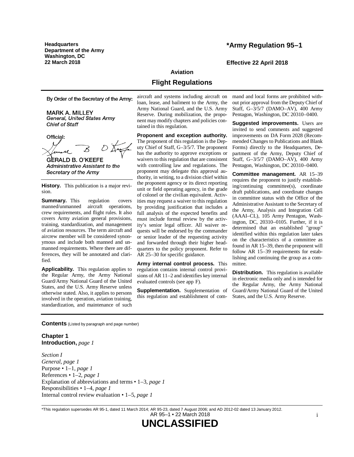**Headquarters Department of the Army Washington, DC**

# **\*Army Regulation 95–1**

**22 March 2018 Effective 22 April 2018**

#### **Aviation**

# **Flight Regulations**

By Order of the Secretary of the Army:

**MARK A. MILLEY General, United States Army Chief of Staff** 

Official: **GERALD B. O'KEEFE** 

**Administrative Assistant to the** Secretary of the Army

**History.** This publication is a major revision.

**Summary.** This regulation covers manned/unmanned aircraft operations, crew requirements, and flight rules. It also covers Army aviation general provisions, training, standardization, and management of aviation resources. The term aircraft and aircrew member will be considered synonymous and include both manned and unmanned requirements. Where there are differences, they will be annotated and clarified.

**Applicability.** This regulation applies to the Regular Army, the Army National Guard/Army National Guard of the United States, and the U.S. Army Reserve unless otherwise stated. Also, it applies to persons involved in the operation, aviation training, standardization, and maintenance of such aircraft and systems including aircraft on loan, lease, and bailment to the Army, the Army National Guard, and the U.S. Army Reserve. During mobilization, the proponent may modify chapters and policies contained in this regulation.

**Proponent and exception authority.** The proponent of this regulation is the Deputy Chief of Staff, G–3/5/7. The proponent has the authority to approve exceptions or waivers to this regulation that are consistent with controlling law and regulations. The proponent may delegate this approval authority, in writing, to a division chief within the proponent agency or its direct reporting unit or field operating agency, in the grade of colonel or the civilian equivalent. Activities may request a waiver to this regulation by providing justification that includes a full analysis of the expected benefits and must include formal review by the activity's senior legal officer. All waiver requests will be endorsed by the commander or senior leader of the requesting activity and forwarded through their higher headquarters to the policy proponent. Refer to AR 25–30 for specific guidance.

**Army internal control process.** This regulation contains internal control provisions of AR 11–2 and identifies key internal evaluated controls (se[e app](#page-75-0) F).

**Supplementation.** Supplementation of this regulation and establishment of command and local forms are prohibited without prior approval from the Deputy Chief of Staff, G–3/5/7 (DAMO–AV), 400 Army Pentagon, Washington, DC 20310–0400.

**Suggested improvements.** Users are invited to send comments and suggested improvements on DA Form 2028 (Recommended Changes to Publications and Blank Forms) directly to the Headquarters, Department of the Army, Deputy Chief of Staff, G–3/5/7 (DAMO–AV), 400 Army Pentagon, Washington, DC 20310–0400.

**Committee management.** AR 15–39 requires the proponent to justify establishing/continuing committee(s), coordinate draft publications, and coordinate changes in committee status with the Office of the Administrative Assistant to the Secretary of the Army, Analysis and Integration Cell (AAAI–CL), 105 Army Pentagon, Washington, DC, 20310–0105. Further, if it is determined that an established "group" identified within this regulation later takes on the characteristics of a committee as found in AR 15–39, then the proponent will follow AR 15–39 requirements for establishing and continuing the group as a committee.

**Distribution.** This regulation is available in electronic media only and is intended for the Regular Army, the Army National Guard/Army National Guard of the United States, and the U.S. Army Reserve.

**Contents** (Listed by paragraph and page number)

# **Chapter 1 Introduction,** *page [1](#page-9-0)*

*Section I General, page [1](#page-9-1)* Purpose • 1–1, *page [1](#page-9-2)* References • 1–2, *page [1](#page-9-3)* Explanation of abbreviations and terms • 1–3, *page [1](#page-9-4)* Responsibilities • 1–4, *page [1](#page-9-5)* Internal control review evaluation • 1–5, *page [1](#page-9-6)*

\*This regulation supersedes AR 95-1, dated 11 March 2014; AR 95-23, dated 7 August 2006; and AD 2012-02 dated 13 January 2012. AR 95–1 • 22 March 2018

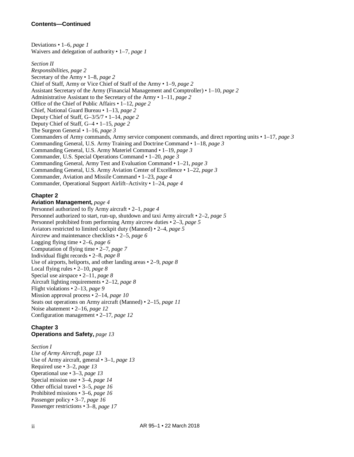# **Contents—Continued**

Deviations • 1–6, *page [1](#page-9-7)* Waivers and delegation of authority • 1–7, *page [1](#page-9-8) Section II Responsibilities, page [2](#page-10-0)* Secretary of the Army • 1–8, *page [2](#page-10-1)* Chief of Staff, Army or Vice Chief of Staff of the Army • 1–9, *page [2](#page-10-2)* Assistant Secretary of the Army (Financial Management and Comptroller) • 1–10, *page [2](#page-10-3)* Administrative Assistant to the Secretary of the Army • 1–11, *page [2](#page-10-4)* Office of the Chief of Public Affairs • 1–12, *page [2](#page-10-5)* Chief, National Guard Bureau • 1–13, *page [2](#page-10-6)* Deputy Chief of Staff, G–3/5/7 • 1–14, *page [2](#page-10-7)* Deputy Chief of Staff, G–4 • 1–15, *page [2](#page-10-8)* The Surgeon General • 1–16, *page [3](#page-11-1)* Commanders of Army commands, Army service component commands, and direct reporting units • 1–17, *page [3](#page-11-2)* Commanding General, U.S. Army Training and Doctrine Command • 1–18, *page [3](#page-11-3)* Commanding General, U.S. Army Materiel Command • 1–19, *page [3](#page-11-4)* Commander, U.S. Special Operations Command • 1–20, *page [3](#page-11-5)* Commanding General, Army Test and Evaluation Command • 1–21, *page [3](#page-11-6)* Commanding General, U.S. Army Aviation Center of Excellence • 1–22, *page [3](#page-11-0)* Commander, Aviation and Missile Command • 1–23, *page [4](#page-12-0)* Commander, Operational Support Airlift–Activity • 1–24, *page [4](#page-12-2)*

# **Chapter 2**

**Aviation Management,** *page [4](#page-12-1)* Personnel authorized to fly Army aircraft • 2–1, *page [4](#page-12-3)* Personnel authorized to start, run-up, shutdown and taxi Army aircraft • 2–2, *page [5](#page-13-1)* Personnel prohibited from performing Army aircrew duties • 2–3, *page [5](#page-13-0)* Aviators restricted to limited cockpit duty (Manned) • 2–4, *page [5](#page-13-2)* Aircrew and maintenance checklists • 2–5, *page [6](#page-14-1)* Logging flying time • 2–6, *page [6](#page-14-0)* Computation of flying time • 2–7, *page [7](#page-15-0)* Individual flight records • 2–8, *page [8](#page-16-0)* Use of airports, heliports, and other landing areas • 2–9, *page [8](#page-16-3)* Local flying rules • 2–10, *page [8](#page-16-4)* Special use airspace • 2–11, *page [8](#page-16-5)* Aircraft lighting requirements • 2–12, *page [8](#page-16-6)* Flight violations • 2–13, *page [9](#page-17-0)* Mission approval process • 2–14, *page [10](#page-18-0)* Seats out operations on Army aircraft (Manned) • 2–15, *page [11](#page-19-0)* Noise abatement • 2–16, *page [12](#page-20-1)* Configuration management • 2–17, *page [12](#page-20-0)*

# **Chapter 3**

**Operations and Safety,** *page [13](#page-21-0)*

*Section I Use of Army Aircraft, page [13](#page-21-1)* Use of Army aircraft, general • 3–1, *page [13](#page-21-2)* Required use • 3–2, *page [13](#page-21-3)* Operational use • 3–3, *page [13](#page-21-4)* Special mission use • 3–4, *page [14](#page-22-0)* Other official travel • 3–5, *page [16](#page-24-0)* Prohibited missions • 3–6, *page [16](#page-24-1)* Passenger policy • 3–7, *page [16](#page-24-2)* Passenger restrictions • 3–8, *page [17](#page-25-0)*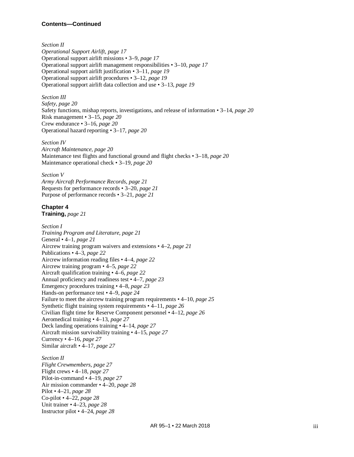# **Contents—Continued**

*Section II Operational Support Airlift, page [17](#page-25-1)* Operational support airlift missions • 3–9, *page [17](#page-25-2)* Operational support airlift management responsibilities • 3–10, *page [17](#page-25-3)* Operational support airlift justification • 3–11, *page [19](#page-27-0)* Operational support airlift procedures • 3–12, *page [19](#page-27-1)* Operational support airlift data collection and use • 3–13, *page [19](#page-27-2)*

#### *Section III*

*Safety, page [20](#page-28-0)* Safety functions, mishap reports, investigations, and release of information • 3–14, *page [20](#page-28-1)* Risk management • 3–15, *page [20](#page-28-2)* Crew endurance • 3–16, *page [20](#page-28-3)* Operational hazard reporting • 3–17, *page [20](#page-28-4)*

#### *Section IV*

*Aircraft Maintenance, page [20](#page-28-5)* Maintenance test flights and functional ground and flight checks • 3–18, *page [20](#page-28-6)* Maintenance operational check • 3–19, *page [20](#page-28-7)*

#### *Section V*

*Army Aircraft Performance Records, page [21](#page-29-2)* Requests for performance records • 3–20, *page [21](#page-29-3)* Purpose of performance records • 3–21, *page [21](#page-29-4)*

# **Chapter 4**

**Training,** *page [21](#page-29-0)*

#### *Section I*

*Training Program and Literature, page [21](#page-29-5)* General • 4–1, *page [21](#page-29-6)* Aircrew training program waivers and extensions • 4–2, *page [21](#page-29-1)* Publications • 4–3, *page [22](#page-30-1)* Aircrew information reading files • 4–4, *page [22](#page-30-2)* Aircrew training program • 4–5, *page [22](#page-30-3)* Aircraft qualification training • 4–6, *page [22](#page-30-0)* Annual proficiency and readiness test • 4–7, *page [23](#page-31-1)* Emergency procedures training • 4–8, *page [23](#page-31-0)* Hands-on performance test • 4–9, *page [24](#page-32-0)* Failure to meet the aircrew training program requirements • 4–10, *page [25](#page-33-0)* Synthetic flight training system requirements • 4–11, *page [26](#page-34-0)* Civilian flight time for Reserve Component personnel • 4–12, *page [26](#page-34-1)* Aeromedical training • 4–13, *page [27](#page-35-1)* Deck landing operations training • 4–14, *page [27](#page-35-2)* Aircraft mission survivability training • 4–15, *page [27](#page-35-3)* Currency • 4–16, *page [27](#page-35-0)* Similar aircraft • 4–17, *page [27](#page-35-4)*

# *Section II*

*Flight Crewmembers, page [27](#page-35-5)* Flight crews • 4–18, *page [27](#page-35-6)* Pilot-in-command • 4–19, *page [27](#page-35-7)* Air mission commander • 4–20, *page [28](#page-36-0)* Pilot • 4–21, *page [28](#page-36-1)* Co-pilot • 4–22, *page [28](#page-36-2)* Unit trainer • 4–23, *page [28](#page-36-3)* Instructor pilot • 4–24, *page [28](#page-36-4)*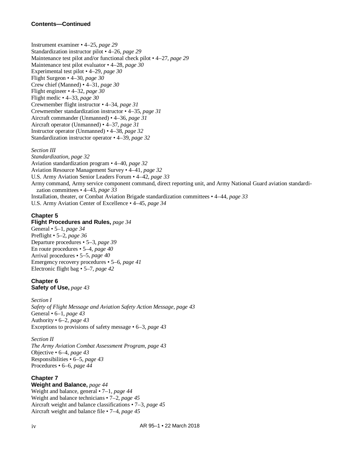Instrument examiner • 4–25, *page [29](#page-37-1)* Standardization instructor pilot • 4–26, *page [29](#page-37-0)* Maintenance test pilot and/or functional check pilot • 4–27, *page [29](#page-37-2)* Maintenance test pilot evaluator • 4–28, *page [30](#page-38-1)* Experimental test pilot • 4–29, *page [30](#page-38-2)* Flight Surgeon • 4–30, *page [30](#page-38-0)* Crew chief (Manned) • 4–31, *page [30](#page-38-3)* Flight engineer • 4–32, *page [30](#page-38-4)* Flight medic • 4–33, *page [30](#page-38-5)* Crewmember flight instructor • 4–34, *page [31](#page-39-0)* Crewmember standardization instructor • 4–35, *page [31](#page-39-1)* Aircraft commander (Unmanned) • 4–36, *page [31](#page-39-2)* Aircraft operator (Unmanned) • 4–37, *page [31](#page-39-3)* Instructor operator (Unmanned) • 4–38, *page [32](#page-40-1)* Standardization instructor operator • 4–39, *page [32](#page-40-2)*

# *Section III*

*Standardization, page [32](#page-40-3)* Aviation standardization program • 4–40, *page [32](#page-40-4)* Aviation Resource Management Survey • 4–41, *page [32](#page-40-0)* U.S. Army Aviation Senior Leaders Forum • 4–42, *page [33](#page-41-0)* Army command, Army service component command, direct reporting unit, and Army National Guard aviation standardization committees • 4–43, *page [33](#page-41-1)* Installation, theater, or Combat Aviation Brigade standardization committees • 4–44, *page [33](#page-41-2)* U.S. Army Aviation Center of Excellence • 4–45, *page [34](#page-42-2)*

# **Chapter 5**

**Flight Procedures and Rules,** *page [34](#page-42-0)* General • 5–1, *page [34](#page-42-1)* Preflight • 5–2, *page [36](#page-44-0)* Departure procedures • 5–3, *page [39](#page-47-0)* En route procedures • 5–4, *page [40](#page-48-0)* Arrival procedures • 5–5, *page [40](#page-48-1)* Emergency recovery procedures • 5–6, *page [41](#page-49-0)* Electronic flight bag • 5–7, *page [42](#page-50-0)*

#### **Chapter 6 Safety of Use,** *page [43](#page-51-0)*

*Section I Safety of Flight Message and Aviation Safety Action Message, page [43](#page-51-1)* General • 6–1, *page [43](#page-51-2)* Authority • 6–2, *page [43](#page-51-3)* Exceptions to provisions of safety message • 6–3, *page [43](#page-51-4)*

*Section II The Army Aviation Combat Assessment Program, page [43](#page-51-5)* Objective • 6–4, *page [43](#page-51-6)* Responsibilities • 6–5, *page [43](#page-51-7)* Procedures • 6–6, *page [44](#page-52-0)*

# **Chapter 7**

**Weight and Balance,** *page [44](#page-52-1)* Weight and balance, general • 7–1, *page [44](#page-52-2)* Weight and balance technicians • 7–2, *page [45](#page-53-0)* Aircraft weight and balance classifications • 7–3, *page [45](#page-53-1)* Aircraft weight and balance file • 7–4, *page [45](#page-53-2)*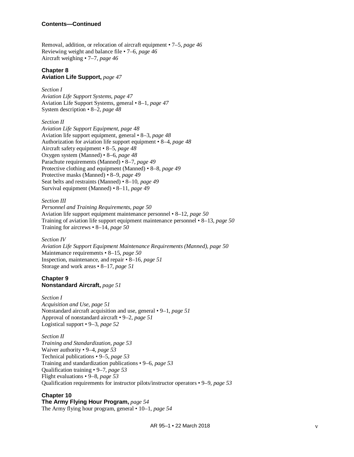Removal, addition, or relocation of aircraft equipment • 7–5, *page [46](#page-54-0)* Reviewing weight and balance file • 7–6, *page [46](#page-54-1)* Aircraft weighing • 7–7, *page [46](#page-54-2)*

#### **Chapter 8 Aviation Life Support,** *page [47](#page-55-0)*

*Section I Aviation Life Support Systems, page [47](#page-55-1)* Aviation Life Support Systems, general • 8–1, *page [47](#page-55-2)* System description • 8–2, *page [48](#page-56-0)*

*Section II Aviation Life Support Equipment, page [48](#page-56-1)* Aviation life support equipment, general • 8–3, *page [48](#page-56-2)* Authorization for aviation life support equipment • 8–4, *page [48](#page-56-3)* Aircraft safety equipment • 8–5, *page [48](#page-56-4)* Oxygen system (Manned) • 8–6, *page [48](#page-56-5)* Parachute requirements (Manned) • 8–7, *page [49](#page-57-2)* Protective clothing and equipment (Manned) • 8–8, *page [49](#page-57-0)* Protective masks (Manned) • 8–9, *page [49](#page-57-3)* Seat belts and restraints (Manned) • 8–10, *page [49](#page-57-1)* Survival equipment (Manned) • 8–11, *page [49](#page-57-4)*

*Section III Personnel and Training Requirements, page [50](#page-58-0)* Aviation life support equipment maintenance personnel • 8–12, *page [50](#page-58-1)* Training of aviation life support equipment maintenance personnel • 8–13, *page [50](#page-58-2)* Training for aircrews • 8–14, *page [50](#page-58-3)*

*Section IV Aviation Life Support Equipment Maintenance Requirements (Manned), page [50](#page-58-4)* Maintenance requirements • 8–15, *page [50](#page-58-5)* Inspection, maintenance, and repair • 8–16, *page [51](#page-59-1)* Storage and work areas • 8–17, *page [51](#page-59-2)*

**Chapter 9 Nonstandard Aircraft,** *page [51](#page-59-3)*

*Section I Acquisition and Use, page [51](#page-59-4)* Nonstandard aircraft acquisition and use, general • 9–1, *page [51](#page-59-5)* Approval of nonstandard aircraft • 9–2, *page [51](#page-59-0)* Logistical support • 9–3, *page [52](#page-60-0)*

*Section II Training and Standardization, page [53](#page-61-0)* Waiver authority • 9–4, *page [53](#page-61-1)* Technical publications • 9–5, *page [53](#page-61-2)* Training and standardization publications • 9–6, *page [53](#page-61-3)* Qualification training • 9–7, *page [53](#page-61-4)* Flight evaluations • 9–8, *page [53](#page-61-5)* Qualification requirements for instructor pilots/instructor operators • 9–9, *page [53](#page-61-6)*

# **Chapter 10**

**The Army Flying Hour Program,** *page [54](#page-62-0)*

The Army flying hour program, general • 10–1, *page [54](#page-62-1)*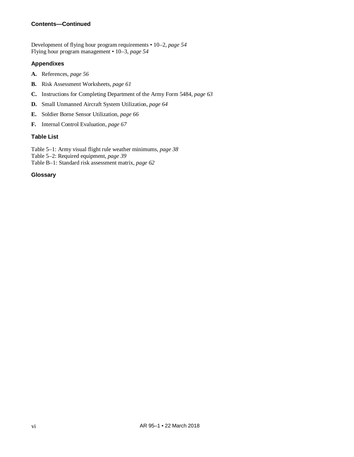# **Contents—Continued**

Development of flying hour program requirements • 10–2, *page [54](#page-62-2)* Flying hour program management • 10–3, *page [54](#page-62-3)*

# **Appendixes**

- **A.** References, *page [56](#page-64-0)*
- **B.** Risk Assessment Worksheets, *page [61](#page-69-0)*
- **C.** Instructions for Completing Department of the Army Form 5484, *page [63](#page-71-0)*
- **D.** Small Unmanned Aircraft System Utilization, *page [64](#page-72-0)*
- **E.** Soldier Borne Sensor Utilization, *page [66](#page-74-0)*
- **F.** Internal Control Evaluation, *page [67](#page-75-0)*

# **Table List**

Table 5–1: Army visual flight rule weather minimums, *page [38](#page-46-0)* Table 5–2: Required equipment, *page [39](#page-46-1)* Table B–1: Standard risk assessment matrix, *page [62](#page-70-0)*

# **Glossary**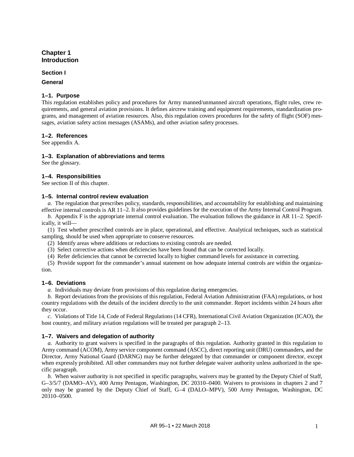# <span id="page-9-0"></span>**Chapter 1 Introduction**

#### **Section I**

## <span id="page-9-2"></span><span id="page-9-1"></span>**General**

# **1–1. Purpose**

This regulation establishes policy and procedures for Army manned/unmanned aircraft operations, flight rules, crew requirements, and general aviation provisions. It defines aircrew training and equipment requirements, standardization programs, and management of aviation resources. Also, this regulation covers procedures for the safety of flight (SOF) messages, aviation safety action messages (ASAMs), and other aviation safety processes.

# <span id="page-9-3"></span>**1–2. References**

<span id="page-9-4"></span>See [appendix A.](#page-64-0)

# **1–3. Explanation of abbreviations and terms**

<span id="page-9-5"></span>See th[e glossary.](#page-76-0)

# **1–4. Responsibilities**

<span id="page-9-6"></span>See section II of this chapter.

# **1–5. Internal control review evaluation**

*a.* The regulation that prescribes policy, standards, responsibilities, and accountability for establishing and maintaining effective internal controls is AR 11–2. It also provides guidelines for the execution of the Army Internal Control Program.

*b.* [Appendix](#page-75-0) F is the appropriate internal control evaluation. The evaluation follows the guidance in AR 11–2. Specifically, it will—

(1) Test whether prescribed controls are in place, operational, and effective. Analytical techniques, such as statistical sampling, should be used when appropriate to conserve resources.

(2) Identify areas where additions or reductions to existing controls are needed.

(3) Select corrective actions when deficiencies have been found that can be corrected locally.

(4) Refer deficiencies that cannot be corrected locally to higher command levels for assistance in correcting.

(5) Provide support for the commander's annual statement on how adequate internal controls are within the organization.

# <span id="page-9-7"></span>**1–6. Deviations**

*a.* Individuals may deviate from provisions of this regulation during emergencies.

*b.* Report deviations from the provisions of this regulation, Federal Aviation Administration (FAA) regulations, or host country regulations with the details of the incident directly to the unit commander. Report incidents within 24 hours after they occur.

*c.* Violations of Title 14, Code of Federal Regulations (14 CFR), International Civil Aviation Organization (ICAO), the host country, and military aviation regulations will be treated per [paragraph](#page-17-0) 2–13.

# <span id="page-9-8"></span>**1–7. Waivers and delegation of authority**

*a.* Authority to grant waivers is specified in the paragraphs of this regulation. Authority granted in this regulation to Army command (ACOM), Army service component command (ASCC), direct reporting unit (DRU) commanders, and the Director, Army National Guard (DARNG) may be further delegated by that commander or component director, except when expressly prohibited. All other commanders may not further delegate waiver authority unless authorized in the specific paragraph.

*b.* When waiver authority is not specified in specific paragraphs, waivers may be granted by the Deputy Chief of Staff, G–3/5/7 (DAMO–AV), 400 Army Pentagon, Washington, DC 20310–0400. Waivers to provisions in chapters [2](#page-12-1) and [7](#page-52-1) only may be granted by the Deputy Chief of Staff, G–4 (DALO–MPV), 500 Army Pentagon, Washington, DC 20310–0500.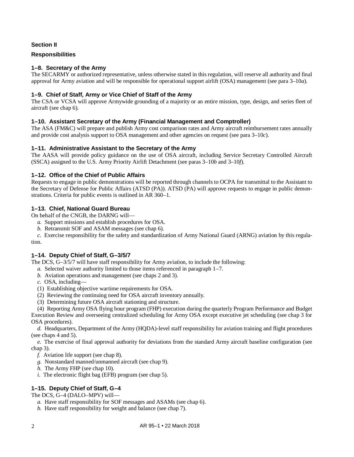# **Section II**

# <span id="page-10-1"></span><span id="page-10-0"></span>**Responsibilities**

# **1–8. Secretary of the Army**

The SECARMY or authorized representative, unless otherwise stated in this regulation, will reserve all authority and final approval for Army aviation and will be responsible for operational support airlift (OSA) management (see [para 3–10](#page-25-4)*a*).

# <span id="page-10-2"></span>**1–9. Chief of Staff, Army or Vice Chief of Staff of the Army**

The CSA or VCSA will approve Armywide grounding of a majority or an entire mission, type, design, and series fleet of aircraft (see [chap 6\)](#page-51-0).

# <span id="page-10-3"></span>**1–10. Assistant Secretary of the Army (Financial Management and Comptroller)**

The ASA (FM&C) will prepare and publish Army cost comparison rates and Army aircraft reimbursement rates annually and provide cost analysis support to OSA management and other agencies on request (se[e para 3–10](#page-25-5)*c*).

# <span id="page-10-4"></span>**1–11. Administrative Assistant to the Secretary of the Army**

The AASA will provide policy guidance on the use of OSA aircraft, including Service Secretary Controlled Aircraft (SSCA) assigned to the U.S. Army Priority Airlift Detachment (see paras [3–10](#page-25-6)*b* and [3–10](#page-26-0)*f*).

# <span id="page-10-5"></span>**1–12. Office of the Chief of Public Affairs**

Requests to engage in public demonstrations will be reported through channels to OCPA for transmittal to the Assistant to the Secretary of Defense for Public Affairs (ATSD (PA)). ATSD (PA) will approve requests to engage in public demonstrations. Criteria for public events is outlined in AR 360–1.

# <span id="page-10-6"></span>**1–13. Chief, National Guard Bureau**

On behalf of the CNGB, the DARNG will—

- *a.* Support missions and establish procedures for OSA.
- *b.* Retransmit SOF and ASAM messages (se[e chap](#page-51-0) 6).

*c.* Exercise responsibility for the safety and standardization of Army National Guard (ARNG) aviation by this regulation.

# <span id="page-10-7"></span>**1–14. Deputy Chief of Staff, G–3/5/7**

The DCS, G–3/5/7 will have staff responsibility for Army aviation, to include the following:

- *a.* Selected waiver authority limited to those items referenced i[n paragraph](#page-9-8) 1–7.
- *b.* Aviation operations and management (see chaps [2](#page-12-1) an[d 3\)](#page-21-0).
- *c.* OSA, including—
- (1) Establishing objective wartime requirements for OSA.
- (2) Reviewing the continuing need for OSA aircraft inventory annually.
- (3) Determining future OSA aircraft stationing and structure.

(4) Reporting Army OSA flying hour program (FHP) execution during the quarterly Program Performance and Budget Execution Review and overseeing centralized scheduling for Army OSA except executive jet scheduling (see [chap](#page-21-0) 3 for OSA procedures).

*d.* Headquarters, Department of the Army (HQDA)-level staff responsibility for aviation training and flight procedures (see chaps [4](#page-29-0) an[d 5\)](#page-42-0).

*e.* The exercise of final approval authority for deviations from the standard Army aircraft baseline configuration (see [chap](#page-21-0) 3).

- *f.* Aviation life support (see [chap](#page-55-0) 8).
- *g.* Nonstandard manned/unmanned aircraft (see [chap](#page-59-3) 9).
- *h.* The Army FHP (see [chap](#page-62-0) 10).
- *i.* The electronic flight bag (EFB) program (se[e chap](#page-42-0) 5).

# <span id="page-10-8"></span>**1–15. Deputy Chief of Staff, G–4**

The DCS, G–4 (DALO–MPV) will—

- *a.* Have staff responsibility for SOF messages and ASAMs (see [chap](#page-51-0) 6).
- *b.* Have staff responsibility for weight and balance (see [chap](#page-52-1) 7).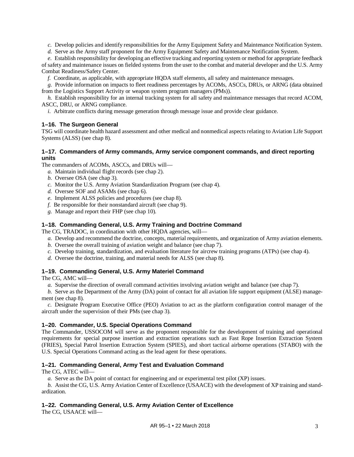*c.* Develop policies and identify responsibilities for the Army Equipment Safety and Maintenance Notification System.

*d.* Serve as the Army staff proponent for the Army Equipment Safety and Maintenance Notification System.

*e.* Establish responsibility for developing an effective tracking and reporting system or method for appropriate feedback of safety and maintenance issues on fielded systems from the user to the combat and material developer and the U.S. Army Combat Readiness/Safety Center.

*f.* Coordinate, as applicable, with appropriate HQDA staff elements, all safety and maintenance messages.

*g.* Provide information on impacts to fleet readiness percentages by ACOMs, ASCCs, DRUs, or ARNG (data obtained from the Logistics Support Activity or weapon system program managers (PMs)).

*h.* Establish responsibility for an internal tracking system for all safety and maintenance messages that record ACOM, ASCC, DRU, or ARNG compliance.

<span id="page-11-1"></span>*i.* Arbitrate conflicts during message generation through message issue and provide clear guidance.

# **1–16. The Surgeon General**

TSG will coordinate health hazard assessment and other medical and nonmedical aspects relating to Aviation Life Support Systems (ALSS) (see [chap 8\)](#page-55-0).

# <span id="page-11-2"></span>**1–17. Commanders of Army commands, Army service component commands, and direct reporting units**

The commanders of ACOMs, ASCCs, and DRUs will—

- *a.* Maintain individual flight records (se[e chap](#page-12-1) 2).
- *b.* Oversee OSA (see [chap](#page-21-0) 3).
- *c.* Monitor the U.S. Army Aviation Standardization Program (see [chap](#page-29-0) 4).
- *d.* Oversee SOF and ASAMs (see [chap](#page-51-0) 6).
- *e.* Implement ALSS policies and procedures (se[e chap](#page-55-0) 8).
- *f.* Be responsible for their nonstandard aircraft (see [chap](#page-59-3) 9).
- *g.* Manage and report their FHP (see [chap](#page-62-0) 10).

# <span id="page-11-3"></span>**1–18. Commanding General, U.S. Army Training and Doctrine Command**

The CG, TRADOC, in coordination with other HQDA agencies, will—

- *a.* Develop and recommend the doctrine, concepts, material requirements, and organization of Army aviation elements.
- *b.* Oversee the overall training of aviation weight and balance (se[e chap](#page-52-1) 7).
- *c.* Develop training, standardization, and evaluation literature for aircrew training programs (ATPs) (se[e chap](#page-29-0) 4).
- *d.* Oversee the doctrine, training, and material needs for ALSS (see [chap](#page-55-0) 8).

# <span id="page-11-4"></span>**1–19. Commanding General, U.S. Army Materiel Command**

The CG, AMC will—

*a.* Supervise the direction of overall command activities involving aviation weight and balance (see [chap](#page-52-1) 7).

*b.* Serve as the Department of the Army (DA) point of contact for all aviation life support equipment (ALSE) management (see [chap](#page-55-0) 8).

*c.* Designate Program Executive Office (PEO) Aviation to act as the platform configuration control manager of the aircraft under the supervision of their PMs (see [chap](#page-21-0) 3).

# <span id="page-11-5"></span>**1–20. Commander, U.S. Special Operations Command**

The Commander, USSOCOM will serve as the proponent responsible for the development of training and operational requirements for special purpose insertion and extraction operations such as Fast Rope Insertion Extraction System (FRIES), Special Patrol Insertion Extraction System (SPIES), and short tactical airborne operations (STABO) with the U.S. Special Operations Command acting as the lead agent for these operations.

# <span id="page-11-6"></span>**1–21. Commanding General, Army Test and Evaluation Command**

The CG, ATEC will—

*a.* Serve as the DA point of contact for engineering and or experimental test pilot (XP) issues.

*b.* Assist the CG, U.S. Army Aviation Center of Excellence (USAACE) with the development of XP training and standardization.

# <span id="page-11-0"></span>**1–22. Commanding General, U.S. Army Aviation Center of Excellence**

The CG, USAACE will—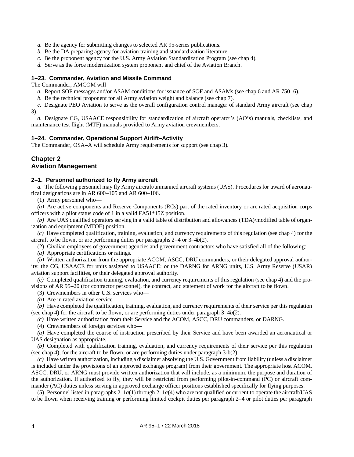- *a.* Be the agency for submitting changes to selected AR 95-series publications.
- *b.* Be the DA preparing agency for aviation training and standardization literature.
- *c.* Be the proponent agency for the U.S. Army Aviation Standardization Program (see [chap](#page-29-0) 4).
- *d.* Serve as the force modernization system proponent and chief of the Aviation Branch.

# <span id="page-12-0"></span>**1–23. Commander, Aviation and Missile Command**

The Commander, AMCOM will—

- *a.* Report SOF messages and/or ASAM conditions for issuance of SOF and ASAMs (se[e chap](#page-51-0) 6 and AR 750–6).
- *b.* Be the technical proponent for all Army aviation weight and balance (se[e chap](#page-52-1) 7).
- *c.* Designate PEO Aviation to serve as the overall configuration control manager of standard Army aircraft (see [chap](#page-21-0) [3\)](#page-21-0).

*d.* Designate CG, USAACE responsibility for standardization of aircraft operator's (AO's) manuals, checklists, and maintenance test flight (MTF) manuals provided to Army aviation crewmembers.

# <span id="page-12-2"></span>**1–24. Commander, Operational Support Airlift–Activity**

The Commander, OSA–A will schedule Army requirements for support (see [chap 3\)](#page-21-0).

# <span id="page-12-1"></span>**Chapter 2 Aviation Management**

#### <span id="page-12-3"></span>**2–1. Personnel authorized to fly Army aircraft**

*a.* The following personnel may fly Army aircraft/unmanned aircraft systems (UAS). Procedures for award of aeronautical designations are in AR 600–105 and AR 600–106.

<span id="page-12-4"></span>(1) Army personnel who—

*(a)* Are active components and Reserve Components (RCs) part of the rated inventory or are rated acquisition corps officers with a pilot status code of 1 in a valid FA51\*15Z position.

*(b)* Are UAS qualified operators serving in a valid table of distribution and allowances (TDA)/modified table of organization and equipment (MTOE) position.

*(c)* Have completed qualification, training, evaluation, and currency requirements of this regulation (see [chap](#page-29-0) 4) for the aircraft to be flown, or are performing duties per paragraphs [2–4](#page-13-2) or 3–4*b*(2).

(2) Civilian employees of government agencies and government contractors who have satisfied all of the following:

*(a)* Appropriate certifications or ratings.

*(b)* Written authorization from the appropriate ACOM, ASCC, DRU commanders, or their delegated approval authority; the CG, USAACE for units assigned to USAACE; or the DARNG for ARNG units, U.S. Army Reserve (USAR) aviation support facilities, or their delegated approval authority.

*(c)* Completed qualification training, evaluation, and currency requirements of this regulation (see [chap](#page-29-0) 4) and the provisions of AR 95–20 (for contractor personnel), the contract, and statement of work for the aircraft to be flown.

(3) Crewmembers in other U.S. services who—

*(a)* Are in rated aviation service.

*(b)* Have completed the qualification, training, evaluation, and currency requirements of their service per this regulation (se[e chap](#page-29-0) 4) for the aircraft to be flown, or are performing duties under paragraph 3–4*b*(2).

*(c)* Have written authorization from their Service and the ACOM, ASCC, DRU commanders, or DARNG.

(4) Crewmembers of foreign services who—

*(a)* Have completed the course of instruction prescribed by their Service and have been awarded an aeronautical or UAS designation as appropriate.

*(b)* Completed with qualification training, evaluation, and currency requirements of their service per this regulation (se[e chap](#page-29-0) 4), for the aircraft to be flown, or are performing duties under paragraph 3-b(2).

*(c)* Have written authorization, including a disclaimer absolving the U.S. Government from liability (unless a disclaimer is included under the provisions of an approved exchange program) from their government. The appropriate host ACOM, ASCC, DRU, or ARNG must provide written authorization that will include, as a minimum, the purpose and duration of the authorization. If authorized to fly, they will be restricted from performing pilot-in-command (PC) or aircraft commander (AC) duties unless serving in approved exchange officer positions established specifically for flying purposes.

(5) Personnel listed in paragraphs  $2-1a(1)$  through  $2-1a(4)$  who are not qualified or current to operate the aircraft/UAS to be flown when receiving training or performing limited cockpit duties per [paragraph](#page-13-2) 2–4 or pilot duties per paragraph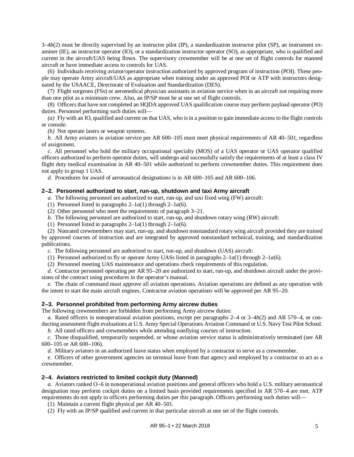3–4*b*(2) must be directly supervised by an instructor pilot (IP), a standardization instructor pilot (SP), an instrument examiner (IE), an instructor operator (IO), or a standardization instructor operator (SO), as appropriate, who is qualified and current in the aircraft/UAS being flown. The supervisory crewmember will be at one set of flight controls for manned aircraft or have immediate access to controls for UAS.

(6) Individuals receiving aviator/operator instruction authorized by approved program of instruction (POI). These people may operate Army aircraft/UAS as appropriate when training under an approved POI or ATP with instructors designated by the USAACE, Directorate of Evaluation and Standardization (DES).

(7) Flight surgeons (FSs) or aeromedical physician assistants in aviation service when in an aircraft not requiring more than one pilot as a minimum crew. Also, an IP/SP must be at one set of flight controls.

(8) Officers that have not completed an HQDA approved UAS qualification course may perform payload operator (PO) duties. Personnel performing such duties will—

*(a)* Fly with an IO, qualified and current on that UAS, who is in a position to gain immediate access to the flight controls or console.

*(b)* Not operate lasers or weapon systems.

*b.* All Army aviators in aviation service per AR 600–105 must meet physical requirements of AR 40–501, regardless of assignment.

*c.* All personnel who hold the military occupational specialty (MOS) of a UAS operator or UAS operator qualified officers authorized to perform operator duties, will undergo and successfully satisfy the requirements of at least a class IV flight duty medical examination in AR 40–501 while authorized to perform crewmember duties. This requirement does not apply to group 1 UAS.

*d.* Procedures for award of aeronautical designations is in AR 600–105 and AR 600–106.

#### <span id="page-13-1"></span>**2–2. Personnel authorized to start, run-up, shutdown and taxi Army aircraft**

*a.* The following personnel are authorized to start, run-up, and taxi fixed wing (FW) aircraft:

- (1) Personnel listed in paragraphs  $2-1a(1)$  through  $2-1a(6)$ .
- (2) Other personnel who meet the requirements o[f paragraph](#page-29-4) 3–21.
- *b.* The following personnel are authorized to start, run-up, and shutdown rotary wing (RW) aircraft:
- (1) Personnel listed in paragraphs  $2-1a(1)$  through  $2-1a(6)$ .

<span id="page-13-3"></span>(2) Nonrated crewmembers may start, run-up, and shutdown nonstandard rotary wing aircraft provided they are trained by approved courses of instruction and are integrated by approved nonstandard technical, training, and standardization publications.

*c.* The following personnel are authorized to start, run-up, and shutdown (UAS) aircraft:

- (1) Personnel authorized to fly or operate Army UASs listed in paragraphs  $2-1a(1)$  through  $2-1a(6)$ .
- (2) Personnel meeting UAS maintenance and operations check requirements of this regulation.

*d.* Contractor personnel operating per AR 95–20 are authorized to start, run-up, and shutdown aircraft under the provisions of the contract using procedures in the operator's manual.

*e.* The chain of command must approve all aviation operations. Aviation operations are defined as any operation with the intent to start the main aircraft engines. Contractor aviation operations will be approved per AR 95–20.

#### <span id="page-13-0"></span>**2–3. Personnel prohibited from performing Army aircrew duties**

The following crewmembers are forbidden from performing Army aircrew duties:

*a.* Rated officers in nonoperational aviation positions, except per paragraphs [2–4](#page-13-2) or 3–4*b*(2) and AR 570–4, or conducting assessment flight evaluations at U.S. Army Special Operations Aviation Command or U.S. Navy Test Pilot School.

*b.* All rated officers and crewmembers while attending nonflying courses of instruction.

*c.* Those disqualified, temporarily suspended, or whose aviation service status is administratively terminated (see AR 600–105 or AR 600–106).

*d.* Military aviators in an authorized leave status when employed by a contractor to serve as a crewmember.

*e*. Officers of other government agencies on terminal leave from that agency and employed by a contractor to act as a crewmember.

#### <span id="page-13-2"></span>**2–4. Aviators restricted to limited cockpit duty (Manned)**

*a.* Aviators ranked O–6 in nonoperational aviation positions and general officers who hold a U.S. military aeronautical designation may perform cockpit duties on a limited basis provided requirements specified in AR 570–4 are met. ATP requirements do not apply to officers performing duties per this paragraph. Officers performing such duties will—

(1) Maintain a current flight physical per AR 40–501.

(2) Fly with an IP/SP qualified and current in that particular aircraft at one set of the flight controls.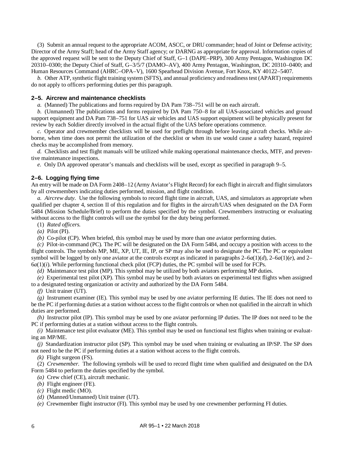(3) Submit an annual request to the appropriate ACOM, ASCC, or DRU commander; head of Joint or Defense activity; Director of the Army Staff; head of the Army Staff agency; or DARNG as appropriate for approval. Information copies of the approved request will be sent to the Deputy Chief of Staff, G–1 (DAPE–PRP), 300 Army Pentagon, Washington DC 20310–0300; the Deputy Chief of Staff, G–3/5/7 (DAMO–AV), 400 Army Pentagon, Washington, DC 20310–0400; and Human Resources Command (AHRC–OPA–V), 1600 Spearhead Division Avenue, Fort Knox, KY 40122–5407.

*b.* Other ATP, synthetic flight training system (SFTS), and annual proficiency and readiness test (APART) requirements do not apply to officers performing duties per this paragraph.

#### <span id="page-14-1"></span>**2–5. Aircrew and maintenance checklists**

*a.* (Manned) The publications and forms required by DA Pam 738–751 will be on each aircraft.

*b.* (Unmanned) The publications and forms required by DA Pam 750–8 for all UAS-associated vehicles and ground support equipment and DA Pam 738–751 for UAS air vehicles and UAS support equipment will be physically present for review by each Soldier directly involved in the actual flight of the UAS before operations commence.

*c.* Operator and crewmember checklists will be used for preflight through before leaving aircraft checks. While airborne, when time does not permit the utilization of the checklist or when its use would cause a safety hazard, required checks may be accomplished from memory.

*d.* Checklists and test flight manuals will be utilized while making operational maintenance checks, MTF, and preventive maintenance inspections.

*e.* Only DA approved operator's manuals and checklists will be used, except as specified in [paragraph](#page-61-2) 9–5.

## <span id="page-14-0"></span>**2–6. Logging flying time**

An entry will be made on DA Form 2408–12 (Army Aviator's Flight Record) for each flight in aircraft and flight simulators by all crewmembers indicating duties performed, mission, and flight condition.

*a. Aircrew duty.* Use the following symbols to record flight time in aircraft, UAS, and simulators as appropriate when qualified per [chapter](#page-29-0) 4, section II of this regulation and for flights in the aircraft/UAS when designated on the DA Form 5484 (Mission Schedule/Brief) to perform the duties specified by the symbol. Crewmembers instructing or evaluating without access to the flight controls will use the symbol for the duty being performed.

(1) *Rated officers.*

*(a)* Pilot (PI).

*(b)* Co-pilot (CP). When briefed, this symbol may be used by more than one aviator performing duties.

*(c)* Pilot-in-command (PC)*.* The PC will be designated on the DA Form 5484, and occupy a position with access to the flight controls. The symbols MP, ME, XP, UT, IE, IP, or SP may also be used to designate the PC. The PC or equivalent symbol will be logged by only one aviator at the controls except as indicated in paragraphs  $2-6a(1)(d)$ ,  $2-6a(1)(e)$ , and  $2 6a(1)(i)$  $6a(1)(i)$  $6a(1)(i)$ . While performing functional check pilot (FCP) duties, the PC symbol will be used for FCPs.

<span id="page-14-2"></span>*(d)* Maintenance test pilot (MP). This symbol may be utilized by both aviators performing MP duties.

<span id="page-14-3"></span>*(e)* Experimental test pilot (XP). This symbol may be used by both aviators on experimental test flights when assigned to a designated testing organization or activity and authorized by the DA Form 5484.

*(f)* Unit trainer (UT).

*(g)* Instrument examiner (IE). This symbol may be used by one aviator performing IE duties. The IE does not need to be the PC if performing duties at a station without access to the flight controls or when not qualified in the aircraft in which duties are performed.

*(h)* Instructor pilot (IP). This symbol may be used by one aviator performing IP duties. The IP does not need to be the PC if performing duties at a station without access to the flight controls.

<span id="page-14-4"></span>*(i)* Maintenance test pilot evaluator (ME). This symbol may be used on functional test flights when training or evaluating an MP/ME.

*(j)* Standardization instructor pilot (SP). This symbol may be used when training or evaluating an IP/SP. The SP does not need to be the PC if performing duties at a station without access to the flight controls.

*(k)* Flight surgeon (FS).

(2) *Crewmember.* The following symbols will be used to record flight time when qualified and designated on the DA Form 5484 to perform the duties specified by the symbol.

- *(a)* Crew chief (CE), aircraft mechanic.
- *(b)* Flight engineer (FE).
- *(c)* Flight medic (MO).
- *(d)* (Manned/Unmanned) Unit trainer (UT).
- *(e)* Crewmember flight instructor (FI). This symbol may be used by one crewmember performing FI duties.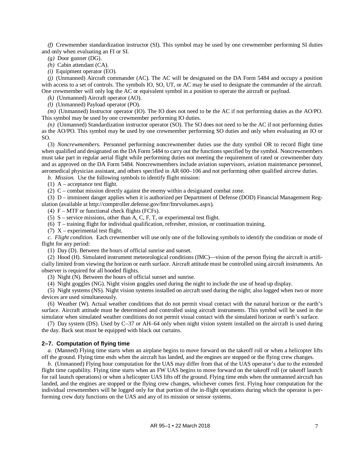*(f)* Crewmember standardization instructor (SI). This symbol may be used by one crewmember performing SI duties and only when evaluating an FI or SI.

*(g)* Door gunner (DG).

*(h)* Cabin attendant (CA).

*(i)* Equipment operator (EO).

*(j)* (Unmanned) Aircraft commander (AC). The AC will be designated on the DA Form 5484 and occupy a position with access to a set of controls. The symbols IO, SO, UT, or AC may be used to designate the commander of the aircraft. One crewmember will only log the AC or equivalent symbol in a position to operate the aircraft or payload.

*(k)* (Unmanned) Aircraft operator (AO).

*(l)* (Unmanned) Payload operator (PO).

*(m)* (Unmanned) Instructor operator (IO). The IO does not need to be the AC if not performing duties as the AO/PO. This symbol may be used by one crewmember performing IO duties.

*(n)* (Unmanned) Standardization instructor operator (SO). The SO does not need to be the AC if not performing duties as the AO/PO. This symbol may be used by one crewmember performing SO duties and only when evaluating an IO or SO.

(3) *Noncrewmembers.* Personnel performing noncrewmember duties use the duty symbol OR to record flight time when qualified and designated on the DA Form 5484 to carry out the functions specified by the symbol. Noncrewmembers must take part in regular aerial flight while performing duties not meeting the requirement of rated or crewmember duty and as approved on the DA Form 5484. Noncrewmembers include aviation supervisors, aviation maintenance personnel, aeromedical physician assistant, and others specified in AR 600–106 and not performing other qualified aircrew duties.

*b. Mission.* Use the following symbols to identify flight mission:

(1)  $A$  – acceptance test flight.

(2) C – combat mission directly against the enemy within a designated combat zone.

(3) D – imminent danger applies when it is authorized per Department of Defense (DOD) Financial Management Regulation (available at [http://comptroller.defense.gov/fmr/fmrvolumes.aspx\)](http://comptroller.defense.gov/FMR/fmrvolumes.aspx).

(4)  $F - MTF$  or functional check flights (FCFs).

(5) S – service missions, other than A, C, F, T, or experimental test flight.

(6) T – training flight for individual qualification, refresher, mission, or continuation training.

(7)  $X$  – experimental test flight.

*c. Flight condition.* Each crewmember will use only one of the following symbols to identify the condition or mode of flight for any period:

(1) Day (D). Between the hours of official sunrise and sunset.

(2) Hood (H). Simulated instrument meteorological conditions (IMC)—vision of the person flying the aircraft is artificially limited from viewing the horizon or earth surface. Aircraft attitude must be controlled using aircraft instruments. An observer is required for all hooded flights.

(3) Night (N). Between the hours of official sunset and sunrise.

(4) Night goggles (NG). Night vision goggles used during the night to include the use of head up display.

(5) Night systems (NS). Night vision systems installed on aircraft used during the night; also logged when two or more devices are used simultaneously.

(6) Weather (W). Actual weather conditions that do not permit visual contact with the natural horizon or the earth's surface. Aircraft attitude must be determined and controlled using aircraft instruments. This symbol will be used in the simulator when simulated weather conditions do not permit visual contact with the simulated horizon or earth's surface.

(7) Day system (DS). Used by C–37 or AH–64 only when night vision system installed on the aircraft is used during the day. Back seat must be equipped with black out curtains.

#### <span id="page-15-0"></span>**2–7. Computation of flying time**

*a.* (Manned) Flying time starts when an airplane begins to move forward on the takeoff roll or when a helicopter lifts off the ground. Flying time ends when the aircraft has landed, and the engines are stopped or the flying crew changes.

*b.* (Unmanned) Flying hour computation for the UAS may differ from that of the UAS operator's due to the extended flight time capability. Flying time starts when an FW UAS begins to move forward on the takeoff roll (or takeoff launch for rail launch operations) or when a helicopter UAS lifts off the ground. Flying time ends when the unmanned aircraft has landed, and the engines are stopped or the flying crew changes, whichever comes first. Flying hour computation for the individual crewmembers will be logged only for that portion of the in-flight operations during which the operator is performing crew duty functions on the UAS and any of its mission or sensor systems.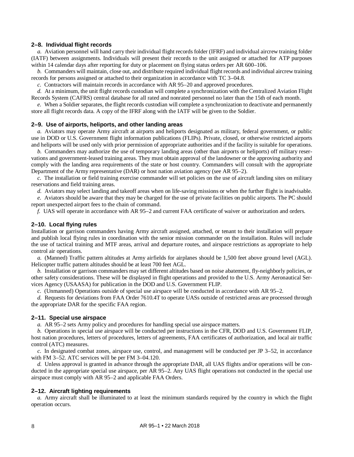#### <span id="page-16-0"></span>**2–8. Individual flight records**

*a.* Aviation personnel will hand carry their individual flight records folder (IFRF) and individual aircrew training folder (IATF) between assignments. Individuals will present their records to the unit assigned or attached for ATP purposes within 14 calendar days after reporting for duty or placement on flying status orders per AR 600–106.

*b.* Commanders will maintain, close out, and distribute required individual flight records and individual aircrew training records for persons assigned or attached to their organization in accordance with TC 3–04.8.

*c.* Contractors will maintain records in accordance with AR 95–20 and approved procedures.

*d.* At a minimum, the unit flight records custodian will complete a synchronization with the Centralized Aviation Flight Records System (CAFRS) central database for all rated and nonrated personnel no later than the 15th of each month.

*e.* When a Soldier separates, the flight records custodian will complete a synchronization to deactivate and permanently store all flight records data. A copy of the IFRF along with the IATF will be given to the Soldier.

#### <span id="page-16-3"></span>**2–9. Use of airports, heliports, and other landing areas**

*a.* Aviators may operate Army aircraft at airports and heliports designated as military, federal government, or public use in DOD or U.S. Government flight information publications (FLIPs). Private, closed, or otherwise restricted airports and heliports will be used only with prior permission of appropriate authorities and if the facility is suitable for operations.

*b.* Commanders may authorize the use of temporary landing areas (other than airports or heliports) off military reservations and government-leased training areas. They must obtain approval of the landowner or the approving authority and comply with the landing area requirements of the state or host country. Commanders will consult with the appropriate Department of the Army representative (DAR) or host nation aviation agency (see AR 95–2).

*c.* The installation or field training exercise commander will set policies on the use of aircraft landing sites on military reservations and field training areas.

*d.* Aviators may select landing and takeoff areas when on life-saving missions or when the further flight is inadvisable.

*e.* Aviators should be aware that they may be charged for the use of private facilities on public airports. The PC should report unexpected airport fees to the chain of command.

<span id="page-16-4"></span><span id="page-16-1"></span>*f.* UAS will operate in accordance with AR 95–2 and current FAA certificate of waiver or authorization and orders.

#### **2–10. Local flying rules**

Installation or garrison commanders having Army aircraft assigned, attached, or tenant to their installation will prepare and publish local flying rules in coordination with the senior mission commander on the installation. Rules will include the use of tactical training and MTF areas, arrival and departure routes, and airspace restrictions as appropriate to help control air operations.

*a.* (Manned) Traffic pattern altitudes at Army airfields for airplanes should be 1,500 feet above ground level (AGL). Helicopter traffic pattern altitudes should be at least 700 feet AGL.

*b.* Installation or garrison commanders may set different altitudes based on noise abatement, fly-neighborly policies, or other safety considerations. These will be displayed in flight operations and provided to the U.S. Army Aeronautical Services Agency (USAASA) for publication in the DOD and U.S. Government FLIP.

*c.* (Unmanned) Operations outside of special use airspace will be conducted in accordance with AR 95–2.

<span id="page-16-2"></span>*d.* Requests for deviations from FAA Order 7610.4T to operate UASs outside of restricted areas are processed through the appropriate DAR for the specific FAA region.

#### <span id="page-16-5"></span>**2–11. Special use airspace**

*a.* AR 95–2 sets Army policy and procedures for handling special use airspace matters.

*b.* Operations in special use airspace will be conducted per instructions in the CFR, DOD and U.S. Government FLIP, host nation procedures, letters of procedures, letters of agreements, FAA certificates of authorization, and local air traffic control (ATC) measures.

*c.* In designated combat zones, airspace use, control, and management will be conducted per JP 3–52, in accordance with FM 3–52. ATC services will be per FM 3–04.120.

*d.* Unless approval is granted in advance through the appropriate DAR, all UAS flights and/or operations will be conducted in the appropriate special use airspace, per AR 95–2. Any UAS flight operations not conducted in the special use airspace must comply with AR 95–2 and applicable FAA Orders.

#### <span id="page-16-6"></span>**2–12. Aircraft lighting requirements**

*a.* Army aircraft shall be illuminated to at least the minimum standards required by the country in which the flight operation occurs.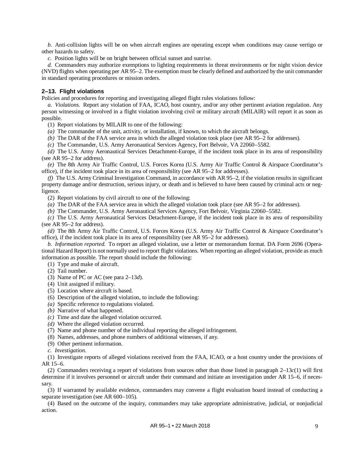*b.* Anti-collision lights will be on when aircraft engines are operating except when conditions may cause vertigo or other hazards to safety.

*c.* Position lights will be on bright between official sunset and sunrise.

*d.* Commanders may authorize exemptions to lighting requirements in threat environments or for night vision device (NVD) flights when operating per AR 95–2. The exemption must be clearly defined and authorized by the unit commander in standard operating procedures or mission orders.

# <span id="page-17-0"></span>**2–13. Flight violations**

Policies and procedures for reporting and investigating alleged flight rules violations follow:

*a. Violations.* Report any violation of FAA, ICAO, host country, and/or any other pertinent aviation regulation. Any person witnessing or involved in a flight violation involving civil or military aircraft (MILAIR) will report it as soon as possible.

(1) Report violations by MILAIR to one of the following:

*(a)* The commander of the unit, activity, or installation, if known, to which the aircraft belongs.

*(b)* The DAR of the FAA service area in which the alleged violation took place (see AR 95–2 for addresses).

*(c)* The Commander, U.S. Army Aeronautical Services Agency, Fort Belvoir, VA 22060–5582.

*(d)* The U.S. Army Aeronautical Services Detachment-Europe, if the incident took place in its area of responsibility (see AR 95–2 for address).

*(e)* The 8th Army Air Traffic Control, U.S. Forces Korea (U.S. Army Air Traffic Control & Airspace Coordinator's office), if the incident took place in its area of responsibility (see AR 95–2 for addresses).

*(f)* The U.S. Army Criminal Investigation Command, in accordance with AR 95–2, if the violation results in significant property damage and/or destruction, serious injury, or death and is believed to have been caused by criminal acts or negligence.

(2) Report violations by civil aircraft to one of the following:

*(a)* The DAR of the FAA service area in which the alleged violation took place (see AR 95–2 for addresses).

*(b)* The Commander, U.S. Army Aeronautical Services Agency, Fort Belvoir, Virginia 22060–5582.

*(c)* The U.S. Army Aeronautical Services Detachment-Europe, if the incident took place in its area of responsibility (see AR 95–2 for address).

*(d)* The 8th Army Air Traffic Control, U.S. Forces Korea (U.S. Army Air Traffic Control & Airspace Coordinator's office), if the incident took place in its area of responsibility (see AR 95–2 for addresses).

*b. Information reported.* To report an alleged violation, use a letter or memorandum format. DA Form 2696 (Operational Hazard Report) is not normally used to report flight violations. When reporting an alleged violation, provide as much information as possible. The report should include the following:

(1) Type and make of aircraft.

- (2) Tail number.
- (3) Name of PC or AC (see para [2–13](#page-18-1)*d*).
- (4) Unit assigned if military.
- (5) Location where aircraft is based.
- (6) Description of the alleged violation, to include the following:
- *(a)* Specific reference to regulations violated.
- *(b)* Narrative of what happened.
- *(c)* Time and date the alleged violation occurred.
- *(d)* Where the alleged violation occurred.
- (7) Name and phone number of the individual reporting the alleged infringement.
- (8) Names, addresses, and phone numbers of additional witnesses, if any.
- (9) Other pertinent information.
- *c. Investigation.*

<span id="page-17-1"></span>(1) Investigate reports of alleged violations received from the FAA, ICAO, or a host country under the provisions of AR 15–6.

(2) Commanders receiving a report of violations from sources other than those listed in [paragraph](#page-17-1) 2–13*c*(1) will first determine if it involves personnel or aircraft under their command and initiate an investigation under AR 15–6, if necessary.

(3) If warranted by available evidence, commanders may convene a flight evaluation board instead of conducting a separate investigation (see AR 600–105).

(4) Based on the outcome of the inquiry, commanders may take appropriate administrative, judicial, or nonjudicial action.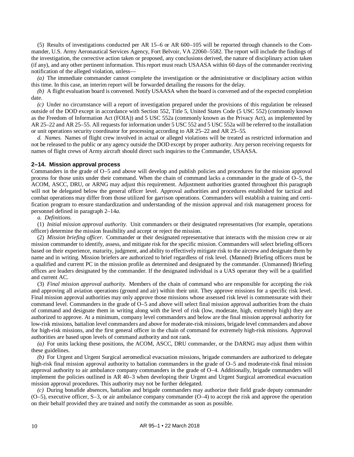(5) Results of investigations conducted per AR 15–6 or AR 600–105 will be reported through channels to the Commander, U.S. Army Aeronautical Services Agency, Fort Belvoir, VA 22060–5582. The report will include the findings of the investigation, the corrective action taken or proposed, any conclusions derived, the nature of disciplinary action taken (if any), and any other pertinent information. This report must reach USAASA within 60 days of the commander receiving notification of the alleged violation, unless—

*(a)* The immediate commander cannot complete the investigation or the administrative or disciplinary action within this time. In this case, an interim report will be forwarded detailing the reasons for the delay.

*(b)* A flight evaluation board is convened. Notify USAASA when the board is convened and of the expected completion date.

*(c)* Under no circumstance will a report of investigation prepared under the provisions of this regulation be released outside of the DOD except in accordance with Section 552, Title 5, United States Code (5 USC 552) (commonly known as the Freedom of Information Act (FOIA)) and 5 USC 552a (commonly known as the Privacy Act), as implemented by AR 25–22 and AR 25–55. All requests for information under 5 USC 552 and 5 USC 552a will be referred to the installation or unit operations security coordinator for processing according to AR 25–22 and AR 25–55.

<span id="page-18-1"></span>*d. Names.* Names of flight crew involved in actual or alleged violations will be treated as restricted information and not be released to the public or any agency outside the DOD except by proper authority. Any person receiving requests for names of flight crews of Army aircraft should direct such inquiries to the Commander, USAASA.

#### <span id="page-18-0"></span>**2–14. Mission approval process**

Commanders in the grade of O–5 and above will develop and publish policies and procedures for the mission approval process for those units under their command. When the chain of command lacks a commander in the grade of O–5, the ACOM, ASCC, DRU, or ARNG may adjust this requirement. Adjustment authorities granted throughout this paragraph will not be delegated below the general officer level. Approval authorities and procedures established for tactical and combat operations may differ from those utilized for garrison operations. Commanders will establish a training and certification program to ensure standardization and understanding of the mission approval and risk management process for personnel defined in [paragraph 2–14](#page-18-2)*a*.

#### <span id="page-18-2"></span>*a. Definitions.*

(1) *Initial mission approval authority.* Unit commanders or their designated representatives (for example, operations officer) determine the mission feasibility and accept or reject the mission.

(2) *Mission briefing officer.* Commander or their designated representative that interacts with the mission crew or air mission commander to identify, assess, and mitigate risk for the specific mission. Commanders will select briefing officers based on their experience, maturity, judgment, and ability to effectively mitigate risk to the aircrew and designate them by name and in writing. Mission briefers are authorized to brief regardless of risk level. (Manned) Briefing officers must be a qualified and current PC in the mission profile as determined and designated by the commander. (Unmanned) Briefing offices are leaders designated by the commander. If the designated individual is a UAS operator they will be a qualified and current AC.

(3) *Final mission approval authority.* Members of the chain of command who are responsible for accepting the risk and approving all aviation operations (ground and air) within their unit. They approve missions for a specific risk level. Final mission approval authorities may only approve those missions whose assessed risk level is commensurate with their command level. Commanders in the grade of O–5 and above will select final mission approval authorities from the chain of command and designate them in writing along with the level of risk (low, moderate, high, extremely high) they are authorized to approve. At a minimum, company level commanders and below are the final mission approval authority for low-risk missions, battalion level commanders and above for moderate-risk missions, brigade level commanders and above for high-risk missions, and the first general officer in the chain of command for extremely high-risk missions. Approval authorities are based upon levels of command authority and not rank.

*(a)* For units lacking these positions, the ACOM, ASCC, DRU commander, or the DARNG may adjust them within these guidelines.

*(b)* For Urgent and Urgent Surgical aeromedical evacuation missions, brigade commanders are authorized to delegate high-risk final mission approval authority to battalion commanders in the grade of O–5 and moderate-risk final mission approval authority to air ambulance company commanders in the grade of O–4. Additionally, brigade commanders will implement the policies outlined in AR 40–3 when developing their Urgent and Urgent Surgical aeromedical evacuation mission approval procedures. This authority may not be further delegated.

*(c)* During bonafide absences, battalion and brigade commanders may authorize their field grade deputy commander (O–5), executive officer, S–3, or air ambulance company commander (O–4) to accept the risk and approve the operation on their behalf provided they are trained and notify the commander as soon as possible.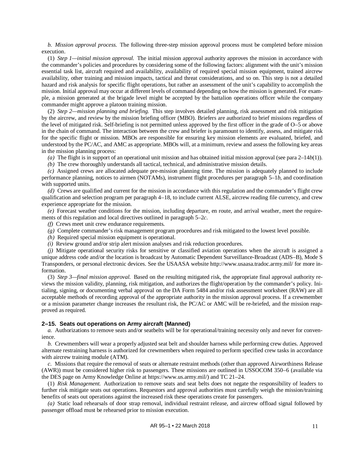*b. Mission approval process.* The following three-step mission approval process must be completed before mission execution.

<span id="page-19-1"></span>(1) *Step 1—initial mission approval.* The initial mission approval authority approves the mission in accordance with the commander's policies and procedures by considering some of the following factors: alignment with the unit's mission essential task list, aircraft required and availability, availability of required special mission equipment, trained aircrew availability, other training and mission impacts, tactical and threat considerations, and so on. This step is not a detailed hazard and risk analysis for specific flight operations, but rather an assessment of the unit's capability to accomplish the mission. Initial approval may occur at different levels of command depending on how the mission is generated. For example, a mission generated at the brigade level might be accepted by the battalion operations officer while the company commander might approve a platoon training mission.

(2) *Step 2—mission planning and briefing.* This step involves detailed planning, risk assessment and risk mitigation by the aircrew, and review by the mission briefing officer (MBO). Briefers are authorized to brief missions regardless of the level of mitigated risk. Self-briefing is not permitted unless approved by the first officer in the grade of O–5 or above in the chain of command. The interaction between the crew and briefer is paramount to identify, assess, and mitigate risk for the specific flight or mission. MBOs are responsible for ensuring key mission elements are evaluated, briefed, and understood by the PC/AC, and AMC as appropriate. MBOs will, at a minimum, review and assess the following key areas in the mission planning process:

*(a)* The flight is in support of an operational unit mission and has obtained initial mission approval (see para [2–14](#page-19-1)*b*(1)).

*(b)* The crew thoroughly understands all tactical, technical, and administrative mission details.

*(c)* Assigned crews are allocated adequate pre-mission planning time. The mission is adequately planned to include performance planning, notices to airmen (NOTAMs), instrument flight procedures per [paragraph](#page-42-3) 5–1*b*, and coordination with supported units.

*(d)* Crews are qualified and current for the mission in accordance with this regulation and the commander's flight crew qualification and selection program per [paragraph](#page-35-6) 4–18, to include current ALSE, aircrew reading file currency, and crew experience appropriate for the mission.

*(e)* Forecast weather conditions for the mission, including departure, en route, and arrival weather, meet the requirements of this regulation and local directives outlined in [paragraph](#page-44-1) 5–2*c*.

*(f)* Crews meet unit crew endurance requirements.

- *(g)* Complete commander's risk management program procedures and risk mitigated to the lowest level possible.
- *(h)* Required special mission equipment is operational.
- *(i)* Review ground and/or strip alert mission analyses and risk reduction procedures.

*(j)* Mitigate operational security risks for sensitive or classified aviation operations when the aircraft is assigned a unique address code and/or the location is broadcast by Automatic Dependent Surveillance-Broadcast (ADS–B), Mode S Transponders, or personal electronic devices. See the USAASA websit[e http://www.usaasa.tradoc.army.mil/](http://www.usaasa.tradoc.army.mil/) for more information.

(3) *Step 3—final mission approval.* Based on the resulting mitigated risk, the appropriate final approval authority reviews the mission validity, planning, risk mitigation, and authorizes the flight/operation by the commander's policy. Initialing, signing, or documenting verbal approval on the DA Form 5484 and/or risk assessment worksheet (RAW) are all acceptable methods of recording approval of the appropriate authority in the mission approval process. If a crewmember or a mission parameter change increases the resultant risk, the PC/AC or AMC will be re-briefed, and the mission reapproved as required.

#### <span id="page-19-0"></span>**2–15. Seats out operations on Army aircraft (Manned)**

*a.* Authorizations to remove seats and/or seatbelts will be for operational/training necessity only and never for convenience.

*b.* Crewmembers will wear a properly adjusted seat belt and shoulder harness while performing crew duties. Approved alternate restraining harness is authorized for crewmembers when required to perform specified crew tasks in accordance with aircrew training module (ATM).

*c.* Missions that require the removal of seats or alternate restraint methods (other than approved Airworthiness Release (AWR)) must be considered higher risk to passengers. These missions are outlined in USSOCOM 350–6 (available via the DES page on Army Knowledge Online at [https://www.us.army.mil/\)](https://www.us.army.mil/) and TC 21–24.

(1) *Risk Management.* Authorization to remove seats and seat belts does not negate the responsibility of leaders to further risk mitigate seats out operations. Requestors and approval authorities must carefully weigh the mission/training benefits of seats out operations against the increased risk these operations create for passengers.

*(a)* Static load rehearsals of door strap removal, individual restraint release, and aircrew offload signal followed by passenger offload must be rehearsed prior to mission execution.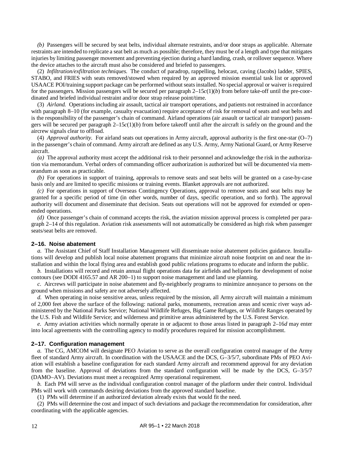<span id="page-20-2"></span>*(b)* Passengers will be secured by seat belts, individual alternate restraints, and/or door straps as applicable. Alternate restraints are intended to replicate a seat belt as much as possible; therefore, they must be of a length and type that mitigates injuries by limiting passenger movement and preventing ejection during a hard landing, crash, or rollover sequence. Where the device attaches to the aircraft must also be considered and briefed to passengers.

(2) *Infiltration/exfiltration techniques.* The conduct of paradrop, rappelling, helocast, caving (Jacobs) ladder, SPIES, STABO, and FRIES with seats removed/stowed when required by an approved mission essential task list or approved USAACE POI/training support package can be performed without seats installed. No special approval or waiver is required for the passengers. Mission passengers will be secured per [paragraph](#page-20-2) 2–15*c*(1)(*b*) from before take-off until the pre-coordinated and briefed individual restraint and/or door strap release point/time.

(3) *Airland.* Operations including air assault, tactical air transport operations, and patients not restrained in accordance with [paragraph](#page-57-1) 8–10 (for example, casualty evacuation) require acceptance of risk for removal of seats and seat belts and is the responsibility of the passenger's chain of command. Airland operations (air assault or tactical air transport) passengers will be secured per [paragraph](#page-20-2)  $2-15c(1)(b)$  from before takeoff until after the aircraft is safely on the ground and the aircrew signals clear to offload.

(4) *Approval authority.* For airland seats out operations in Army aircraft, approval authority is the first one-star (O–7) in the passenger's chain of command. Army aircraft are defined as any U.S. Army, Army National Guard, or Army Reserve aircraft.

*(a)* The approval authority must accept the additional risk to their personnel and acknowledge the risk in the authorization via memorandum. Verbal orders of commanding officer authorization is authorized but will be documented via memorandum as soon as practicable.

*(b)* For operations in support of training, approvals to remove seats and seat belts will be granted on a case-by-case basis only and are limited to specific missions or training events. Blanket approvals are not authorized.

*(c)* For operations in support of Overseas Contingency Operations, approval to remove seats and seat belts may be granted for a specific period of time (in other words, number of days, specific operation, and so forth). The approval authority will document and disseminate that decision. Seats out operations will not be approved for extended or openended operations.

*(d)* Once passenger's chain of command accepts the risk, the aviation mission approval process is completed pe[r para](#page-18-0)[graph](#page-18-0) 2–14 of this regulation. Aviation risk assessments will not automatically be considered as high risk when passenger seats/seat belts are removed.

#### <span id="page-20-1"></span>**2–16. Noise abatement**

*a.* The Assistant Chief of Staff Installation Management will disseminate noise abatement policies guidance. Installations will develop and publish local noise abatement programs that minimize aircraft noise footprint on and near the installation and within the local flying area and establish good public relations programs to educate and inform the public.

*b.* Installations will record and retain annual flight operations data for airfields and heliports for development of noise contours (see DODI 4165.57 and AR 200–1) to support noise management and land use planning.

*c.* Aircrews will participate in noise abatement and fly-neighborly programs to minimize annoyance to persons on the ground when missions and safety are not adversely affected.

<span id="page-20-3"></span>*d.* When operating in noise sensitive areas, unless required by the mission, all Army aircraft will maintain a minimum of 2,000 feet above the surface of the following: national parks, monuments, recreation areas and scenic river ways administered by the National Parks Service; National Wildlife Refuges, Big Game Refuges, or Wildlife Ranges operated by the U.S. Fish and Wildlife Service; and wilderness and primitive areas administered by the U.S. Forest Service.

*e.* Army aviation activities which normally operate in or adjacent to those areas listed in [paragraph](#page-20-3) 2–16*d* may enter into local agreements with the controlling agency to modify procedures required for mission accomplishment.

#### <span id="page-20-0"></span>**2–17. Configuration management**

*a.* The CG, AMCOM will designate PEO Aviation to serve as the overall configuration control manager of the Army fleet of standard Army aircraft. In coordination with the USAACE and the DCS, G–3/5/7, subordinate PMs of PEO Aviation will establish a baseline configuration for each standard Army aircraft and recommend approval for any deviation from the baseline. Approval of deviations from the standard configuration will be made by the DCS, G–3/5/7 (DAMO–AV). Deviations must meet a recognized Army operational requirement.

*b.* Each PM will serve as the individual configuration control manager of the platform under their control. Individual PMs will work with commands desiring deviations from the approved standard baseline.

(1) PMs will determine if an authorized deviation already exists that would fit the need.

(2) PMs will determine the cost and impact of such deviations and package the recommendation for consideration, after coordinating with the applicable agencies.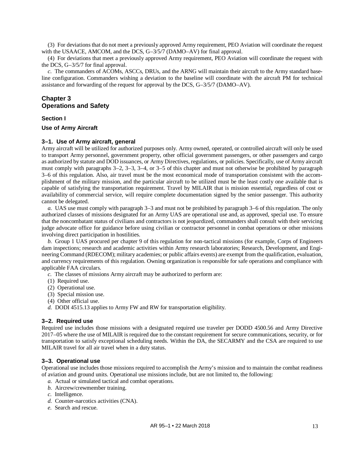(3) For deviations that do not meet a previously approved Army requirement, PEO Aviation will coordinate the request with the USAACE, AMCOM, and the DCS, G–3/5/7 (DAMO–AV) for final approval.

(4) For deviations that meet a previously approved Army requirement, PEO Aviation will coordinate the request with the DCS, G–3/5/7 for final approval.

*c.* The commanders of ACOMs, ASCCs, DRUs, and the ARNG will maintain their aircraft to the Army standard baseline configuration. Commanders wishing a deviation to the baseline will coordinate with the aircraft PM for technical assistance and forwarding of the request for approval by the DCS, G–3/5/7 (DAMO–AV).

# <span id="page-21-0"></span>**Chapter 3 Operations and Safety**

#### **Section I**

#### <span id="page-21-2"></span><span id="page-21-1"></span>**Use of Army Aircraft**

#### **3–1. Use of Army aircraft, general**

Army aircraft will be utilized for authorized purposes only. Army owned, operated, or controlled aircraft will only be used to transport Army personnel, government property, other official government passengers, or other passengers and cargo as authorized by statute and DOD issuances, or Army Directives, regulations, or policies. Specifically, use of Army aircraft must comply with paragraphs [3–2,](#page-21-3) [3–3,](#page-21-4) [3–4,](#page-22-0) or [3–5](#page-24-0) of this chapter and must not otherwise be prohibited by [paragraph](#page-24-1)  [3–6](#page-24-1) of this regulation. Also, air travel must be the most economical mode of transportation consistent with the accomplishment of the military mission, and the particular aircraft to be utilized must be the least costly one available that is capable of satisfying the transportation requirement. Travel by MILAIR that is mission essential, regardless of cost or availability of commercial service, will require complete documentation signed by the senior passenger. This authority cannot be delegated.

*a.* UAS use must comply wit[h paragraph](#page-21-4) 3–3 and must not be prohibited by [paragraph](#page-24-1) 3–6 of this regulation. The only authorized classes of missions designated for an Army UAS are operational use and, as approved, special use. To ensure that the noncombatant status of civilians and contractors is not jeopardized, commanders shall consult with their servicing judge advocate office for guidance before using civilian or contractor personnel in combat operations or other missions involving direct participation in hostilities.

*b.* Group 1 UAS procured per [chapter](#page-59-3) 9 of this regulation for non-tactical missions (for example, Corps of Engineers dam inspections; research and academic activities within Army research laboratories; Research, Development, and Engineering Command (RDECOM); military academies; or public affairs events) are exempt from the qualification, evaluation, and currency requirements of this regulation. Owning organization is responsible for safe operations and compliance with applicable FAA circulars.

*c.* The classes of missions Army aircraft may be authorized to perform are:

- (1) Required use.
- (2) Operational use.
- (3) Special mission use.
- (4) Other official use.
- *d.* DODI 4515.13 applies to Army FW and RW for transportation eligibility.

#### <span id="page-21-3"></span>**3–2. Required use**

Required use includes those missions with a designated required use traveler per DODD 4500.56 and Army Directive 2017–05 where the use of MILAIR is required due to the constant requirement for secure communications, security, or for transportation to satisfy exceptional scheduling needs. Within the DA, the SECARMY and the CSA are required to use MILAIR travel for all air travel when in a duty status.

#### <span id="page-21-4"></span>**3–3. Operational use**

Operational use includes those missions required to accomplish the Army's mission and to maintain the combat readiness of aviation and ground units. Operational use missions include, but are not limited to, the following:

- *a.* Actual or simulated tactical and combat operations.
- *b.* Aircrew/crewmember training.
- *c.* Intelligence.
- *d.* Counter-narcotics activities (CNA).
- *e.* Search and rescue.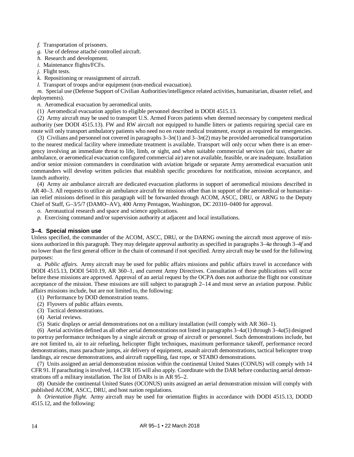*f.* Transportation of prisoners.

*g.* Use of defense attaché controlled aircraft.

*h.* Research and development.

*i.* Maintenance flights/FCFs.

*j.* Flight tests.

*k.* Repositioning or reassignment of aircraft.

*l.* Transport of troops and/or equipment (non-medical evacuation).

*m.* Special use (Defense Support of Civilian Authorities/intelligence related activities, humanitarian, disaster relief, and deployments).

<span id="page-22-6"></span>*n.* Aeromedical evacuation by aeromedical units.

<span id="page-22-1"></span>(1) Aeromedical evacuation applies to eligible personnel described in DODI 4515.13.

<span id="page-22-2"></span>(2) Army aircraft may be used to transport U.S. Armed Forces patients when deemed necessary by competent medical authority (see DODI 4515.13). FW and RW aircraft not equipped to handle litters or patients requiring special care en route will only transport ambulatory patients who need no en route medical treatment, except as required for emergencies.

(3) Civilians and personnel not covered in paragraph[s 3–3](#page-22-1)*n*(1) an[d 3–3](#page-22-2)*n*(2) may be provided aeromedical transportation to the nearest medical facility where immediate treatment is available. Transport will only occur when there is an emergency involving an immediate threat to life, limb, or sight, and when suitable commercial services (air taxi, charter air ambulance, or aeromedical evacuation configured commercial air) are not available, feasible, or are inadequate. Installation and/or senior mission commanders in coordination with aviation brigade or separate Army aeromedical evacuation unit commanders will develop written policies that establish specific procedures for notification, mission acceptance, and launch authority.

(4) Army air ambulance aircraft are dedicated evacuation platforms in support of aeromedical missions described in AR 40–3. All requests to utilize air ambulance aircraft for missions other than in support of the aeromedical or humanitarian relief missions defined in this paragraph will be forwarded through ACOM, ASCC, DRU, or ARNG to the Deputy Chief of Staff, G–3/5/7 (DAMO–AV), 400 Army Pentagon, Washington, DC 20310–0400 for approval.

*o.* Aeronautical research and space and science applications.

*p.* Exercising command and/or supervision authority at adjacent and local installations.

# <span id="page-22-0"></span>**3–4. Special mission use**

Unless specified, the commander of the ACOM, ASCC, DRU, or the DARNG owning the aircraft must approve of missions authorized in this paragraph. They may delegate approval authority as specified in paragraph[s 3–4](#page-22-3)*a* throug[h 3–4](#page-23-0)*f* and no lower than the first general officer in the chain of command if not specified. Army aircraft may be used for the following purposes:

<span id="page-22-3"></span>*a. Public affairs.* Army aircraft may be used for public affairs missions and public affairs travel in accordance with DODI 4515.13, DODI 5410.19, AR 360–1, and current Army Directives. Consultation of these publications will occur before these missions are approved. Approval of an aerial request by the OCPA does not authorize the flight nor constitute acceptance of the mission. These missions are still subject to [paragraph](#page-18-0) 2–14 and must serve an aviation purpose. Public affairs missions include, but are not limited to, the following:

- <span id="page-22-4"></span>(1) Performance by DOD demonstration teams.
- (2) Flyovers of public affairs events.
- (3) Tactical demonstrations.
- (4) Aerial reviews.
- <span id="page-22-5"></span>(5) Static displays or aerial demonstrations not on a military installation (will comply with AR 360–1).

(6) Aerial activities defined as all other aerial demonstrations not listed in paragraphs  $3-4a(1)$  through  $3-4a(5)$  designed to portray performance techniques by a single aircraft or group of aircraft or personnel. Such demonstrations include, but are not limited to, air to air refueling, helicopter flight techniques, maximum performance takeoff, performance record demonstrations, mass parachute jumps, air delivery of equipment, assault aircraft demonstrations, tactical helicopter troop landings, air rescue demonstrations, and aircraft rappelling, fast rope, or STABO demonstrations.

(7) Units assigned an aerial demonstration mission within the continental United States (CONUS) will comply with 14 CFR 91. If parachuting is involved, 14 CFR 105 will also apply. Coordinate with the DAR before conducting aerial demonstrations off a military installation. The list of DARs is in AR 95–2.

(8) Outside the continental United States (OCONUS) units assigned an aerial demonstration mission will comply with published ACOM, ASCC, DRU, and host nation regulations.

*b. Orientation flight.* Army aircraft may be used for orientation flights in accordance with DODI 4515.13, DODD 4515.12, and the following: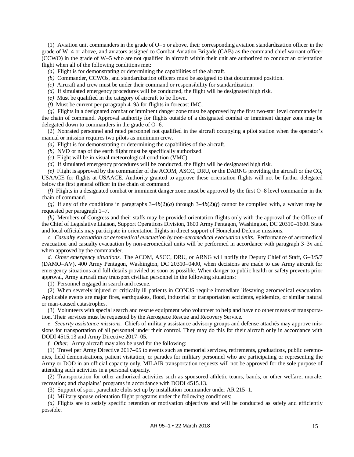(1) Aviation unit commanders in the grade of O–5 or above, their corresponding aviation standardization officer in the grade of W–4 or above, and aviators assigned to Combat Aviation Brigade (CAB) as the command chief warrant officer (CCWO) in the grade of W–5 who are not qualified in aircraft within their unit are authorized to conduct an orientation flight when all of the following conditions met:

*(a)* Flight is for demonstrating or determining the capabilities of the aircraft.

*(b)* Commander, CCWOs, and standardization officers must be assigned to that documented position.

*(c)* Aircraft and crew must be under their command or responsibility for standardization.

*(d)* If simulated emergency procedures will be conducted, the flight will be designated high risk.

*(e)* Must be qualified in the category of aircraft to be flown.

*(f)* Must be current per [paragraph](#page-32-1) 4–9*b* for flights in forecast IMC.

*(g)* Flights in a designated combat or imminent danger zone must be approved by the first two-star level commander in the chain of command. Approval authority for flights outside of a designated combat or imminent danger zone may be delegated down to commanders in the grade of O–6.

(2) Nonrated personnel and rated personnel not qualified in the aircraft occupying a pilot station when the operator's manual or mission requires two pilots as minimum crew.

*(a)* Flight is for demonstrating or determining the capabilities of the aircraft.

*(b)* NVD or nap of the earth flight must be specifically authorized.

*(c)* Flight will be in visual meteorological condition (VMC).

*(d)* If simulated emergency procedures will be conducted, the flight will be designated high risk.

*(e)* Flight is approved by the commander of the ACOM, ASCC, DRU, or the DARNG providing the aircraft or the CG, USAACE for flights at USAACE. Authority granted to approve these orientation flights will not be further delegated below the first general officer in the chain of command.

*(f)* Flights in a designated combat or imminent danger zone must be approved by the first O–8 level commander in the chain of command.

(g) If any of the conditions in paragraphs  $3-4b(2)(a)$  through  $3-4b(2)(f)$  cannot be complied with, a waiver may be requested per [paragraph](#page-9-8) 1–7.

*(h)* Members of Congress and their staffs may be provided orientation flights only with the approval of the Office of the Chief of Legislative Liaison, Support Operations Division, 1600 Army Pentagon, Washington, DC 20310–1600. State and local officials may participate in orientation flights in direct support of Homeland Defense missions.

*c. Casualty evacuation or aeromedical evacuation by non-aeromedical evacuation units.* Performance of aeromedical evacuation and casualty evacuation by non-aeromedical units will be performed in accordance with [paragraph](#page-22-6) 3–3*n* and when approved by the commander.

*d. Other emergency situations.* The ACOM, ASCC, DRU, or ARNG will notify the Deputy Chief of Staff, G–3/5/7 (DAMO–AV), 400 Army Pentagon, Washington, DC 20310–0400, when decisions are made to use Army aircraft for emergency situations and full details provided as soon as possible. When danger to public health or safety prevents prior approval, Army aircraft may transport civilian personnel in the following situations:

(1) Personnel engaged in search and rescue.

(2) When severely injured or critically ill patients in CONUS require immediate lifesaving aeromedical evacuation. Applicable events are major fires, earthquakes, flood, industrial or transportation accidents, epidemics, or similar natural or man-caused catastrophes.

(3) Volunteers with special search and rescue equipment who volunteer to help and have no other means of transportation. Their services must be requested by the Aerospace Rescue and Recovery Service.

*e. Security assistance missions.* Chiefs of military assistance advisory groups and defense attachés may approve missions for transportation of all personnel under their control. They may do this for their aircraft only in accordance with DODI 4515.13 and Army Directive 2017–05.

<span id="page-23-0"></span>*f. Other.* Army aircraft may also be used for the following:

(1) Travel per Army Directive 2017–05 to events such as memorial services, retirements, graduations, public ceremonies, field demonstrations, patient visitation, or parades for military personnel who are participating or representing the Army or DOD in an official capacity only. MILAIR transportation requests will not be approved for the sole purpose of attending such activities in a personal capacity.

(2) Transportation for other authorized activities such as sponsored athletic teams, bands, or other welfare; morale; recreation; and chaplains' programs in accordance with DODI 4515.13.

(3) Support of sport parachute clubs set up by installation commander under AR 215–1.

(4) Military spouse orientation flight programs under the following conditions:

*(a)* Flights are to satisfy specific retention or motivation objectives and will be conducted as safely and efficiently possible.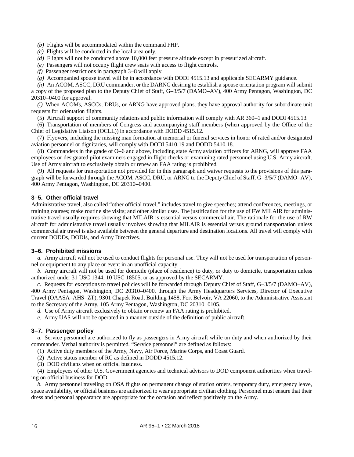*(b)* Flights will be accommodated within the command FHP.

- *(c)* Flights will be conducted in the local area only.
- *(d)* Flights will not be conducted above 10,000 feet pressure altitude except in pressurized aircraft.
- *(e)* Passengers will not occupy flight crew seats with access to flight controls.
- *(f)* Passenger restrictions i[n paragraph](#page-25-0) 3–8 will apply.
- *(g)* Accompanied spouse travel will be in accordance with DODI 4515.13 and applicable SECARMY guidance.

*(h)* An ACOM, ASCC, DRU commander, or the DARNG desiring to establish a spouse orientation program will submit a copy of the proposed plan to the Deputy Chief of Staff, G–3/5/7 (DAMO–AV), 400 Army Pentagon, Washington, DC 20310–0400 for approval.

*(i)* When ACOMs, ASCCs, DRUs, or ARNG have approved plans, they have approval authority for subordinate unit requests for orientation flights.

(5) Aircraft support of community relations and public information will comply with AR 360–1 and DODI 4515.13.

(6) Transportation of members of Congress and accompanying staff members (when approved by the Office of the Chief of Legislative Liaison (OCLL)) in accordance with DODD 4515.12.

(7) Flyovers, including the missing man formation at memorial or funeral services in honor of rated and/or designated aviation personnel or dignitaries, will comply with DODI 5410.19 and DODD 5410.18.

(8) Commanders in the grade of O–6 and above, including state Army aviation officers for ARNG, will approve FAA employees or designated pilot examiners engaged in flight checks or examining rated personnel using U.S. Army aircraft. Use of Army aircraft to exclusively obtain or renew an FAA rating is prohibited.

(9) All requests for transportation not provided for in this paragraph and waiver requests to the provisions of this paragraph will be forwarded through the ACOM, ASCC, DRU, or ARNG to the Deputy Chief of Staff, G–3/5/7 (DAMO–AV), 400 Army Pentagon, Washington, DC 20310–0400.

# <span id="page-24-0"></span>**3–5. Other official travel**

Administrative travel, also called "other official travel," includes travel to give speeches; attend conferences, meetings, or training courses; make routine site visits; and other similar uses. The justification for the use of FW MILAIR for administrative travel usually requires showing that MILAIR is essential versus commercial air. The rationale for the use of RW aircraft for administrative travel usually involves showing that MILAIR is essential versus ground transportation unless commercial air travel is also available between the general departure and destination locations. All travel will comply with current DODDs, DODIs, and Army Directives.

# <span id="page-24-1"></span>**3–6. Prohibited missions**

*a.* Army aircraft will not be used to conduct flights for personal use. They will not be used for transportation of personnel or equipment to any place or event in an unofficial capacity.

*b.* Army aircraft will not be used for domicile (place of residence) to duty, or duty to domicile, transportation unless authorized under 31 USC 1344, 10 USC 18505, or as approved by the SECARMY.

*c.* Requests for exceptions to travel policies will be forwarded through Deputy Chief of Staff, G–3/5/7 (DAMO–AV), 400 Army Pentagon, Washington, DC 20310–0400, through the Army Headquarters Services, Director of Executive Travel (OAASA–AHS–ZT), 9301 Chapek Road, Building 1458, Fort Belvoir, VA 22060, to the Administrative Assistant to the Secretary of the Army, 105 Army Pentagon, Washington, DC 20310–0105.

*d.* Use of Army aircraft exclusively to obtain or renew an FAA rating is prohibited.

*e.* Army UAS will not be operated in a manner outside of the definition of public aircraft.

# <span id="page-24-2"></span>**3–7. Passenger policy**

*a.* Service personnel are authorized to fly as passengers in Army aircraft while on duty and when authorized by their commander. Verbal authority is permitted. "Service personnel" are defined as follows:

(1) Active duty members of the Army, Navy, Air Force, Marine Corps, and Coast Guard.

(2) Active status member of RC as defined in DODD 4515.12.

(3) DOD civilians when on official business.

(4) Employees of other U.S. Government agencies and technical advisors to DOD component authorities when traveling on official business for DOD.

*b.* Army personnel traveling on OSA flights on permanent change of station orders, temporary duty, emergency leave, space availability, or official business are authorized to wear appropriate civilian clothing. Personnel must ensure that their dress and personal appearance are appropriate for the occasion and reflect positively on the Army.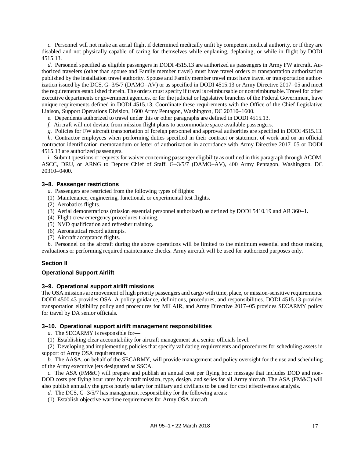*c.* Personnel will not make an aerial flight if determined medically unfit by competent medical authority, or if they are disabled and not physically capable of caring for themselves while enplaning, deplaning, or while in flight by DODI 4515.13.

*d.* Personnel specified as eligible passengers in DODI 4515.13 are authorized as passengers in Army FW aircraft. Authorized travelers (other than spouse and Family member travel) must have travel orders or transportation authorization published by the installation travel authority. Spouse and Family member travel must have travel or transportation authorization issued by the DCS, G–3/5/7 (DAMO–AV) or as specified in DODI 4515.13 or Army Directive 2017–05 and meet the requirements established therein. The orders must specify if travel is reimbursable or nonreimbursable. Travel for other executive departments or government agencies, or for the judicial or legislative branches of the Federal Government, have unique requirements defined in DODI 4515.13. Coordinate these requirements with the Office of the Chief Legislative Liaison, Support Operations Division, 1600 Army Pentagon, Washington, DC 20310–1600.

*e.* Dependents authorized to travel under this or other paragraphs are defined in DODI 4515.13.

*f.* Aircraft will not deviate from mission flight plans to accommodate space available passengers.

*g.* Policies for FW aircraft transportation of foreign personnel and approval authorities are specified in DODI 4515.13.

*h.* Contractor employees when performing duties specified in their contract or statement of work and on an official contractor identification memorandum or letter of authorization in accordance with Army Directive 2017–05 or DODI 4515.13 are authorized passengers.

*i.* Submit questions or requests for waiver concerning passenger eligibility as outlined in this paragraph through ACOM, ASCC, DRU, or ARNG to Deputy Chief of Staff, G–3/5/7 (DAMO–AV), 400 Army Pentagon, Washington, DC 20310–0400.

#### <span id="page-25-0"></span>**3–8. Passenger restrictions**

- *a.* Passengers are restricted from the following types of flights:
- (1) Maintenance, engineering, functional, or experimental test flights.
- (2) Aerobatics flights.
- (3) Aerial demonstrations (mission essential personnel authorized) as defined by DODI 5410.19 and AR 360–1.
- (4) Flight crew emergency procedures training.
- (5) NVD qualification and refresher training.
- (6) Aeronautical record attempts.
- (7) Aircraft acceptance flights.

*b.* Personnel on the aircraft during the above operations will be limited to the minimum essential and those making evaluations or performing required maintenance checks. Army aircraft will be used for authorized purposes only.

#### **Section II**

#### <span id="page-25-2"></span><span id="page-25-1"></span>**Operational Support Airlift**

#### **3–9. Operational support airlift missions**

The OSA missions are movement of high priority passengers and cargo with time, place, or mission-sensitive requirements. DODI 4500.43 provides OSA–A policy guidance, definitions, procedures, and responsibilities. DODI 4515.13 provides transportation eligibility policy and procedures for MILAIR, and Army Directive 2017–05 provides SECARMY policy for travel by DA senior officials.

#### <span id="page-25-4"></span><span id="page-25-3"></span>**3–10. Operational support airlift management responsibilities**

*a.* The SECARMY is responsible for—

(1) Establishing clear accountability for aircraft management at a senior officials level.

(2) Developing and implementing policies that specify validating requirements and procedures for scheduling assets in support of Army OSA requirements.

<span id="page-25-6"></span>*b.* The AASA, on behalf of the SECARMY, will provide management and policy oversight for the use and scheduling of the Army executive jets designated as SSCA.

<span id="page-25-5"></span>*c.* The ASA (FM&C) will prepare and publish an annual cost per flying hour message that includes DOD and non-DOD costs per flying hour rates by aircraft mission, type, design, and series for all Army aircraft. The ASA (FM&C) will also publish annually the gross hourly salary for military and civilians to be used for cost effectiveness analysis.

*d.* The DCS, G–3/5/7 has management responsibility for the following areas:

(1) Establish objective wartime requirements for Army OSA aircraft.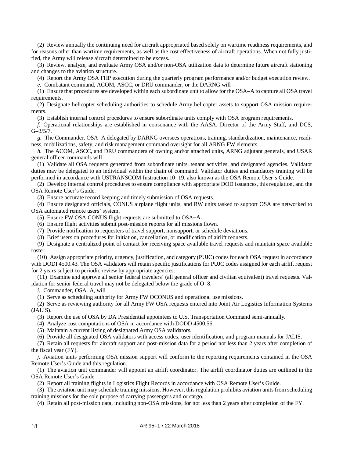(2) Review annually the continuing need for aircraft appropriated based solely on wartime readiness requirements, and for reasons other than wartime requirements, as well as the cost effectiveness of aircraft operations. When not fully justified, the Army will release aircraft determined to be excess.

(3) Review, analyze, and evaluate Army OSA and/or non-OSA utilization data to determine future aircraft stationing and changes to the aviation structure.

(4) Report the Army OSA FHP execution during the quarterly program performance and/or budget execution review.

*e.* Combatant command, ACOM, ASCC, or DRU commander, or the DARNG will—

(1) Ensure that procedures are developed within each subordinate unit to allow for the OSA–A to capture all OSA travel requirements.

(2) Designate helicopter scheduling authorities to schedule Army helicopter assets to support OSA mission requirements.

(3) Establish internal control procedures to ensure subordinate units comply with OSA program requirements.

<span id="page-26-0"></span>*f.* Operational relationships are established in consonance with the AASA, Director of the Army Staff, and DCS,  $G - \frac{3}{5}{7}$ .

*g.* The Commander, OSA–A delegated by DARNG oversees operations, training, standardization, maintenance, readiness, mobilizations, safety, and risk management command oversight for all ARNG FW elements.

*h.* The ACOM, ASCC, and DRU commanders of owning and/or attached units, ARNG adjutant generals, and USAR general officer commands will—

(1) Validate all OSA requests generated from subordinate units, tenant activities, and designated agencies. Validator duties may be delegated to an individual within the chain of command. Validator duties and mandatory training will be performed in accordance with USTRANSCOM Instruction 10–19, also known as the OSA Remote User's Guide.

(2) Develop internal control procedures to ensure compliance with appropriate DOD issuances, this regulation, and the OSA Remote User's Guide.

(3) Ensure accurate record keeping and timely submission of OSA requests.

(4) Ensure designated officials, CONUS airplane flight units, and RW units tasked to support OSA are networked to OSA automated remote users' system.

(5) Ensure FW OSA CONUS flight requests are submitted to OSA–A.

(6) Ensure flight activities submit post-mission reports for all missions flown.

(7) Provide notification to requesters of travel support, nonsupport, or schedule deviations.

(8) Brief users on procedures for initiation, cancellation, or modification of airlift requests.

(9) Designate a centralized point of contact for receiving space available travel requests and maintain space available roster.

(10) Assign appropriate priority, urgency, justification, and category (PUJC) codes for each OSA request in accordance with DODI 4500.43. The OSA validators will retain specific justifications for PUJC codes assigned for each airlift request for 2 years subject to periodic review by appropriate agencies.

(11) Examine and approve all senior federal travelers' (all general officer and civilian equivalent) travel requests. Validation for senior federal travel may not be delegated below the grade of O–8.

*i.* Commander, OSA–A, will—

(1) Serve as scheduling authority for Army FW OCONUS and operational use missions.

(2) Serve as reviewing authority for all Army FW OSA requests entered into Joint Air Logistics Information Systems (JALIS).

(3) Report the use of OSA by DA Presidential appointees to U.S. Transportation Command semi-annually.

- (4) Analyze cost computations of OSA in accordance with DODD 4500.56.
- (5) Maintain a current listing of designated Army OSA validators.

(6) Provide all designated OSA validators with access codes, user identification, and program manuals for JALIS.

(7) Retain all requests for aircraft support and post-mission data for a period not less than 2 years after completion of the fiscal year (FY).

*j.* Aviation units performing OSA mission support will conform to the reporting requirements contained in the OSA Remote User's Guide and this regulation.

(1) The aviation unit commander will appoint an airlift coordinator. The airlift coordinator duties are outlined in the OSA Remote User's Guide.

(2) Report all training flights in Logistics Flight Records in accordance with OSA Remote User's Guide.

(3) The aviation unit may schedule training missions. However, this regulation prohibits aviation units from scheduling training missions for the sole purpose of carrying passengers and or cargo.

(4) Retain all post-mission data, including non-OSA missions, for not less than 2 years after completion of the FY.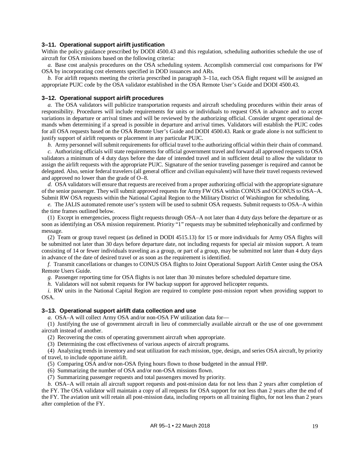# <span id="page-27-0"></span>**3–11. Operational support airlift justification**

Within the policy guidance prescribed by DODI 4500.43 and this regulation, scheduling authorities schedule the use of aircraft for OSA missions based on the following criteria:

<span id="page-27-3"></span>*a.* Base cost analysis procedures on the OSA scheduling system. Accomplish commercial cost comparisons for FW OSA by incorporating cost elements specified in DOD issuances and ARs.

*b.* For airlift requests meeting the criteria prescribed in [paragraph](#page-27-3) 3–11*a*, each OSA flight request will be assigned an appropriate PUJC code by the OSA validator established in the OSA Remote User's Guide and DODI 4500.43.

#### <span id="page-27-1"></span>**3–12. Operational support airlift procedures**

*a.* The OSA validators will publicize transportation requests and aircraft scheduling procedures within their areas of responsibility. Procedures will include requirements for units or individuals to request OSA in advance and to accept variations in departure or arrival times and will be reviewed by the authorizing official. Consider urgent operational demands when determining if a spread is possible in departure and arrival times. Validators will establish the PUJC codes for all OSA requests based on the OSA Remote User's Guide and DODI 4500.43. Rank or grade alone is not sufficient to justify support of airlift requests or placement in any particular PUJC.

*b.* Army personnel will submit requirements for official travel to the authorizing official within their chain of command.

*c.* Authorizing officials will state requirements for official government travel and forward all approved requests to OSA validators a minimum of 4 duty days before the date of intended travel and in sufficient detail to allow the validator to assign the airlift requests with the appropriate PUJC. Signature of the senior traveling passenger is required and cannot be delegated. Also, senior federal travelers (all general officer and civilian equivalent) will have their travel requests reviewed and approved no lower than the grade of O–8.

*d.* OSA validators will ensure that requests are received from a proper authorizing official with the appropriate signature of the senior passenger. They will submit approved requests for Army FW OSA within CONUS and OCONUS to OSA–A. Submit RW OSA requests within the National Capital Region to the Military District of Washington for scheduling.

*e.* The JALIS automated remote user's system will be used to submit OSA requests. Submit requests to OSA–A within the time frames outlined below.

(1) Except in emergencies, process flight requests through OSA–A not later than 4 duty days before the departure or as soon as identifying an OSA mission requirement. Priority "1" requests may be submitted telephonically and confirmed by message.

(2) Team or group travel request (as defined in DODI 4515.13) for 15 or more individuals for Army OSA flights will be submitted not later than 30 days before departure date, not including requests for special air mission support. A team consisting of 14 or fewer individuals traveling as a group, or part of a group, may be submitted not later than 4 duty days in advance of the date of desired travel or as soon as the requirement is identified.

*f.* Transmit cancellations or changes to CONUS OSA flights to Joint Operational Support Airlift Center using the OSA Remote Users Guide.

*g.* Passenger reporting time for OSA flights is not later than 30 minutes before scheduled departure time.

*h.* Validators will not submit requests for FW backup support for approved helicopter requests.

*i.* RW units in the National Capital Region are required to complete post-mission report when providing support to OSA.

#### <span id="page-27-2"></span>**3–13. Operational support airlift data collection and use**

*a.* OSA–A will collect Army OSA and/or non-OSA FW utilization data for—

(1) Justifying the use of government aircraft in lieu of commercially available aircraft or the use of one government aircraft instead of another.

(2) Recovering the costs of operating government aircraft when appropriate.

(3) Determining the cost effectiveness of various aspects of aircraft programs.

(4) Analyzing trends in inventory and seat utilization for each mission, type, design, and series OSA aircraft, by priority of travel, to include opportune airlift.

(5) Comparing OSA and/or non-OSA flying hours flown to those budgeted in the annual FHP.

(6) Summarizing the number of OSA and/or non-OSA missions flown.

(7) Summarizing passenger requests and total passengers moved by priority.

*b.* OSA–A will retain all aircraft support requests and post-mission data for not less than 2 years after completion of the FY. The OSA validator will maintain a copy of all requests for OSA support for not less than 2 years after the end of the FY. The aviation unit will retain all post-mission data, including reports on all training flights, for not less than 2 years after completion of the FY.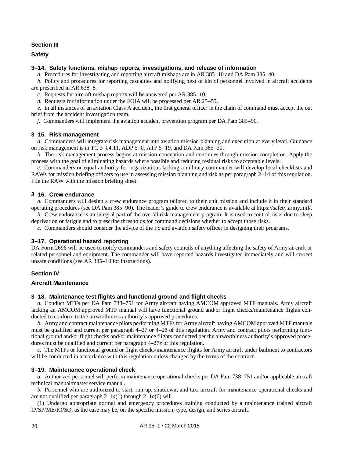# **Section III**

<span id="page-28-1"></span><span id="page-28-0"></span>**Safety**

## **3–14. Safety functions, mishap reports, investigations, and release of information**

*a.* Procedures for investigating and reporting aircraft mishaps are in AR 385–10 and DA Pam 385–40.

*b.* Policy and procedures for reporting casualties and notifying next of kin of personnel involved in aircraft accidents are prescribed in AR 638–8.

*c.* Requests for aircraft mishap reports will be answered per AR 385–10.

*d.* Requests for information under the FOIA will be processed per AR 25–55.

*e.* In all instances of an aviation Class A accident, the first general officer in the chain of command must accept the out brief from the accident investigation team.

<span id="page-28-2"></span>*f.* Commanders will implement the aviation accident prevention program per DA Pam 385–90.

#### **3–15. Risk management**

*a.* Commanders will integrate risk management into aviation mission planning and execution at every level. Guidance on risk management is in TC 3–04.11, ADP 5–0, ATP 5–19, and DA Pam 385–30.

*b.* The risk management process begins at mission conception and continues through mission completion. Apply the process with the goal of eliminating hazards where possible and reducing residual risks to acceptable levels.

*c.* Commanders or equal authority for organizations lacking a military commander will develop local checklists and RAWs for mission briefing officers to use in assessing mission planning and risk as per [paragraph](#page-18-0) 2–14 of this regulation. File the RAW with the mission briefing sheet.

#### <span id="page-28-3"></span>**3–16. Crew endurance**

*a.* Commanders will design a crew endurance program tailored to their unit mission and include it in their standard operating procedures (see DA Pam 385–90). The leader's guide to crew endurance is available at [https://safety.army.mil/.](https://safety.army.mil/)

*b.* Crew endurance is an integral part of the overall risk management program. It is used to control risks due to sleep deprivation or fatigue and to prescribe thresholds for command decisions whether to accept those risks.

*c.* Commanders should consider the advice of the FS and aviation safety officer in designing their programs.

#### <span id="page-28-4"></span>**3–17. Operational hazard reporting**

DA Form 2696 will be used to notify commanders and safety councils of anything affecting the safety of Army aircraft or related personnel and equipment. The commander will have reported hazards investigated immediately and will correct unsafe conditions (see AR 385–10 for instructions).

# **Section IV**

#### <span id="page-28-6"></span><span id="page-28-5"></span>**Aircraft Maintenance**

#### **3–18. Maintenance test flights and functional ground and flight checks**

*a.* Conduct MTFs per DA Pam 738–751 for Army aircraft having AMCOM approved MTF manuals. Army aircraft lacking an AMCOM approved MTF manual will have functional ground and/or flight checks/maintenance flights conducted to conform to the airworthiness authority's approved procedures.

*b.* Army and contract maintenance pilots performing MTFs for Army aircraft having AMCOM approved MTF manuals must be qualified and current per paragraph [4–27](#page-37-2) or [4–28](#page-38-1) of this regulation. Army and contract pilots performing functional ground and/or flight checks and/or maintenance flights conducted per the airworthiness authority's approved procedures must be qualified and current per [paragraph](#page-38-6) 4–27*e* of this regulation.

*c.* The MTFs or functional ground or flight checks/maintenance flights for Army aircraft under bailment to contractors will be conducted in accordance with this regulation unless changed by the terms of the contract.

#### <span id="page-28-7"></span>**3–19. Maintenance operational check**

*a.* Authorized personnel will perform maintenance operational checks per DA Pam 738–751 and/or applicable aircraft technical manual/master service manual.

*b.* Personnel who are authorized to start, run-up, shutdown, and taxi aircraft for maintenance operational checks and are not qualified per paragraph [2–1](#page-12-4)*a*(1) through 2–1*a*(6) will—

(1) Undergo appropriate normal and emergency procedures training conducted by a maintenance trained aircraft IP/SP/ME/IO/SO, as the case may be, on the specific mission, type, design, and series aircraft.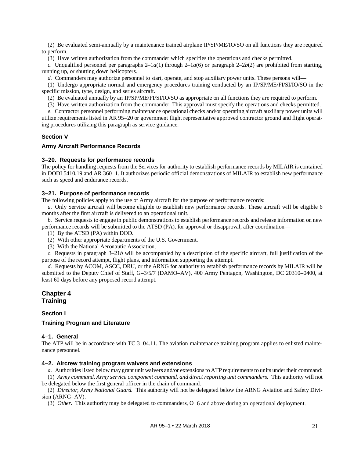(2) Be evaluated semi-annually by a maintenance trained airplane IP/SP/ME/IO/SO on all functions they are required to perform.

(3) Have written authorization from the commander which specifies the operations and checks permitted.

*c.* Unqualified personnel per [paragraph](#page-13-3)s  $2-1a(1)$  through  $2-1a(6)$  or paragraph  $2-2b(2)$  are prohibited from starting, running up, or shutting down helicopters.

*d.* Commanders may authorize personnel to start, operate, and stop auxiliary power units. These persons will—

(1) Undergo appropriate normal and emergency procedures training conducted by an IP/SP/ME/FI/SI/IO/SO in the specific mission, type, design, and series aircraft.

(2) Be evaluated annually by an IP/SP/ME/FI/SI/IO/SO as appropriate on all functions they are required to perform.

(3) Have written authorization from the commander. This approval must specify the operations and checks permitted.

*e.* Contractor personnel performing maintenance operational checks and/or operating aircraft auxiliary power units will utilize requirements listed in AR 95–20 or government flight representative approved contractor ground and flight operating procedures utilizing this paragraph as service guidance.

# **Section V**

#### <span id="page-29-3"></span><span id="page-29-2"></span>**Army Aircraft Performance Records**

#### **3–20. Requests for performance records**

The policy for handling requests from the Services for authority to establish performance records by MILAIR is contained in DODI 5410.19 and AR 360–1. It authorizes periodic official demonstrations of MILAIR to establish new performance such as speed and endurance records.

# <span id="page-29-4"></span>**3–21. Purpose of performance records**

The following policies apply to the use of Army aircraft for the purpose of performance records:

*a.* Only Service aircraft will become eligible to establish new performance records. These aircraft will be eligible 6 months after the first aircraft is delivered to an operational unit.

<span id="page-29-7"></span>*b.* Service requests to engage in public demonstrations to establish performance records and release information on new performance records will be submitted to the ATSD (PA), for approval or disapproval, after coordination—

- (1) By the ATSD (PA) within DOD.
- (2) With other appropriate departments of the U.S. Government.
- (3) With the National Aeronautic Association.

*c.* Requests in [paragraph](#page-29-7) 3–21*b* will be accompanied by a description of the specific aircraft, full justification of the purpose of the record attempt, flight plans, and information supporting the attempt.

*d.* Requests by ACOM, ASCC, DRU, or the ARNG for authority to establish performance records by MILAIR will be submitted to the Deputy Chief of Staff, G–3/5/7 (DAMO–AV), 400 Army Pentagon, Washington, DC 20310–0400, at least 60 days before any proposed record attempt.

# <span id="page-29-0"></span>**Chapter 4 Training**

# **Section I**

# <span id="page-29-6"></span><span id="page-29-5"></span>**Training Program and Literature**

#### **4–1. General**

The ATP will be in accordance with TC 3-04.11. The aviation maintenance training program applies to enlisted maintenance personnel.

# <span id="page-29-1"></span>**4–2. Aircrew training program waivers and extensions**

*a.* Authorities listed below may grant unit waivers and/or extensions to ATP requirements to units under their command:

(1) *Army command, Army service component command, and direct reporting unit commanders.* This authority will not be delegated below the first general officer in the chain of command.

(2) *Director, Army National Guard.* This authority will not be delegated below the ARNG Aviation and Safety Division (ARNG–AV).

(3) *Other.* This authority may be delegated to commanders, O–6 and above during an operational deployment.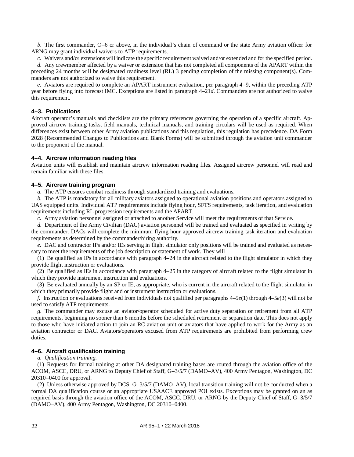*b.* The first commander, O–6 or above, in the individual's chain of command or the state Army aviation officer for ARNG may grant individual waivers to ATP requirements.

*c.* Waivers and/or extensions will indicate the specific requirement waived and/or extended and for the specified period.

*d.* Any crewmember affected by a waiver or extension that has not completed all components of the APART within the preceding 24 months will be designated readiness level (RL) 3 pending completion of the missing component(s). Commanders are not authorized to waive this requirement.

*e.* Aviators are required to complete an APART instrument evaluation, per [paragraph](#page-32-0) 4–9, within the preceding ATP year before flying into forecast IMC. Exceptions are listed in [paragraph](#page-36-5) 4–21*d*. Commanders are not authorized to waive this requirement.

# <span id="page-30-1"></span>**4–3. Publications**

Aircraft operator's manuals and checklists are the primary references governing the operation of a specific aircraft. Approved aircrew training tasks, field manuals, technical manuals, and training circulars will be used as required. When differences exist between other Army aviation publications and this regulation, this regulation has precedence. DA Form 2028 (Recommended Changes to Publications and Blank Forms) will be submitted through the aviation unit commander to the proponent of the manual.

#### <span id="page-30-2"></span>**4–4. Aircrew information reading files**

Aviation units will establish and maintain aircrew information reading files. Assigned aircrew personnel will read and remain familiar with these files.

#### <span id="page-30-3"></span>**4–5. Aircrew training program**

*a.* The ATP ensures combat readiness through standardized training and evaluations.

*b.* The ATP is mandatory for all military aviators assigned to operational aviation positions and operators assigned to UAS equipped units. Individual ATP requirements include flying hour, SFTS requirements, task iteration, and evaluation requirements including RL progression requirements and the APART.

*c.* Army aviation personnel assigned or attached to another Service will meet the requirements of that Service.

*d.* Department of the Army Civilian (DAC) aviation personnel will be trained and evaluated as specified in writing by the commander. DACs will complete the minimum flying hour approved aircrew training task iteration and evaluation requirements as determined by the commander/hiring authority.

*e.* DAC and contractor IPs and/or IEs serving in flight simulator only positions will be trained and evaluated as necessary to meet the requirements of the job description or statement of work. They will—

<span id="page-30-4"></span>(1) Be qualified as IPs in accordance with [paragraph](#page-36-4) 4–24 in the aircraft related to the flight simulator in which they provide flight instruction or evaluations.

(2) Be qualified as IEs in accordance with [paragraph](#page-37-1) 4–25 in the category of aircraft related to the flight simulator in which they provide instrument instruction and evaluations.

<span id="page-30-5"></span>(3) Be evaluated annually by an SP or IE, as appropriate, who is current in the aircraft related to the flight simulator in which they primarily provide flight and or instrument instruction or evaluations.

*f.* Instruction or evaluations received from individuals not qualified per paragraphs  $4-5e(1)$  through  $4-5e(3)$  will not be used to satisfy ATP requirements.

*g.* The commander may excuse an aviator/operator scheduled for active duty separation or retirement from all ATP requirements, beginning no sooner than 6 months before the scheduled retirement or separation date. This does not apply to those who have initiated action to join an RC aviation unit or aviators that have applied to work for the Army as an aviation contractor or DAC. Aviators/operators excused from ATP requirements are prohibited from performing crew duties.

# <span id="page-30-0"></span>**4–6. Aircraft qualification training**

#### *a. Qualification training.*

(1) Requests for formal training at other DA designated training bases are routed through the aviation office of the ACOM, ASCC, DRU, or ARNG to Deputy Chief of Staff, G–3/5/7 (DAMO–AV), 400 Army Pentagon, Washington, DC 20310–0400 for approval.

(2) Unless otherwise approved by DCS, G–3/5/7 (DAMO–AV), local transition training will not be conducted when a formal DA qualification course or an appropriate USAACE approved POI exists. Exceptions may be granted on an as required basis through the aviation office of the ACOM, ASCC, DRU, or ARNG by the Deputy Chief of Staff, G–3/5/7 (DAMO–AV), 400 Army Pentagon, Washington, DC 20310–0400.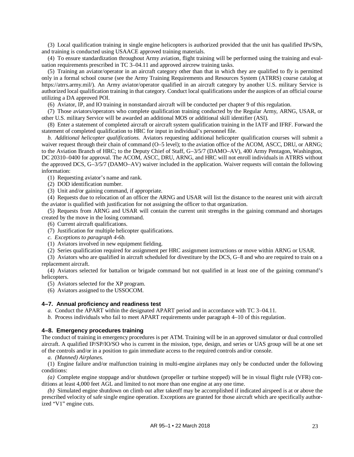(3) Local qualification training in single engine helicopters is authorized provided that the unit has qualified IPs/SPs, and training is conducted using USAACE approved training materials.

(4) To ensure standardization throughout Army aviation, flight training will be performed using the training and evaluation requirements prescribed in TC 3–04.11 and approved aircrew training tasks.

(5) Training an aviator/operator in an aircraft category other than that in which they are qualified to fly is permitted only in a formal school course (see the Army Training Requirements and Resources System (ATRRS) course catalog at [https://atrrs.army.mil/\)](https://atrrs.army.mil/). An Army aviator/operator qualified in an aircraft category by another U.S. military Service is authorized local qualification training in that category. Conduct local qualifications under the auspices of an official course utilizing a DA approved POI.

(6) Aviator, IP, and IO training in nonstandard aircraft will be conducted per [chapter](#page-59-3) 9 of this regulation.

(7) Those aviators/operators who complete qualification training conducted by the Regular Army, ARNG, USAR, or other U.S. military Service will be awarded an additional MOS or additional skill identifier (ASI).

(8) Enter a statement of completed aircraft or aircraft system qualification training in the IATF and IFRF. Forward the statement of completed qualification to HRC for input in individual's personnel file.

*b. Additional helicopter qualifications.* Aviators requesting additional helicopter qualification courses will submit a waiver request through their chain of command (O–5 level); to the aviation office of the ACOM, ASCC, DRU, or ARNG; to the Aviation Branch of HRC; to the Deputy Chief of Staff, G–3/5/7 (DAMO–AV), 400 Army Pentagon, Washington, DC 20310–0400 for approval. The ACOM, ASCC, DRU, ARNG, and HRC will not enroll individuals in ATRRS without the approved DCS, G–3/5/7 (DAMO–AV) waiver included in the application. Waiver requests will contain the following information:

(1) Requesting aviator's name and rank.

(2) DOD identification number.

(3) Unit and/or gaining command, if appropriate.

(4) Requests due to relocation of an officer the ARNG and USAR will list the distance to the nearest unit with aircraft the aviator is qualified with justification for not assigning the officer to that organization.

(5) Requests from ARNG and USAR will contain the current unit strengths in the gaining command and shortages created by the move in the losing command.

(6) Current aircraft qualifications.

(7) Justification for multiple helicopter qualifications.

*c. Exceptions to paragraph 4-6b.*

(1) Aviators involved in new equipment fielding.

(2) Series qualification required for assignment per HRC assignment instructions or move within ARNG or USAR.

(3) Aviators who are qualified in aircraft scheduled for divestiture by the DCS, G–8 and who are required to train on a replacement aircraft.

(4) Aviators selected for battalion or brigade command but not qualified in at least one of the gaining command's helicopters.

(5) Aviators selected for the XP program.

(6) Aviators assigned to the USSOCOM.

#### <span id="page-31-1"></span>**4–7. Annual proficiency and readiness test**

*a.* Conduct the APART within the designated APART period and in accordance with TC 3–04.11.

*b.* Process individuals who fail to meet APART requirements under [paragraph](#page-33-0) 4–10 of this regulation.

#### <span id="page-31-0"></span>**4–8. Emergency procedures training**

The conduct of training in emergency procedures is per ATM. Training will be in an approved simulator or dual controlled aircraft. A qualified IP/SP/IO/SO who is current in the mission, type, design, and series or UAS group will be at one set of the controls and/or in a position to gain immediate access to the required controls and/or console.

*a. (Manned) Airplanes.*

(1) Engine failure and/or malfunction training in multi-engine airplanes may only be conducted under the following conditions:

*(a)* Complete engine stoppage and/or shutdown (propeller or turbine stopped) will be in visual flight rule (VFR) conditions at least 4,000 feet AGL and limited to not more than one engine at any one time.

*(b)* Simulated engine shutdown on climb out after takeoff may be accomplished if indicated airspeed is at or above the prescribed velocity of safe single engine operation. Exceptions are granted for those aircraft which are specifically authorized "V1" engine cuts.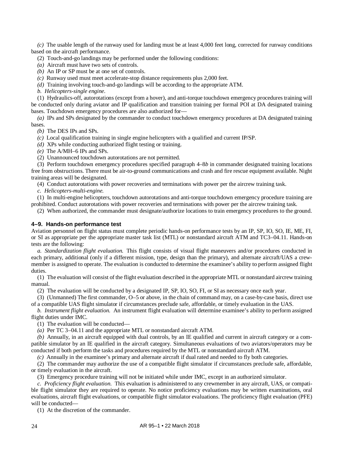*(c)* The usable length of the runway used for landing must be at least 4,000 feet long, corrected for runway conditions based on the aircraft performance.

- (2) Touch-and-go landings may be performed under the following conditions:
- *(a)* Aircraft must have two sets of controls.
- *(b)* An IP or SP must be at one set of controls.

*(c)* Runway used must meet accelerate-stop distance requirements plus 2,000 feet.

*(d)* Training involving touch-and-go landings will be according to the appropriate ATM.

<span id="page-32-2"></span>*b. Helicopters-single engine.*

(1) Hydraulics-off, autorotations (except from a hover), and anti-torque touchdown emergency procedures training will be conducted only during aviator and IP qualification and transition training per formal POI at DA designated training bases. Touchdown emergency procedures are also authorized for—

*(a)* IPs and SPs designated by the commander to conduct touchdown emergency procedures at DA designated training bases.

*(b)* The DES IPs and SPs.

*(c)* Local qualification training in single engine helicopters with a qualified and current IP/SP.

*(d)* XPs while conducting authorized flight testing or training.

*(e)* The A/MH–6 IPs and SPs.

(2) Unannounced touchdown autorotations are not permitted.

(3) Perform touchdown emergency procedures specified [paragraph](#page-32-2) 4–8*b* in commander designated training locations free from obstructions. There must be air-to-ground communications and crash and fire rescue equipment available. Night training areas will be designated.

(4) Conduct autorotations with power recoveries and terminations with power per the aircrew training task.

*c. Helicopters-multi-engine.*

(1) In multi-engine helicopters, touchdown autorotations and anti-torque touchdown emergency procedure training are prohibited. Conduct autorotations with power recoveries and terminations with power per the aircrew training task.

(2) When authorized, the commander must designate/authorize locations to train emergency procedures to the ground.

# <span id="page-32-0"></span>**4–9. Hands-on performance test**

Aviation personnel on flight status must complete periodic hands-on performance tests by an IP, SP, IO, SO, IE, ME, FI, or SI as appropriate per the appropriate master task list (MTL) or nonstandard aircraft ATM and TC3–04.11. Hands-on tests are the following:

*a. Standardization flight evaluation.* This flight consists of visual flight maneuvers and/or procedures conducted in each primary, additional (only if a different mission, type, design than the primary), and alternate aircraft/UAS a crewmember is assigned to operate. The evaluation is conducted to determine the examinee's ability to perform assigned flight duties.

(1) The evaluation will consist of the flight evaluation described in the appropriate MTL or nonstandard aircrew training manual.

(2) The evaluation will be conducted by a designated IP, SP, IO, SO, FI, or SI as necessary once each year.

(3) (Unmanned) The first commander, O–5 or above, in the chain of command may, on a case-by-case basis, direct use of a compatible UAS flight simulator if circumstances preclude safe, affordable, or timely evaluation in the UAS.

<span id="page-32-1"></span>*b. Instrument flight evaluation.* An instrument flight evaluation will determine examinee's ability to perform assigned flight duties under IMC.

(1) The evaluation will be conducted—

*(a)* Per TC 3–04.11 and the appropriate MTL or nonstandard aircraft ATM.

*(b)* Annually, in an aircraft equipped with dual controls, by an IE qualified and current in aircraft category or a compatible simulator by an IE qualified in the aircraft category. Simultaneous evaluations of two aviators/operators may be conducted if both perform the tasks and procedures required by the MTL or nonstandard aircraft ATM.

*(c)* Annually in the examinee's primary and alternate aircraft if dual rated and needed to fly both categories.

(2) The commander may authorize the use of a compatible flight simulator if circumstances preclude safe, affordable, or timely evaluation in the aircraft.

(3) Emergency procedure training will not be initiated while under IMC, except in an authorized simulator.

*c. Proficiency flight evaluation.* This evaluation is administered to any crewmember in any aircraft, UAS, or compatible flight simulator they are required to operate. No notice proficiency evaluations may be written examinations, oral evaluations, aircraft flight evaluations, or compatible flight simulator evaluations. The proficiency flight evaluation (PFE) will be conducted—

(1) At the discretion of the commander.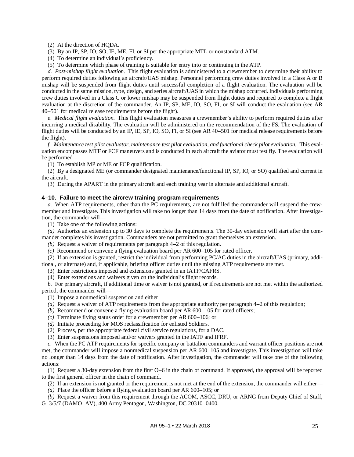(2) At the direction of HQDA.

(3) By an IP, SP, IO, SO, IE, ME, FI, or SI per the appropriate MTL or nonstandard ATM.

(4) To determine an individual's proficiency.

(5) To determine which phase of training is suitable for entry into or continuing in the ATP.

*d. Post-mishap flight evaluation.* This flight evaluation is administered to a crewmember to determine their ability to perform required duties following an aircraft/UAS mishap. Personnel performing crew duties involved in a Class A or B mishap will be suspended from flight duties until successful completion of a flight evaluation. The evaluation will be conducted in the same mission, type, design, and series aircraft/UAS in which the mishap occurred. Individuals performing crew duties involved in a Class C or lower mishap may be suspended from flight duties and required to complete a flight evaluation at the discretion of the commander. An IP, SP, ME, IO, SO, FI, or SI will conduct the evaluation (see AR 40–501 for medical release requirements before the flight).

*e. Medical flight evaluation.* This flight evaluation measures a crewmember's ability to perform required duties after incurring a medical disability. The evaluation will be administered on the recommendation of the FS. The evaluation of flight duties will be conducted by an IP, IE, SP, IO, SO, FI, or SI (see AR 40–501 for medical release requirements before the flight).

*f. Maintenance test pilot evaluator, maintenance test pilot evaluation, and functional check pilot evaluation.* This evaluation encompasses MTF or FCF maneuvers and is conducted in each aircraft the aviator must test fly. The evaluation will be performed—

(1) To establish MP or ME or FCP qualification.

(2) By a designated ME (or commander designated maintenance/functional IP, SP, IO, or SO) qualified and current in the aircraft.

(3) During the APART in the primary aircraft and each training year in alternate and additional aircraft.

#### <span id="page-33-0"></span>**4–10. Failure to meet the aircrew training program requirements**

*a.* When ATP requirements, other than the PC requirements, are not fulfilled the commander will suspend the crewmember and investigate. This investigation will take no longer than 14 days from the date of notification. After investigation, the commander will—

(1) Take one of the following actions:

*(a)* Authorize an extension up to 30 days to complete the requirements. The 30-day extension will start after the commander completes his investigation. Commanders are not permitted to grant themselves an extension.

*(b)* Request a waiver of requirements per [paragraph](#page-29-1) 4–2 of this regulation.

*(c)* Recommend or convene a flying evaluation board per AR 600–105 for rated officer.

(2) If an extension is granted, restrict the individual from performing PC/AC duties in the aircraft/UAS (primary, addi-

tional, or alternate) and, if applicable, briefing officer duties until the missing ATP requirements are met.

(3) Enter restrictions imposed and extensions granted in an IATF/CAFRS.

(4) Enter extensions and waivers given on the individual's flight records.

*b.* For primary aircraft, if additional time or waiver is not granted, or if requirements are not met within the authorized period, the commander will—

(1) Impose a nonmedical suspension and either—

- *(a)* Request a waiver of ATP requirements from the appropriate authority per [paragraph](#page-29-1) 4–2 of this regulation;
- *(b)* Recommend or convene a flying evaluation board per AR 600–105 for rated officers;

*(c)* Terminate flying status order for a crewmember per AR 600–106; or

- *(d)* Initiate proceeding for MOS reclassification for enlisted Soldiers.
- (2) Process, per the appropriate federal civil service regulations, for a DAC.
- (3) Enter suspensions imposed and/or waivers granted in the IATF and IFRF.

*c.* When the PC ATP requirements for specific company or battalion commanders and warrant officer positions are not met, the commander will impose a nonmedical suspension per AR 600–105 and investigate. This investigation will take no longer than 14 days from the date of notification. After investigation, the commander will take one of the following actions:

(1) Request a 30-day extension from the first O–6 in the chain of command. If approved, the approval will be reported to the first general officer in the chain of command.

(2) If an extension is not granted or the requirement is not met at the end of the extension, the commander will either—

*(a)* Place the officer before a flying evaluation board per AR 600–105; or

*(b)* Request a waiver from this requirement through the ACOM, ASCC, DRU, or ARNG from Deputy Chief of Staff, G–3/5/7 (DAMO–AV), 400 Army Pentagon, Washington, DC 20310–0400.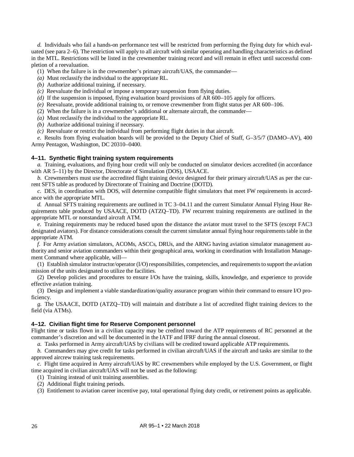*d.* Individuals who fail a hands-on performance test will be restricted from performing the flying duty for which evaluated (se[e para](#page-14-0) 2–6). The restriction will apply to all aircraft with similar operating and handling characteristics as defined in the MTL. Restrictions will be listed in the crewmember training record and will remain in effect until successful completion of a reevaluation.

- (1) When the failure is in the crewmember's primary aircraft/UAS, the commander—
- *(a)* Must reclassify the individual to the appropriate RL.
- *(b)* Authorize additional training, if necessary.
- *(c)* Reevaluate the individual or impose a temporary suspension from flying duties.
- *(d)* If the suspension is imposed, flying evaluation board provisions of AR 600–105 apply for officers.
- *(e)* Reevaluate, provide additional training to, or remove crewmember from flight status per AR 600–106.
- (2) When the failure is in a crewmember's additional or alternate aircraft, the commander—
- *(a)* Must reclassify the individual to the appropriate RL.
- *(b)* Authorize additional training if necessary.
- *(c)* Reevaluate or restrict the individual from performing flight duties in that aircraft.

*e.* Results from flying evaluation boards will be provided to the Deputy Chief of Staff, G–3/5/7 (DAMO–AV), 400 Army Pentagon, Washington, DC 20310–0400.

#### <span id="page-34-0"></span>**4–11. Synthetic flight training system requirements**

*a.* Training, evaluations, and flying hour credit will only be conducted on simulator devices accredited (in accordance with AR 5–11) by the Director, Directorate of Simulation (DOS), USAACE.

*b.* Crewmembers must use the accredited flight training device designed for their primary aircraft/UAS as per the current SFTS table as produced by Directorate of Training and Doctrine (DOTD).

*c.* DES, in coordination with DOS, will determine compatible flight simulators that meet FW requirements in accordance with the appropriate MTL.

*d.* Annual SFTS training requirements are outlined in TC 3–04.11 and the current Simulator Annual Flying Hour Requirements table produced by USAACE, DOTD (ATZQ–TD). FW recurrent training requirements are outlined in the appropriate MTL or nonstandard aircraft ATM.

*e.* Training requirements may be reduced based upon the distance the aviator must travel to the SFTS (except FAC3 designated aviators). For distance considerations consult the current simulator annual flying hour requirements table in the appropriate ATM.

*f.* For Army aviation simulators, ACOMs, ASCCs, DRUs, and the ARNG having aviation simulator management authority and senior aviation commanders within their geographical area, working in coordination with Installation Management Command where applicable, will—

(1) Establish simulator instructor/operator (I/O) responsibilities, competencies, and requirements to support the aviation mission of the units designated to utilize the facilities.

(2) Develop policies and procedures to ensure I/Os have the training, skills, knowledge, and experience to provide effective aviation training.

(3) Design and implement a viable standardization/quality assurance program within their command to ensure I/O proficiency.

*g.* The USAACE, DOTD (ATZQ–TD) will maintain and distribute a list of accredited flight training devices to the field (via ATMs).

# <span id="page-34-1"></span>**4–12. Civilian flight time for Reserve Component personnel**

Flight time or tasks flown in a civilian capacity may be credited toward the ATP requirements of RC personnel at the commander's discretion and will be documented in the IATF and IFRF during the annual closeout.

*a.* Tasks performed in Army aircraft/UAS by civilians will be credited toward applicable ATP requirements.

*b.* Commanders may give credit for tasks performed in civilian aircraft/UAS if the aircraft and tasks are similar to the approved aircrew training task requirements.

*c.* Flight time acquired in Army aircraft/UAS by RC crewmembers while employed by the U.S. Government, or flight time acquired in civilian aircraft/UAS will not be used as the following:

- (1) Training instead of unit training assemblies.
- (2) Additional flight training periods.

(3) Entitlement to aviation career incentive pay, total operational flying duty credit, or retirement points as applicable.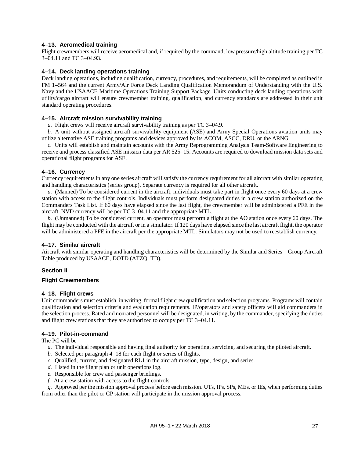# <span id="page-35-1"></span>**4–13. Aeromedical training**

Flight crewmembers will receive aeromedical and, if required by the command, low pressure/high altitude training per TC 3–04.11 and TC 3–04.93.

# <span id="page-35-2"></span>**4–14. Deck landing operations training**

Deck landing operations, including qualification, currency, procedures, and requirements, will be completed as outlined in FM 1–564 and the current Army/Air Force Deck Landing Qualification Memorandum of Understanding with the U.S. Navy and the USAACE Maritime Operations Training Support Package. Units conducting deck landing operations with utility/cargo aircraft will ensure crewmember training, qualification, and currency standards are addressed in their unit standard operating procedures.

# <span id="page-35-3"></span>**4–15. Aircraft mission survivability training**

*a.* Flight crews will receive aircraft survivability training as per TC 3–04.9.

*b.* A unit without assigned aircraft survivability equipment (ASE) and Army Special Operations aviation units may utilize alternative ASE training programs and devices approved by its ACOM, ASCC, DRU, or the ARNG.

*c.* Units will establish and maintain accounts with the Army Reprogramming Analysis Team-Software Engineering to receive and process classified ASE mission data per AR 525–15. Accounts are required to download mission data sets and operational flight programs for ASE.

# <span id="page-35-0"></span>**4–16. Currency**

Currency requirements in any one series aircraft will satisfy the currency requirement for all aircraft with similar operating and handling characteristics (series group). Separate currency is required for all other aircraft.

*a.* (Manned) To be considered current in the aircraft, individuals must take part in flight once every 60 days at a crew station with access to the flight controls. Individuals must perform designated duties in a crew station authorized on the Commanders Task List. If 60 days have elapsed since the last flight, the crewmember will be administered a PFE in the aircraft. NVD currency will be per TC 3–04.11 and the appropriate MTL.

*b.* (Unmanned) To be considered current, an operator must perform a flight at the AO station once every 60 days. The flight may be conducted with the aircraft or in a simulator. If 120 days have elapsed since the last aircraft flight, the operator will be administered a PFE in the aircraft per the appropriate MTL. Simulators may not be used to reestablish currency.

# <span id="page-35-4"></span>**4–17. Similar aircraft**

Aircraft with similar operating and handling characteristics will be determined by the Similar and Series—Group Aircraft Table produced by USAACE, DOTD (ATZQ–TD).

# **Section II**

# <span id="page-35-6"></span><span id="page-35-5"></span>**Flight Crewmembers**

# **4–18. Flight crews**

Unit commanders must establish, in writing, formal flight crew qualification and selection programs. Programs will contain qualification and selection criteria and evaluation requirements. IP/operators and safety officers will aid commanders in the selection process. Rated and nonrated personnel will be designated, in writing, by the commander, specifying the duties and flight crew stations that they are authorized to occupy per TC 3–04.11.

# <span id="page-35-7"></span>**4–19. Pilot-in-command**

The PC will be—

- *a.* The individual responsible and having final authority for operating, servicing, and securing the piloted aircraft.
- *b.* Selected pe[r paragraph](#page-35-6) 4–18 for each flight or series of flights.
- *c.* Qualified, current, and designated RL1 in the aircraft mission, type, design, and series.
- *d.* Listed in the flight plan or unit operations log.
- *e.* Responsible for crew and passenger briefings.
- *f.* At a crew station with access to the flight controls.

*g.* Approved per the mission approval process before each mission. UTs, IPs, SPs, MEs, or IEs, when performing duties from other than the pilot or CP station will participate in the mission approval process.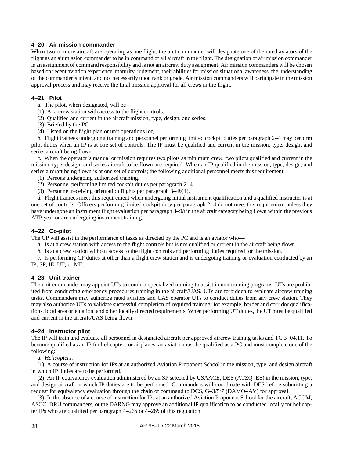## **4–20. Air mission commander**

When two or more aircraft are operating as one flight, the unit commander will designate one of the rated aviators of the flight as an air mission commander to be in command of all aircraft in the flight. The designation of air mission commander is an assignment of command responsibility and is not an aircrew duty assignment. Air mission commanders will be chosen based on recent aviation experience, maturity, judgment, their abilities for mission situational awareness, the understanding of the commander's intent, and not necessarily upon rank or grade. Air mission commanders will participate in the mission approval process and may receive the final mission approval for all crews in the flight.

## **4–21. Pilot**

- *a.* The pilot, when designated, will be—
- (1) At a crew station with access to the flight controls.
- (2) Qualified and current in the aircraft mission, type, design, and series.
- (3) Briefed by the PC.
- (4) Listed on the flight plan or unit operations log.

*b.* Flight trainees undergoing training and personnel performing limited cockpit duties per [paragraph](#page-13-0) 2–4 may perform pilot duties when an IP is at one set of controls. The IP must be qualified and current in the mission, type, design, and series aircraft being flown.

*c.* When the operator's manual or mission requires two pilots as minimum crew, two pilots qualified and current in the mission, type, design, and series aircraft to be flown are required. When an IP qualified in the mission, type, design, and series aircraft being flown is at one set of controls; the following additional personnel meets this requirement:

- (1) Persons undergoing authorized training.
- (2) Personnel performing limited cockpit duties per [paragraph](#page-13-0) 2–4.
- (3) Personnel receiving orientation flights per [paragraph](#page-23-0) 3–4*b*(1).

*d.* Flight trainees meet this requirement when undergoing initial instrument qualification and a qualified instructor is at one set of controls. Officers performing limited cockpit duty pe[r paragraph](#page-13-0) 2–4 do not meet this requirement unless they have undergone an instrument flight evaluation per [paragraph](#page-32-0) 4–9*b* in the aircraft category being flown within the previous ATP year or are undergoing instrument training.

## **4–22. Co-pilot**

The CP will assist in the performance of tasks as directed by the PC and is an aviator who—

- *a.* Is at a crew station with access to the flight controls but is not qualified or current in the aircraft being flown.
- *b.* Is at a crew station without access to the flight controls and performing duties required for the mission.

*c.* Is performing CP duties at other than a flight crew station and is undergoing training or evaluation conducted by an IP, SP, IE, UT, or ME.

## **4–23. Unit trainer**

The unit commander may appoint UTs to conduct specialized training to assist in unit training programs. UTs are prohibited from conducting emergency procedures training in the aircraft/UAS. UTs are forbidden to evaluate aircrew training tasks. Commanders may authorize rated aviators and UAS operator UTs to conduct duties from any crew station. They may also authorize UTs to validate successful completion of required training; for example, border and corridor qualifications, local area orientation, and other locally directed requirements. When performing UT duties, the UT must be qualified and current in the aircraft/UAS being flown.

## <span id="page-36-0"></span>**4–24. Instructor pilot**

The IP will train and evaluate all personnel in designated aircraft per approved aircrew training tasks and TC 3–04.11. To become qualified as an IP for helicopters or airplanes, an aviator must be qualified as a PC and must complete one of the following:

*a. Helicopters.*

(1) A course of instruction for IPs at an authorized Aviation Proponent School in the mission, type, and design aircraft in which IP duties are to be performed.

(2) An IP equivalency evaluation administered by an SP selected by USAACE, DES (ATZQ–ES) in the mission, type, and design aircraft in which IP duties are to be performed. Commanders will coordinate with DES before submitting a request for equivalency evaluation through the chain of command to DCS, G–3/5/7 (DAMO–AV) for approval.

(3) In the absence of a course of instruction for IPs at an authorized Aviation Proponent School for the aircraft, ACOM, ASCC, DRU commanders, or the DARNG may approve an additional IP qualification to be conducted locally for helicopter IPs who are qualified per paragrap[h 4–26](#page-37-0)*a* or [4–26](#page-37-1)*b* of this regulation.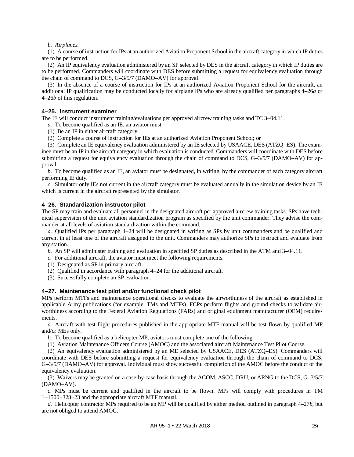### *b. Airplanes.*

(1) A course of instruction for IPs at an authorized Aviation Proponent School in the aircraft category in which IP duties are to be performed.

(2) An IP equivalency evaluation administered by an SP selected by DES in the aircraft category in which IP duties are to be performed. Commanders will coordinate with DES before submitting a request for equivalency evaluation through the chain of command to DCS, G–3/5/7 (DAMO–AV) for approval.

(3) In the absence of a course of instruction for IPs at an authorized Aviation Proponent School for the aircraft, an additional IP qualification may be conducted locally for airplane IPs who are already qualified per paragraph[s 4–26](#page-37-0)*a* or [4–26](#page-37-1)*b* of this regulation.

## **4–25. Instrument examiner**

The IE will conduct instrument training/evaluations per approved aircrew training tasks and TC 3–04.11.

*a.* To become qualified as an IE, an aviator must—

- (1) Be an IP in either aircraft category;
- (2) Complete a course of instruction for IEs at an authorized Aviation Proponent School; or

(3) Complete an IE equivalency evaluation administered by an IE selected by USAACE, DES (ATZQ–ES). The examinee must be an IP in the aircraft category in which evaluation is conducted. Commanders will coordinate with DES before submitting a request for equivalency evaluation through the chain of command to DCS, G-3/5/7 (DAMO–AV) for approval.

*b.* To become qualified as an IE, an aviator must be designated, in writing, by the commander of each category aircraft performing IE duty.

*c.* Simulator only IEs not current in the aircraft category must be evaluated annually in the simulation device by an IE which is current in the aircraft represented by the simulator.

## **4–26. Standardization instructor pilot**

The SP may train and evaluate all personnel in the designated aircraft per approved aircrew training tasks. SPs have technical supervision of the unit aviation standardization program as specified by the unit commander. They advise the commander at all levels of aviation standardization within the command.

<span id="page-37-0"></span>*a.* Qualified IPs per [paragraph](#page-36-0) 4–24 will be designated in writing as SPs by unit commanders and be qualified and current in at least one of the aircraft assigned to the unit. Commanders may authorize SPs to instruct and evaluate from any station.

<span id="page-37-1"></span>*b.* An SP will administer training and evaluation in specified SP duties as described in the ATM and 3–04.11.

- *c.* For additional aircraft, the aviator must meet the following requirements:
- (1) Designated as SP in primary aircraft.
- (2) Qualified in accordance wit[h paragraph](#page-36-0) 4–24 for the additional aircraft.
- (3) Successfully complete an SP evaluation.

## <span id="page-37-3"></span>**4–27. Maintenance test pilot and/or functional check pilot**

MPs perform MTFs and maintenance operational checks to evaluate the airworthiness of the aircraft as established in applicable Army publications (for example, TMs and MTFs). FCPs perform flights and ground checks to validate airworthiness according to the Federal Aviation Regulations (FARs) and original equipment manufacturer (OEM) requirements.

*a.* Aircraft with test flight procedures published in the appropriate MTF manual will be test flown by qualified MP and/or MEs only.

<span id="page-37-2"></span>*b.* To become qualified as a helicopter MP, aviators must complete one of the following:

(1) Aviation Maintenance Officers Course (AMOC) and the associated aircraft Maintenance Test Pilot Course.

(2) An equivalency evaluation administered by an ME selected by USAACE, DES (ATZQ–ES). Commanders will coordinate with DES before submitting a request for equivalency evaluation through the chain of command to DCS, G–3/5/7 (DAMO–AV) for approval. Individual must show successful completion of the AMOC before the conduct of the equivalency evaluation.

(3) Waivers may be granted on a case-by-case basis through the ACOM, ASCC, DRU, or ARNG to the DCS, G–3/5/7 (DAMO–AV).

<span id="page-37-4"></span>*c.* MPs must be current and qualified in the aircraft to be flown. MPs will comply with procedures in TM 1–1500–328–23 and the appropriate aircraft MTF manual.

*d.* Helicopter contractor MPs required to be an MP will be qualified by either method outlined in [paragraph](#page-37-2) 4–27*b*, but are not obliged to attend AMOC.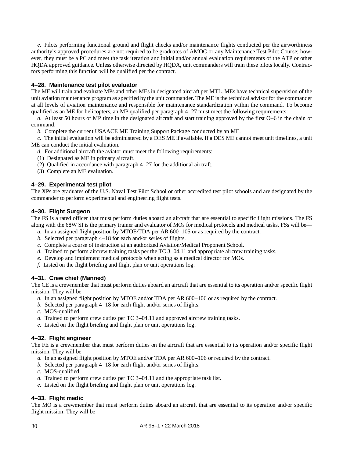*e.* Pilots performing functional ground and flight checks and/or maintenance flights conducted per the airworthiness authority's approved procedures are not required to be graduates of AMOC or any Maintenance Test Pilot Course; however, they must be a PC and meet the task iteration and initial and/or annual evaluation requirements of the ATP or other HQDA approved guidance. Unless otherwise directed by HQDA, unit commanders will train these pilots locally. Contractors performing this function will be qualified per the contract.

## **4–28. Maintenance test pilot evaluator**

The ME will train and evaluate MPs and other MEs in designated aircraft per MTL. MEs have technical supervision of the unit aviation maintenance program as specified by the unit commander. The ME is the technical advisor for the commander at all levels of aviation maintenance and responsible for maintenance standardization within the command. To become qualified as an ME for helicopters, an MP qualified pe[r paragraph 4–27](#page-37-3) must meet the following requirements:

*a.* At least 50 hours of MP time in the designated aircraft and start training approved by the first O–6 in the chain of command.

*b.* Complete the current USAACE ME Training Support Package conducted by an ME.

*c.* The initial evaluation will be administered by a DES ME if available. If a DES ME cannot meet unit timelines, a unit ME can conduct the initial evaluation.

- *d.* For additional aircraft the aviator must meet the following requirements:
- (1) Designated as ME in primary aircraft.
- (2) Qualified in accordance wit[h paragraph](#page-37-3) 4–27 for the additional aircraft.
- (3) Complete an ME evaluation.

## **4–29. Experimental test pilot**

The XPs are graduates of the U.S. Naval Test Pilot School or other accredited test pilot schools and are designated by the commander to perform experimental and engineering flight tests.

## **4–30. Flight Surgeon**

The FS is a rated officer that must perform duties aboard an aircraft that are essential to specific flight missions. The FS along with the 68W SI is the primary trainer and evaluator of MOs for medical protocols and medical tasks. FSs will be—

- *a.* In an assigned flight position by MTOE/TDA per AR 600–105 or as required by the contract.
- *b.* Selected pe[r paragraph](#page-35-0) 4–18 for each and/or series of flights.
- *c.* Complete a course of instruction at an authorized Aviation/Medical Proponent School.
- *d.* Trained to perform aircrew training tasks per the TC 3–04.11 and appropriate aircrew training tasks.
- *e.* Develop and implement medical protocols when acting as a medical director for MOs.
- *f.* Listed on the flight briefing and flight plan or unit operations log.

## **4–31. Crew chief (Manned)**

The CE is a crewmember that must perform duties aboard an aircraft that are essential to its operation and/or specific flight mission. They will be—

- *a.* In an assigned flight position by MTOE and/or TDA per AR 600–106 or as required by the contract.
- *b.* Selected pe[r paragraph](#page-35-0) 4–18 for each flight and/or series of flights.
- *c.* MOS-qualified.
- *d.* Trained to perform crew duties per TC 3–04.11 and approved aircrew training tasks.
- *e.* Listed on the flight briefing and flight plan or unit operations log.

## **4–32. Flight engineer**

The FE is a crewmember that must perform duties on the aircraft that are essential to its operation and/or specific flight mission. They will be—

- *a.* In an assigned flight position by MTOE and/or TDA per AR 600–106 or required by the contract.
- *b.* Selected per [paragraph](#page-35-0) 4–18 for each flight and/or series of flights.
- *c.* MOS-qualified.
- *d.* Trained to perform crew duties per TC 3–04.11 and the appropriate task list.
- *e.* Listed on the flight briefing and flight plan or unit operations log.

## **4–33. Flight medic**

The MO is a crewmember that must perform duties aboard an aircraft that are essential to its operation and/or specific flight mission. They will be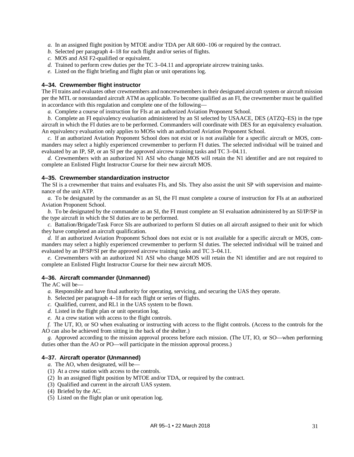*a.* In an assigned flight position by MTOE and/or TDA per AR 600–106 or required by the contract.

- *b.* Selected pe[r paragraph](#page-35-0) 4–18 for each flight and/or series of flights.
- *c.* MOS and ASI F2-qualified or equivalent.
- *d.* Trained to perform crew duties per the TC 3–04.11 and appropriate aircrew training tasks.
- *e.* Listed on the flight briefing and flight plan or unit operations log.

### **4–34. Crewmember flight instructor**

The FI trains and evaluates other crewmembers and noncrewmembers in their designated aircraft system or aircraft mission per the MTL or nonstandard aircraft ATM as applicable. To become qualified as an FI, the crewmember must be qualified in accordance with this regulation and complete one of the following—

*a.* Complete a course of instruction for FIs at an authorized Aviation Proponent School.

*b.* Complete an FI equivalency evaluation administered by an SI selected by USAACE, DES (ATZQ–ES) in the type aircraft in which the FI duties are to be performed. Commanders will coordinate with DES for an equivalency evaluation. An equivalency evaluation only applies to MOSs with an authorized Aviation Proponent School.

*c.* If an authorized Aviation Proponent School does not exist or is not available for a specific aircraft or MOS, commanders may select a highly experienced crewmember to perform FI duties. The selected individual will be trained and evaluated by an IP, SP, or an SI per the approved aircrew training tasks and TC 3–04.11.

*d.* Crewmembers with an authorized N1 ASI who change MOS will retain the N1 identifier and are not required to complete an Enlisted Flight Instructor Course for their new aircraft MOS.

## **4–35. Crewmember standardization instructor**

The SI is a crewmember that trains and evaluates FIs, and SIs. They also assist the unit SP with supervision and maintenance of the unit ATP.

*a.* To be designated by the commander as an SI, the FI must complete a course of instruction for FIs at an authorized Aviation Proponent School.

*b.* To be designated by the commander as an SI, the FI must complete an SI evaluation administered by an SI/IP/SP in the type aircraft in which the SI duties are to be performed.

*c.* Battalion/Brigade/Task Force SIs are authorized to perform SI duties on all aircraft assigned to their unit for which they have completed an aircraft qualification.

*d.* If an authorized Aviation Proponent School does not exist or is not available for a specific aircraft or MOS, commanders may select a highly experienced crewmember to perform SI duties. The selected individual will be trained and evaluated by an IP/SP/SI per the approved aircrew training tasks and TC 3–04.11.

*e.* Crewmembers with an authorized N1 ASI who change MOS will retain the N1 identifier and are not required to complete an Enlisted Flight Instructor Course for their new aircraft MOS.

## **4–36. Aircraft commander (Unmanned)**

The AC will be—

- *a.* Responsible and have final authority for operating, servicing, and securing the UAS they operate.
- *b.* Selected pe[r paragraph](#page-35-0) 4–18 for each flight or series of flights.
- *c.* Qualified, current, and RL1 in the UAS system to be flown.
- *d.* Listed in the flight plan or unit operation log.
- *e.* At a crew station with access to the flight controls.

*f.* The UT, IO, or SO when evaluating or instructing with access to the flight controls. (Access to the controls for the AO can also be achieved from sitting in the back of the shelter.)

*g.* Approved according to the mission approval process before each mission. (The UT, IO, or SO—when performing duties other than the AO or PO—will participate in the mission approval process.)

## **4–37. Aircraft operator (Unmanned)**

- *a*. The AO, when designated, will be-
- (1) At a crew station with access to the controls.
- (2) In an assigned flight position by MTOE and/or TDA, or required by the contract.
- (3) Qualified and current in the aircraft UAS system.
- (4) Briefed by the AC.
- (5) Listed on the flight plan or unit operation log.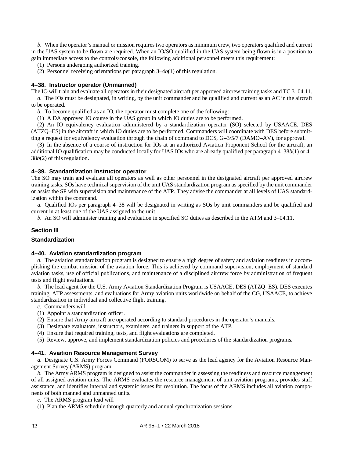*b.* When the operator's manual or mission requires two operators as minimum crew, two operators qualified and current in the UAS system to be flown are required. When an IO/SO qualified in the UAS system being flown is in a position to gain immediate access to the controls/console, the following additional personnel meets this requirement:

(1) Persons undergoing authorized training.

(2) Personnel receiving orientations per [paragraph](#page-23-0) 3–4*b*(1) of this regulation.

### <span id="page-40-2"></span>**4–38. Instructor operator (Unmanned)**

The IO will train and evaluate all operators in their designated aircraft per approved aircrew training tasks and TC 3–04.11. *a.* The IOs must be designated, in writing, by the unit commander and be qualified and current as an AC in the aircraft to be operated.

*b.* To become qualified as an IO, the operator must complete one of the following:

<span id="page-40-0"></span>(1) A DA approved IO course in the UAS group in which IO duties are to be performed.

<span id="page-40-1"></span>(2) An IO equivalency evaluation administered by a standardization operator (SO) selected by USAACE, DES (ATZQ–ES) in the aircraft in which IO duties are to be performed. Commanders will coordinate with DES before submitting a request for equivalency evaluation through the chain of command to DCS, G–3/5/7 (DAMO–AV), for approval.

(3) In the absence of a course of instruction for IOs at an authorized Aviation Proponent School for the aircraft, an additional IO qualification may be conducted locally for UAS IOs who are already qualified per paragrap[h 4–38](#page-40-0)*b*(1) or [4–](#page-40-1) 38*b*[\(2\)](#page-40-1) of this regulation.

### **4–39. Standardization instructor operator**

The SO may train and evaluate all operators as well as other personnel in the designated aircraft per approved aircrew training tasks. SOs have technical supervision of the unit UAS standardization program as specified by the unit commander or assist the SP with supervision and maintenance of the ATP. They advise the commander at all levels of UAS standardization within the command.

*a.* Qualified IOs per [paragraph](#page-40-2) 4–38 will be designated in writing as SOs by unit commanders and be qualified and current in at least one of the UAS assigned to the unit.

*b.* An SO will administer training and evaluation in specified SO duties as described in the ATM and 3–04.11.

## **Section III**

## **Standardization**

### **4–40. Aviation standardization program**

*a.* The aviation standardization program is designed to ensure a high degree of safety and aviation readiness in accomplishing the combat mission of the aviation force. This is achieved by command supervision, employment of standard aviation tasks, use of official publications, and maintenance of a disciplined aircrew force by administration of frequent tests and flight evaluations.

*b.* The lead agent for the U.S. Army Aviation Standardization Program is USAACE, DES (ATZQ–ES). DES executes training, ATP assessments, and evaluations for Army aviation units worldwide on behalf of the CG, USAACE, to achieve standardization in individual and collective flight training.

*c.* Commanders will—

- (1) Appoint a standardization officer.
- (2) Ensure that Army aircraft are operated according to standard procedures in the operator's manuals.
- (3) Designate evaluators, instructors, examiners, and trainers in support of the ATP.
- (4) Ensure that required training, tests, and flight evaluations are completed.
- (5) Review, approve, and implement standardization policies and procedures of the standardization programs.

### **4–41. Aviation Resource Management Survey**

*a.* Designate U.S. Army Forces Command (FORSCOM) to serve as the lead agency for the Aviation Resource Management Survey (ARMS) program.

*b.* The Army ARMS program is designed to assist the commander in assessing the readiness and resource management of all assigned aviation units. The ARMS evaluates the resource management of unit aviation programs, provides staff assistance, and identifies internal and systemic issues for resolution. The focus of the ARMS includes all aviation components of both manned and unmanned units.

*c.* The ARMS program lead will—

(1) Plan the ARMS schedule through quarterly and annual synchronization sessions.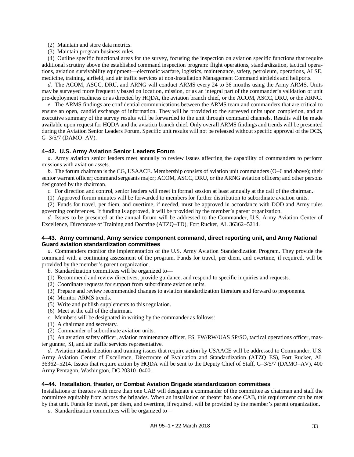- (2) Maintain and store data metrics.
- (3) Maintain program business rules.

(4) Outline specific functional areas for the survey, focusing the inspection on aviation specific functions that require additional scrutiny above the established command inspection program: flight operations, standardization, tactical operations, aviation survivability equipment—electronic warfare, logistics, maintenance, safety, petroleum, operations, ALSE, medicine, training, airfield, and air traffic services at non-Installation Management Command airfields and heliports.

*d.* The ACOM, ASCC, DRU, and ARNG will conduct ARMS every 24 to 36 months using the Army ARMS. Units may be surveyed more frequently based on location, mission, or as an integral part of the commander's validation of unit pre-deployment readiness or as directed by HQDA, the aviation branch chief, or the ACOM, ASCC, DRU, or the ARNG.

*e.* The ARMS findings are confidential communications between the ARMS team and commanders that are critical to ensure an open, candid exchange of information. They will be provided to the surveyed units upon completion, and an executive summary of the survey results will be forwarded to the unit through command channels. Results will be made available upon request for HQDA and the aviation branch chief. Only overall ARMS findings and trends will be presented during the Aviation Senior Leaders Forum. Specific unit results will not be released without specific approval of the DCS, G–3/5/7 (DAMO–AV).

### **4–42. U.S. Army Aviation Senior Leaders Forum**

*a.* Army aviation senior leaders meet annually to review issues affecting the capability of commanders to perform missions with aviation assets.

*b.* The forum chairman is the CG, USAACE. Membership consists of aviation unit commanders (O–6 and above); their senior warrant officer; command sergeants major; ACOM, ASCC, DRU, or the ARNG aviation officers; and other persons designated by the chairman.

*c.* For direction and control, senior leaders will meet in formal session at least annually at the call of the chairman.

(1) Approved forum minutes will be forwarded to members for further distribution to subordinate aviation units.

(2) Funds for travel, per diem, and overtime, if needed, must be approved in accordance with DOD and Army rules governing conferences. If funding is approved, it will be provided by the member's parent organization.

*d.* Issues to be presented at the annual forum will be addressed to the Commander, U.S. Army Aviation Center of Excellence, Directorate of Training and Doctrine (ATZQ–TD), Fort Rucker, AL 36362–5214.

### **4–43. Army command, Army service component command, direct reporting unit, and Army National Guard aviation standardization committees**

*a.* Commanders monitor the implementation of the U.S. Army Aviation Standardization Program. They provide the command with a continuing assessment of the program. Funds for travel, per diem, and overtime, if required, will be provided by the member's parent organization.

*b.* Standardization committees will be organized to—

- (1) Recommend and review directives, provide guidance, and respond to specific inquiries and requests.
- (2) Coordinate requests for support from subordinate aviation units.
- (3) Prepare and review recommended changes to aviation standardization literature and forward to proponents.
- (4) Monitor ARMS trends.
- (5) Write and publish supplements to this regulation.
- (6) Meet at the call of the chairman.
- *c.* Members will be designated in writing by the commander as follows:
- (1) A chairman and secretary.
- (2) Commander of subordinate aviation units.

(3) An aviation safety officer, aviation maintenance officer, FS, FW/RW/UAS SP/SO, tactical operations officer, master gunner, SI, and air traffic services representative.

*d.* Aviation standardization and training issues that require action by USAACE will be addressed to Commander, U.S. Army Aviation Center of Excellence, Directorate of Evaluation and Standardization (ATZQ–ES), Fort Rucker, AL 36362–5214. Issues that require action by HQDA will be sent to the Deputy Chief of Staff, G–3/5/7 (DAMO–AV), 400 Army Pentagon, Washington, DC 20310–0400.

### **4–44. Installation, theater, or Combat Aviation Brigade standardization committees**

Installations or theaters with more than one CAB will designate a commander of the committee as chairman and staff the committee equitably from across the brigades. When an installation or theater has one CAB, this requirement can be met by that unit. Funds for travel, per diem, and overtime, if required, will be provided by the member's parent organization.

*a.* Standardization committees will be organized to—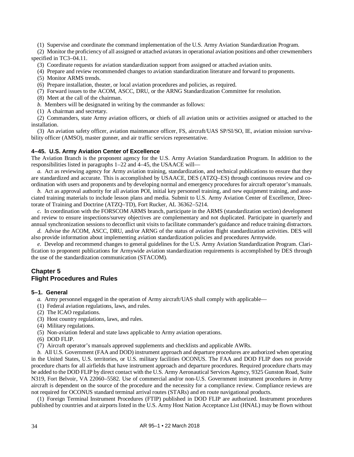(1) Supervise and coordinate the command implementation of the U.S. Army Aviation Standardization Program.

(2) Monitor the proficiency of all assigned or attached aviators in operational aviation positions and other crewmembers specified in TC3–04.11.

(3) Coordinate requests for aviation standardization support from assigned or attached aviation units.

(4) Prepare and review recommended changes to aviation standardization literature and forward to proponents.

(5) Monitor ARMS trends.

(6) Prepare installation, theater, or local aviation procedures and policies, as required.

(7) Forward issues to the ACOM, ASCC, DRU, or the ARNG Standardization Committee for resolution.

(8) Meet at the call of the chairman.

*b.* Members will be designated in writing by the commander as follows:

(1) A chairman and secretary.

(2) Commanders, state Army aviation officers, or chiefs of all aviation units or activities assigned or attached to the installation.

(3) An aviation safety officer, aviation maintenance officer, FS, aircraft/UAS SP/SI/SO, IE, aviation mission survivability officer (AMSO), master gunner, and air traffic services representative.

## <span id="page-42-0"></span>**4–45. U.S. Army Aviation Center of Excellence**

The Aviation Branch is the proponent agency for the U.S. Army Aviation Standardization Program. In addition to the responsibilities listed in paragraphs [1–22](#page-11-0) and [4–45,](#page-42-0) the USAACE will—

*a.* Act as reviewing agency for Army aviation training, standardization, and technical publications to ensure that they are standardized and accurate. This is accomplished by USAACE, DES (ATZQ–ES) through continuous review and coordination with users and proponents and by developing normal and emergency procedures for aircraft operator's manuals.

*b.* Act as approval authority for all aviation POI, initial key personnel training, and new equipment training, and associated training materials to include lesson plans and media. Submit to U.S. Army Aviation Center of Excellence, Directorate of Training and Doctrine (ATZQ–TD), Fort Rucker, AL 36362–5214.

*c.* In coordination with the FORSCOM ARMS branch, participate in the ARMS (standardization section) development and review to ensure inspections/survey objectives are complementary and not duplicated. Participate in quarterly and annual synchronization sessions to deconflict unit visits to facilitate commander's guidance and reduce training distractors.

*d.* Advise the ACOM, ASCC, DRU, and/or ARNG of the status of aviation flight standardization activities. DES will also provide information about implementing aviation standardization policies and procedures Armywide.

*e.* Develop and recommend changes to general guidelines for the U.S. Army Aviation Standardization Program. Clarification to proponent publications for Armywide aviation standardization requirements is accomplished by DES through the use of the standardization communication (STACOM).

## **Chapter 5 Flight Procedures and Rules**

## <span id="page-42-2"></span>**5–1. General**

- *a.* Army personnel engaged in the operation of Army aircraft/UAS shall comply with applicable—
- (1) Federal aviation regulations, laws, and rules.
- (2) The ICAO regulations.
- (3) Host country regulations, laws, and rules.
- (4) Military regulations.
- (5) Non-aviation federal and state laws applicable to Army aviation operations.
- (6) DOD FLIP.
- (7) Aircraft operator's manuals approved supplements and checklists and applicable AWRs.

<span id="page-42-1"></span>*b.* All U.S. Government (FAA and DOD) instrument approach and departure procedures are authorized when operating in the United States, U.S. territories, or U.S. military facilities OCONUS. The FAA and DOD FLIP does not provide procedure charts for all airfields that have instrument approach and departure procedures. Required procedure charts may be added to the DOD FLIP by direct contact with the U.S. Army Aeronautical Services Agency, 9325 Gunston Road, Suite N319, Fort Belvoir, VA 22060–5582. Use of commercial and/or non-U.S. Government instrument procedures in Army aircraft is dependent on the source of the procedure and the necessity for a compliance review. Compliance reviews are not required for OCONUS standard terminal arrival routes (STARs) and en route navigational products.

(1) Foreign Terminal Instrument Procedures (FTIP) published in DOD FLIP are authorized. Instrument procedures published by countries and at airports listed in the U.S. Army Host Nation Acceptance List (HNAL) may be flown without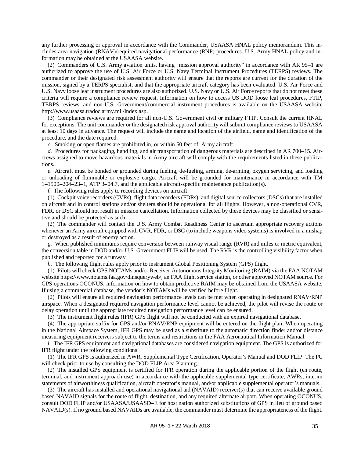any further processing or approval in accordance with the Commander, USAASA HNAL policy memorandum. This includes area navigation (RNAV)/required navigational performance (RNP) procedures. U.S. Army HNAL policy and information may be obtained at the USAASA website.

(2) Commanders of U.S. Army aviation units, having "mission approval authority" in accordance with AR 95–1 are authorized to approve the use of U.S. Air Force or U.S. Navy Terminal Instrument Procedures (TERPS) reviews. The commander or their designated risk assessment authority will ensure that the reports are current for the duration of the mission, signed by a TERPS specialist, and that the appropriate aircraft category has been evaluated. U.S. Air Force and U.S. Navy loose leaf instrument procedures are also authorized. U.S. Navy or U.S. Air Force reports that do not meet these criteria will require a compliance review request. Information on how to access US DOD loose leaf procedures, FTIP, TERPS reviews, and non-U.S. Government/commercial instrument procedures is available on the USAASA website [http://www.usaasa.tradoc.army.mil/index.asp.](http://www.usaasa.tradoc.army.mil/index.asp)

(3) Compliance reviews are required for all non-U.S. Government civil or military FTIP. Consult the current HNAL for exceptions. The unit commander or the designated risk approval authority will submit compliance reviews to USAASA at least 10 days in advance. The request will include the name and location of the airfield, name and identification of the procedure, and the date required.

*c.* Smoking or open flames are prohibited in, or within 50 feet of, Army aircraft.

*d.* Procedures for packaging, handling, and air transportation of dangerous materials are described in AR 700–15. Aircrews assigned to move hazardous materials in Army aircraft will comply with the requirements listed in these publications.

<span id="page-43-0"></span>*e.* Aircraft must be bonded or grounded during fueling, de-fueling, arming, de-arming, oxygen servicing, and loading or unloading of flammable or explosive cargo. Aircraft will be grounded for maintenance in accordance with TM 1–1500–204–23–1, ATP 3–04.7, and the applicable aircraft-specific maintenance publication(s).

*f.* The following rules apply to recording devices on aircraft:

(1) Cockpit voice recorders (CVRs), flight data recorders (FDRs), and digital source collectors (DSCs) that are installed on aircraft and in control stations and/or shelters should be operational for all flights. However, a non-operational CVR, FDR, or DSC should not result in mission cancellation. Information collected by these devices may be classified or sensitive and should be protected as such.

(2) The commander will contact the U.S. Army Combat Readiness Center to ascertain appropriate recovery actions whenever an Army aircraft equipped with CVR, FDR, or DSC (to include weapons video systems) is involved in a mishap or destroyed as a result of enemy action.

*g.* When published minimums require conversion between runway visual range (RVR) and miles or metric equivalent, the conversion table in DOD and/or U.S. Government FLIP will be used. The RVR is the controlling visibility factor when published and reported for a runway.

*h.* The following flight rules apply prior to instrument Global Positioning System (GPS) flight.

(1) Pilots will check GPS NOTAMs and/or Receiver Autonomous Integrity Monitoring (RAIM) via the FAA NOTAM websit[e https://www.notams.faa.gov/dinsqueryweb/,](https://www.notams.faa.gov/dinsQueryWeb/) an FAA flight service station, or other approved NOTAM source. For GPS operations OCONUS, information on how to obtain predictive RAIM may be obtained from the USAASA website. If using a commercial database, the vendor's NOTAMs will be verified before flight.

(2) Pilots will ensure all required navigation performance levels can be met when operating in designated RNAV/RNP airspace. When a designated required navigation performance level cannot be achieved, the pilot will revise the route or delay operation until the appropriate required navigation performance level can be ensured.

(3) The instrument flight rules (IFR) GPS flight will not be conducted with an expired navigational database.

(4) The appropriate suffix for GPS and/or RNAV/RNP equipment will be entered on the flight plan. When operating in the National Airspace System, IFR GPS may be used as a substitute to the automatic direction finder and/or distance measuring equipment receivers subject to the terms and restrictions in the FAA Aeronautical Information Manual.

*i.* The IFR GPS equipment and navigational databases are considered navigation equipment. The GPS is authorized for IFR flight under the following conditions:

(1) The IFR GPS is authorized in AWR, Supplemental Type Certification, Operator's Manual and DOD FLIP. The PC will check prior to use by consulting the DOD FLIP Area Planning.

(2) The installed GPS equipment is certified for IFR operation during the applicable portion of the flight (en route, terminal, and instrument approach use) in accordance with the applicable supplemental type certificate, AWRs, interim statements of airworthiness qualification, aircraft operator's manual, and/or applicable supplemental operator's manuals.

(3) The aircraft has installed and operational navigational aid (NAVAID) receiver(s) that can receive available ground based NAVAID signals for the route of flight, destination, and any required alternate airport. When operating OCONUS, consult DOD FLIP and/or USAASA/USAASD–E for host nation authorized substitutions of GPS in lieu of ground based NAVAID(s). If no ground based NAVAIDs are available, the commander must determine the appropriateness of the flight.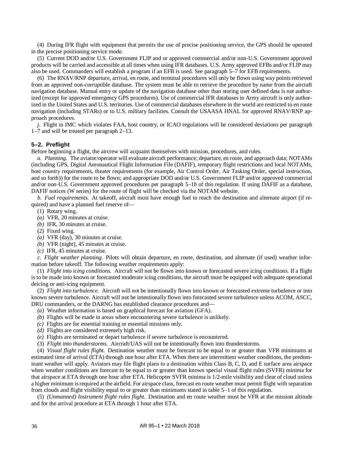(4) During IFR flight with equipment that permits the use of precise positioning service, the GPS should be operated in the precise positioning service mode.

(5) Current DOD and/or U.S. Government FLIP and or approved commercial and/or non-U.S. Government approved products will be carried and accessible at all times when using IFR databases. U.S. Army approved EFBs and/or FLIP may also be used. Commanders will establish a program if an EFB is used. Se[e paragraph](#page-50-0) 5–7 for EFB requirements.

(6) The RNAV/RNP departure, arrival, en route, and terminal procedures will only be flown using way points retrieved from an approved non-corruptible database. The system must be able to retrieve the procedure by name from the aircraft navigation database. Manual entry or update of the navigation database other than storing user defined data is not authorized (except for approved emergency GPS procedures). Use of commercial IFR databases in Army aircraft is only authorized in the United States and U.S. territories. Use of commercial databases elsewhere in the world are restricted to en route navigation (including STARs) or to U.S. military facilities. Consult the USAASA HNAL for approved RNAV/RNP approach procedures.

*j.* Flight in IMC which violates FAA, host country, or ICAO regulations will be considered deviations per [paragraph](#page-9-0) [1–7](#page-9-0) and will be treated per [paragraph](#page-17-0) 2–13.

### **5–2. Preflight**

Before beginning a flight, the aircrew will acquaint themselves with mission, procedures, and rules.

*a. Planning.* The aviator/operator will evaluate aircraft performance; departure, en route, and approach data; NOTAMs (including GPS, Digital Aeronautical Flight Information File (DAFIF), temporary flight restrictions and local NOTAMs, host country requirements, theater requirements (for example, Air Control Order, Air Tasking Order, special instruction, and so forth)) for the route to be flown; and appropriate DOD and/or U.S. Government FLIP and/or approved commercial and/or non-U.S. Government approved procedures per [paragraph](#page-42-1) 5–1*b* of this regulation. If using DAFIF as a database, DAFIF notices (W series) for the route of flight will be checked via the NOTAM website.

*b. Fuel requirements.* At takeoff, aircraft must have enough fuel to reach the destination and alternate airport (if required) and have a planned fuel reserve of—

- (1) Rotary wing.
- *(a)* VFR, 20 minutes at cruise.
- *(b)* IFR, 30 minutes at cruise.
- (2) Fixed wing.
- *(a)* VFR (day), 30 minutes at cruise.
- *(b)* VFR (night), 45 minutes at cruise.
- *(c)* IFR, 45 minutes at cruise.

*c. Flight weather planning.* Pilots will obtain departure, en route, destination, and alternate (if used) weather information before takeoff. The following weather requirements apply:

(1) *Flight into icing conditions.* Aircraft will not be flown into known or forecasted severe icing conditions. If a flight is to be made into known or forecasted moderate icing conditions, the aircraft must be equipped with adequate operational deicing or anti-icing equipment.

(2) *Flight into turbulence.* Aircraft will not be intentionally flown into known or forecasted extreme turbulence or into known severe turbulence. Aircraft will not be intentionally flown into forecasted severe turbulence unless ACOM, ASCC, DRU commanders, or the DARNG has established clearance procedures and—

- *(a)* Weather information is based on graphical forecast for aviation (GFA).
- *(b)* Flights will be made in areas where encountering severe turbulence is unlikely.
- *(c)* Flights are for essential training or essential missions only.
- *(d)* Flights are considered extremely high risk.
- *(e)* Flights are terminated or depart turbulence if severe turbulence is encountered.
- (3) *Flight into thunderstorms.* Aircraft/UAS will not be intentionally flown into thunderstorms.

(4) *Visual flight rules flight.* Destination weather must be forecast to be equal to or greater than VFR minimums at estimated time of arrival (ETA) through one hour after ETA. When there are intermittent weather conditions, the predominant weather will apply. Aviators may file flight plans to a destination within Class B, C, D, and E surface area airspace when weather conditions are forecast to be equal to or greater than known special visual flight rules (SVFR) minima for that airspace at ETA through one hour after ETA. Helicopter SVFR minima is 1/2-mile visibility and clear of cloud unless a higher minimum is required at the airfield. For airspace class, forecast en route weather must permit flight with separation from clouds and flight visibility equal to or greater than minimums stated in [table](#page-46-0) 5–1 of this regulation.

(5) *(Unmanned) Instrument flight rules flight.* Destination and en route weather must be VFR at the mission altitude and for the arrival procedure at ETA through 1 hour after ETA.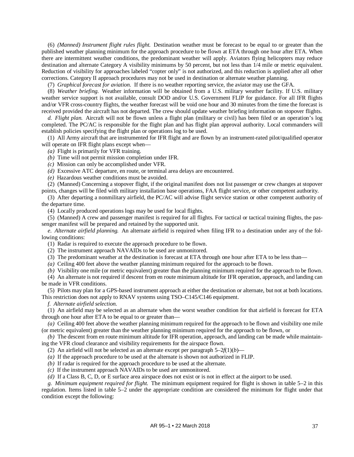(6) *(Manned) Instrument flight rules flight.* Destination weather must be forecast to be equal to or greater than the published weather planning minimum for the approach procedure to be flown at ETA through one hour after ETA. When there are intermittent weather conditions, the predominant weather will apply. Aviators flying helicopters may reduce destination and alternate Category A visibility minimums by 50 percent, but not less than 1/4 mile or metric equivalent. Reduction of visibility for approaches labeled "copter only" is not authorized, and this reduction is applied after all other corrections. Category II approach procedures may not be used in destination or alternate weather planning.

(7) *Graphical forecast for aviation.* If there is no weather reporting service, the aviator may use the GFA.

(8) *Weather briefing.* Weather information will be obtained from a U.S. military weather facility. If U.S. military weather service support is not available, consult DOD and/or U.S. Government FLIP for guidance. For all IFR flights and/or VFR cross-country flights, the weather forecast will be void one hour and 30 minutes from the time the forecast is received provided the aircraft has not departed. The crew should update weather briefing information on stopover flights.

*d. Flight plan.* Aircraft will not be flown unless a flight plan (military or civil) has been filed or an operation's log completed. The PC/AC is responsible for the flight plan and has flight plan approval authority. Local commanders will establish policies specifying the flight plan or operations log to be used.

(1) All Army aircraft that are instrumented for IFR flight and are flown by an instrument-rated pilot/qualified operator will operate on IFR flight plans except when—

*(a)* Flight is primarily for VFR training.

*(b)* Time will not permit mission completion under IFR.

*(c)* Mission can only be accomplished under VFR.

*(d)* Excessive ATC departure, en route, or terminal area delays are encountered.

*(e)* Hazardous weather conditions must be avoided.

(2) (Manned) Concerning a stopover flight, if the original manifest does not list passenger or crew changes at stopover points, changes will be filed with military installation base operations, FAA flight service, or other competent authority.

(3) After departing a nonmilitary airfield, the PC/AC will advise flight service station or other competent authority of the departure time.

(4) Locally produced operations logs may be used for local flights.

(5) (Manned) A crew and passenger manifest is required for all flights. For tactical or tactical training flights, the passenger manifest will be prepared and retained by the supported unit.

*e. Alternate airfield planning.* An alternate airfield is required when filing IFR to a destination under any of the following conditions:

(1) Radar is required to execute the approach procedure to be flown.

(2) The instrument approach NAVAIDs to be used are unmonitored.

(3) The predominant weather at the destination is forecast at ETA through one hour after ETA to be less than—

*(a)* Ceiling 400 feet above the weather planning minimum required for the approach to be flown.

*(b)* Visibility one mile (or metric equivalent) greater than the planning minimum required for the approach to be flown.

(4) An alternate is not required if descent from en route minimum altitude for IFR operation, approach, and landing can be made in VFR conditions.

(5) Pilots may plan for a GPS-based instrument approach at either the destination or alternate, but not at both locations. This restriction does not apply to RNAV systems using TSO–C145/C146 equipment.

*f. Alternate airfield selection.*

(1) An airfield may be selected as an alternate when the worst weather condition for that airfield is forecast for ETA through one hour after ETA to be equal to or greater than—

*(a)* Ceiling 400 feet above the weather planning minimum required for the approach to be flown and visibility one mile (or metric equivalent) greater than the weather planning minimum required for the approach to be flown, or

<span id="page-45-0"></span>*(b)* The descent from en route minimum altitude for IFR operation, approach, and landing can be made while maintaining the VFR cloud clearance and visibility requirements for the airspace flown.

(2) An airfield will not be selected as an alternate except per [paragraph](#page-45-0)  $5-2f(1)(b)$ —

*(a)* If the approach procedure to be used at the alternate is shown not authorized in FLIP.

*(b)* If radar is required for the approach procedure to be used at the alternate.

*(c)* If the instrument approach NAVAIDs to be used are unmonitored.

*(d)* If a Class B, C, D, or E surface area airspace does not exist or is not in effect at the airport to be used.

*g. Minimum equipment required for flight.* The minimum equipment required for flight is shown in [table](#page-46-1) 5–2 in this regulation. Items listed in [table](#page-46-1) 5–2 under the appropriate condition are considered the minimum for flight under that condition except the following: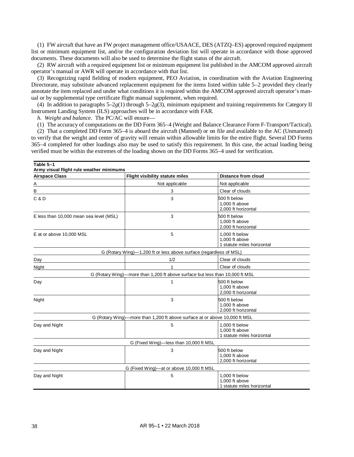<span id="page-46-2"></span>(1) FW aircraft that have an FW project management office/USAACE, DES (ATZQ–ES) approved required equipment list or minimum equipment list, and/or the configuration deviation list will operate in accordance with those approved documents. These documents will also be used to determine the flight status of the aircraft.

(2) RW aircraft with a required equipment list or minimum equipment list published in the AMCOM approved aircraft operator's manual or AWR will operate in accordance with that list.

<span id="page-46-3"></span>(3) Recognizing rapid fielding of modern equipment, PEO Aviation, in coordination with the Aviation Engineering Directorate, may substitute advanced replacement equipment for the items listed within [table](#page-46-1) 5–2 provided they clearly annotate the item replaced and under what conditions it is required within the AMCOM approved aircraft operator's manual or by supplemental type certificate flight manual supplement, when required.

(4) In addition to paragraphs [5–2](#page-46-2)*g*(1) through [5–2](#page-46-3)*g*(3), minimum equipment and training requirements for Category II Instrument Landing System (ILS) approaches will be in accordance with FAR.

<span id="page-46-4"></span>*h. Weight and balance.* The PC/AC will ensure—

(1) The accuracy of computations on the DD Form 365–4 (Weight and Balance Clearance Form F-Transport/Tactical).

(2) That a completed DD Form 365–4 is aboard the aircraft (Manned) or on file and available to the AC (Unmanned) to verify that the weight and center of gravity will remain within allowable limits for the entire flight. Several DD Forms 365–4 completed for other loadings also may be used to satisfy this requirement. In this case, the actual loading being verified must be within the extremes of the loading shown on the DD Forms 365–4 used for verification.

<span id="page-46-1"></span><span id="page-46-0"></span>

| Table 5-1<br>Army visual flight rule weather minimums |                                                                              |                                                                |  |
|-------------------------------------------------------|------------------------------------------------------------------------------|----------------------------------------------------------------|--|
| <b>Airspace Class</b>                                 | <b>Flight visibility statute miles</b>                                       | <b>Distance from cloud</b>                                     |  |
| Α                                                     | Not applicable                                                               | Not applicable                                                 |  |
| В                                                     | 3                                                                            | Clear of clouds                                                |  |
| C & D                                                 | 3                                                                            | 500 ft below<br>1,000 ft above<br>2.000 ft horizontal          |  |
| E less than 10,000 mean sea level (MSL)               | 3                                                                            | 500 ft below<br>1,000 ft above<br>2,000 ft horizontal          |  |
| E at or above 10,000 MSL                              | 5                                                                            | 1,000 ft below<br>1,000 ft above<br>1 statute miles horizontal |  |
|                                                       | G (Rotary Wing)-1,200 ft or less above surface (regardless of MSL)           |                                                                |  |
| Day                                                   | 1/2                                                                          | Clear of clouds                                                |  |
| Night                                                 | 1                                                                            | Clear of clouds                                                |  |
|                                                       | G (Rotary Wing)—more than 1,200 ft above surface but less than 10,000 ft MSL |                                                                |  |
| Day                                                   | 1                                                                            | 500 ft below<br>1,000 ft above<br>2,000 ft horizontal          |  |
| Night                                                 | 3                                                                            | 500 ft below<br>1,000 ft above<br>2,000 ft horizontal          |  |
|                                                       | G (Rotary Wing)-more than 1,200 ft above surface at or above 10,000 ft MSL   |                                                                |  |
| Day and Night                                         | 5                                                                            | 1,000 ft below<br>1,000 ft above<br>1 statute miles horizontal |  |
|                                                       | G (Fixed Wing)-less than 10,000 ft MSL                                       |                                                                |  |
| Day and Night                                         | 3                                                                            | 500 ft below<br>1,000 ft above<br>2.000 ft horizontal          |  |
|                                                       | G (Fixed Wing)-at or above 10,000 ft MSL                                     |                                                                |  |
| Day and Night                                         | 5                                                                            | 1,000 ft below<br>1,000 ft above<br>1 statute miles horizontal |  |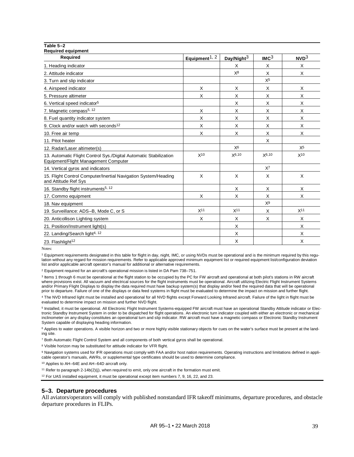| Table 5-2                                                                                                 |                           |                        |                  |                  |
|-----------------------------------------------------------------------------------------------------------|---------------------------|------------------------|------------------|------------------|
| <b>Required equipment</b><br><b>Required</b>                                                              | Equipment <sup>1, 2</sup> | Day/Night <sup>3</sup> | IMC <sup>3</sup> | NVD <sup>3</sup> |
| 1. Heading indicator                                                                                      |                           | Χ                      | X                | Χ                |
| 2. Attitude indicator                                                                                     |                           | $X^8$                  | X                | X                |
| 3. Turn and slip indicator                                                                                |                           |                        | $X^5$            |                  |
| 4. Airspeed indicator                                                                                     | X                         | X                      | X                | X                |
| 5. Pressure altimeter                                                                                     | X                         | X                      | X                | X                |
| 6. Vertical speed indicator <sup>5</sup>                                                                  |                           | X                      | X                | X                |
| 7. Magnetic compass <sup>5, 12</sup>                                                                      | X                         | X                      | X                | X                |
| 8. Fuel quantity indicator system                                                                         | X                         | X                      | X                | X                |
| 9. Clock and/or watch with seconds <sup>12</sup>                                                          | X                         | X                      | X                | X                |
| 10. Free air temp                                                                                         | X                         | X                      | X                | X                |
| 11. Pitot heater                                                                                          |                           |                        | Χ                |                  |
| 12. Radar/Laser altimeter(s)                                                                              |                           | X <sub>6</sub>         |                  | $X^5$            |
| 13. Automatic Flight Control Sys./Digital Automatic Stabilization<br>Equipment/Flight Management Computer | $X^{10}$                  | X6,10                  | X6,10            | X <sup>10</sup>  |
| 14. Vertical gyros and indicators                                                                         |                           |                        | $X^7$            |                  |
| 15. Flight Control Computer/Inertial Navigation System/Heading<br>and Attitude Ref Sys                    | X                         | X                      | X                | X                |
| 16. Standby flight instruments <sup>5, 12</sup>                                                           |                           | X                      | X                | X                |
| 17. Commo equipment                                                                                       | Χ                         | X                      | X                | X                |
| 18. Nav equipment                                                                                         |                           |                        | X <sup>9</sup>   |                  |
| 19. Surveillance: ADS-B, Mode C, or S                                                                     | X <sup>11</sup>           | X <sup>11</sup>        | X                | X <sup>11</sup>  |
| 20. Anticollison Lighting system                                                                          | X                         | X                      | X                | X                |
| 21. Position/Instrument light(s)                                                                          |                           | X                      |                  | X                |
| 22. Landing/Search light <sup>4, 12</sup>                                                                 |                           | X                      |                  | X                |
| 23. Flashlight <sup>12</sup>                                                                              |                           | X                      |                  | X                |

Notes:

<sup>1</sup> Equipment requirements designated in this table for flight in day, night, IMC, or using NVDs must be operational and is the minimum required by this regulation without any regard for mission requirements. Refer to applicable approved minimum equipment list or required equipment list/configuration deviation list and/or applicable aircraft operator's manual for additional or alternative requirements.

<sup>2</sup> Equipment required for an aircraft's operational mission is listed in DA Pam 738–751.

<sup>3</sup> Items 1 through 6 must be operational at the flight station to be occupied by the PC for FW aircraft and operational at both pilot's stations in RW aircraft where provisions exist. All vacuum and electrical sources for the flight instruments must be operational. Aircraft utilizing Electric Flight Instrument Systems and/or Primary Flight Displays to display the data required must have backup system(s) that display and/or feed the required data that will be operational prior to departure. Failure of one of the displays or data feed systems in flight must be evaluated to determine the impact on mission and further flight.

<sup>4</sup> The NVD Infrared light must be installed and operational for all NVD flights except Forward Looking Infrared aircraft. Failure of the light in flight must be evaluated to determine impact on mission and further NVD flight.

<sup>5</sup> Installed, it must be operational. All Electronic Flight Instrument Systems-equipped FW aircraft must have an operational Standby Attitude indicator or Electronic Standby Instrument System in order to be dispatched for flight operations. An electronic turn indicator coupled with either an electronic or mechanical inclinometer on any display constitutes an operational turn and slip indicator. RW aircraft must have a magnetic compass or Electronic Standby Instrument System capable of displaying heading information.

<sup>6</sup> Applies to water operations. A visible horizon and two or more highly visible stationary objects for cues on the water's surface must be present at the landing site.

<sup>7</sup> Both Automatic Flight Control System and all components of both vertical gyros shall be operational.

<sup>8</sup> Visible horizon may be substituted for attitude indicator for VFR flight.

9 Navigation systems used for IFR operations must comply with FAA and/or host nation requirements. Operating instructions and limitations defined in applicable operator's manuals, AWRs, or supplemental type certificates should be used to determine compliance.

<sup>10</sup> Applies to AH–64E and AH–64D aircraft only.

<sup>11</sup> Refer to paragraph 2-14b(2)(j), when required to emit, only one aircraft in the formation must emit.

<sup>12</sup> For UAS installed equipment, it must be operational except item numbers 7, 9, 16, 22, and 23.

### **5–3. Departure procedures**

All aviators/operators will comply with published nonstandard IFR takeoff minimums, departure procedures, and obstacle departure procedures in FLIPs.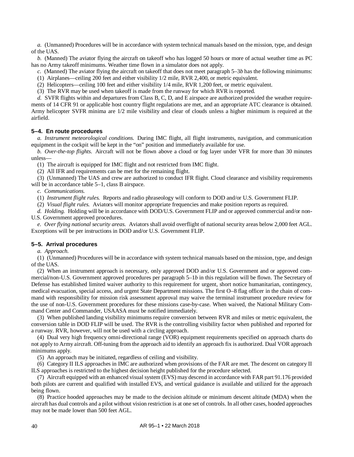*a.* (Unmanned) Procedures will be in accordance with system technical manuals based on the mission, type, and design of the UAS.

<span id="page-48-0"></span>*b.* (Manned) The aviator flying the aircraft on takeoff who has logged 50 hours or more of actual weather time as PC has no Army takeoff minimums. Weather time flown in a simulator does not apply.

- *c.* (Manned) The aviator flying the aircraft on takeoff that does not mee[t paragraph](#page-48-0) 5–3*b* has the following minimums:
- (1) Airplanes—ceiling 200 feet and either visibility 1/2 mile, RVR 2,400, or metric equivalent.
- (2) Helicopters—ceiling 100 feet and either visibility 1/4 mile, RVR 1,200 feet, or metric equivalent.
- (3) The RVR may be used when takeoff is made from the runway for which RVR is reported.

*d.* SVFR flights within and departures from Class B, C, D, and E airspace are authorized provided the weather requirements of 14 CFR 91 or applicable host country flight regulations are met, and an appropriate ATC clearance is obtained. Army helicopter SVFR minima are 1/2 mile visibility and clear of clouds unless a higher minimum is required at the airfield.

## **5–4. En route procedures**

*a. Instrument meteorological conditions.* During IMC flight, all flight instruments, navigation, and communication equipment in the cockpit will be kept in the "on" position and immediately available for use.

*b. Over-the-top flights.* Aircraft will not be flown above a cloud or fog layer under VFR for more than 30 minutes unless—

(1) The aircraft is equipped for IMC flight and not restricted from IMC flight.

(2) All IFR and requirements can be met for the remaining flight.

(3) (Unmanned) The UAS and crew are authorized to conduct IFR flight. Cloud clearance and visibility requirements will be in accordanc[e table](#page-46-0) 5–1, class B airspace.

*c. Communications.*

(1) *Instrument flight rules.* Reports and radio phraseology will conform to DOD and/or U.S. Government FLIP.

(2) *Visual flight rules.* Aviators will monitor appropriate frequencies and make position reports as required.

*d. Holding.* Holding will be in accordance with DOD/U.S. Government FLIP and or approved commercial and/or non-U.S. Government approved procedures.

*e. Over flying national security areas.* Aviators shall avoid overflight of national security areas below 2,000 feet AGL. Exceptions will be per instructions in DOD and/or U.S. Government FLIP.

## **5–5. Arrival procedures**

*a. Approach.*

(1) (Unmanned) Procedures will be in accordance with system technical manuals based on the mission, type, and design of the UAS.

(2) When an instrument approach is necessary, only approved DOD and/or U.S. Government and or approved commercial/non-U.S. Government approved procedures per [paragraph](#page-42-1) 5–1*b* in this regulation will be flown. The Secretary of Defense has established limited waiver authority to this requirement for urgent, short notice humanitarian, contingency, medical evacuation, special access, and urgent State Department missions. The first O–8 flag officer in the chain of command with responsibility for mission risk assessment approval may waive the terminal instrument procedure review for the use of non-U.S. Government procedures for these missions case-by-case. When waived, the National Military Command Center and Commander, USAASA must be notified immediately.

(3) When published landing visibility minimums require conversion between RVR and miles or metric equivalent, the conversion table in DOD FLIP will be used. The RVR is the controlling visibility factor when published and reported for a runway. RVR, however, will not be used with a circling approach.

(4) Dual very high frequency omni-directional range (VOR) equipment requirements specified on approach charts do not apply to Army aircraft. Off-tuning from the approach aid to identify an approach fix is authorized. Dual VOR approach minimums apply.

(5) An approach may be initiated, regardless of ceiling and visibility.

(6) Category II ILS approaches in IMC are authorized when provisions of the FAR are met. The descent on category II ILS approaches is restricted to the highest decision height published for the procedure selected.

(7) Aircraft equipped with an enhanced visual system (EVS) may descend in accordance with FAR part 91.176 provided both pilots are current and qualified with installed EVS, and vertical guidance is available and utilized for the approach being flown.

(8) Practice hooded approaches may be made to the decision altitude or minimum descent altitude (MDA) when the aircraft has dual controls and a pilot without vision restriction is at one set of controls. In all other cases, hooded approaches may not be made lower than 500 feet AGL.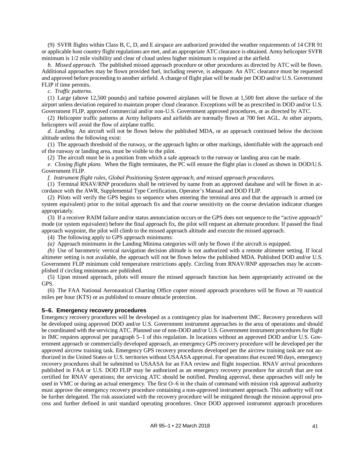(9) SVFR flights within Class B, C, D, and E airspace are authorized provided the weather requirements of 14 CFR 91 or applicable host country flight regulations are met, and an appropriate ATC clearance is obtained. Army helicopter SVFR minimum is 1/2 mile visibility and clear of cloud unless higher minimum is required at the airfield.

*b. Missed approach.* The published missed approach procedure or other procedures as directed by ATC will be flown. Additional approaches may be flown provided fuel, including reserve, is adequate. An ATC clearance must be requested and approved before proceeding to another airfield. A change of flight plan will be made per DOD and/or U.S. Government FLIP if time permits.

*c. Traffic patterns.*

(1) Large (above 12,500 pounds) and turbine powered airplanes will be flown at 1,500 feet above the surface of the airport unless deviation required to maintain proper cloud clearance. Exceptions will be as prescribed in DOD and/or U.S. Government FLIP, approved commercial and/or non-U.S. Government approved procedures, or as directed by ATC.

(2) Helicopter traffic patterns at Army heliports and airfields are normally flown at 700 feet AGL. At other airports, helicopters will avoid the flow of airplane traffic.

*d. Landing.* An aircraft will not be flown below the published MDA, or an approach continued below the decision altitude unless the following exist:

(1) The approach threshold of the runway, or the approach lights or other markings, identifiable with the approach end of the runway or landing area, must be visible to the pilot.

(2) The aircraft must be in a position from which a safe approach to the runway or landing area can be made.

*e. Closing flight plans.* When the flight terminates, the PC will ensure the flight plan is closed as shown in DOD/U.S. Government FLIP.

*f. Instrument flight rules, Global Positioning System approach, and missed approach procedures.*

(1) Terminal RNAV/RNP procedures shall be retrieved by name from an approved database and will be flown in accordance with the AWR, Supplemental Type Certification, Operator's Manual and DOD FLIP.

(2) Pilots will verify the GPS begins to sequence when entering the terminal area and that the approach is armed (or system equivalent) prior to the initial approach fix and that course sensitivity on the course deviation indicator changes appropriately.

(3) If a receiver RAIM failure and/or status annunciation occurs or the GPS does not sequence to the "active approach" mode (or system equivalent) before the final approach fix, the pilot will request an alternate procedure. If passed the final approach waypoint, the pilot will climb to the missed approach altitude and execute the missed approach.

(4) The following apply to GPS approach minimums:

*(a)* Approach minimums in the Landing Minima categories will only be flown if the aircraft is equipped.

*(b)* Use of barometric vertical navigation decision altitude is not authorized with a remote altimeter setting. If local altimeter setting is not available, the approach will not be flown below the published MDA. Published DOD and/or U.S. Government FLIP minimum cold temperature restrictions apply. Circling from RNAV/RNP approaches may be accomplished if circling minimums are published.

(5) Upon missed approach, pilots will ensure the missed approach function has been appropriately activated on the GPS.

(6) The FAA National Aeronautical Charting Office copter missed approach procedures will be flown at 70 nautical miles per hour (KTS) or as published to ensure obstacle protection.

### **5–6. Emergency recovery procedures**

Emergency recovery procedures will be developed as a contingency plan for inadvertent IMC. Recovery procedures will be developed using approved DOD and/or U.S. Government instrument approaches in the area of operations and should be coordinated with the servicing ATC. Planned use of non-DOD and/or U.S. Government instrument procedures for flight in IMC requires approval per [paragraph 5–1](#page-42-2) of this regulation. In locations without an approved DOD and/or U.S. Government approach or commercially developed approach, an emergency GPS recovery procedure will be developed per the approved aircrew training task. Emergency GPS recovery procedures developed per the aircrew training task are not authorized in the United States or U.S. territories without USAASA approval. For operations that exceed 90 days, emergency recovery procedures shall be submitted to USAASA for an FAA review and flight inspection. RNAV arrival procedures published in FAA or U.S. DOD FLIP may be authorized as an emergency recovery procedure for aircraft that are not certified for RNAV operations; the servicing ATC should be notified. Pending approval, these approaches will only be used in VMC or during an actual emergency. The first O–6 in the chain of command with mission risk approval authority must approve the emergency recovery procedure containing a non-approved instrument approach. This authority will not be further delegated. The risk associated with the recovery procedure will be mitigated through the mission approval process and further defined in unit standard operating procedures. Once DOD approved instrument approach procedures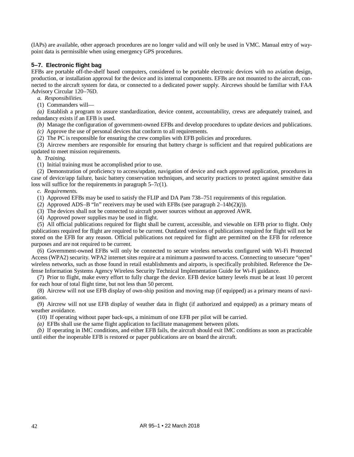(IAPs) are available, other approach procedures are no longer valid and will only be used in VMC. Manual entry of waypoint data is permissible when using emergency GPS procedures.

## <span id="page-50-0"></span>**5–7. Electronic flight bag**

EFBs are portable off-the-shelf based computers, considered to be portable electronic devices with no aviation design, production, or installation approval for the device and its internal components. EFBs are not mounted to the aircraft, connected to the aircraft system for data, or connected to a dedicated power supply. Aircrews should be familiar with FAA Advisory Circular 120–76D.

*a. Responsibilities.*

(1) Commanders will—

*(a)* Establish a program to assure standardization, device content, accountability, crews are adequately trained, and redundancy exists if an EFB is used.

*(b)* Manage the configuration of government-owned EFBs and develop procedures to update devices and publications.

*(c)* Approve the use of personal devices that conform to all requirements.

(2) The PC is responsible for ensuring the crew complies with EFB policies and procedures.

(3) Aircrew members are responsible for ensuring that battery charge is sufficient and that required publications are updated to meet mission requirements.

*b. Training.*

(1) Initial training must be accomplished prior to use.

(2) Demonstration of proficiency to access/update, navigation of device and each approved application, procedures in case of device/app failure, basic battery conservation techniques, and security practices to protect against sensitive data loss will suffice for the requirements i[n paragraph](#page-50-1) 5–7*c*(1).

## *c. Requirements.*

<span id="page-50-1"></span>(1) Approved EFBs may be used to satisfy the FLIP and DA Pam 738–751 requirements of this regulation.

(2) Approved ADS–B "In" receivers may be used with EFBs (se[e paragraph](#page-19-0) 2–14*b*(2)(*j*)).

(3) The devices shall not be connected to aircraft power sources without an approved AWR.

(4) Approved power supplies may be used in flight.

(5) All official publications required for flight shall be current, accessible, and viewable on EFB prior to flight. Only publications required for flight are required to be current. Outdated versions of publications required for flight will not be stored on the EFB for any reason. Official publications not required for flight are permitted on the EFB for reference purposes and are not required to be current.

(6) Government-owned EFBs will only be connected to secure wireless networks configured with Wi-Fi Protected Access (WPA2) security. WPA2 internet sites require at a minimum a password to access. Connecting to unsecure "open" wireless networks, such as those found in retail establishments and airports, is specifically prohibited. Reference the Defense Information Systems Agency Wireless Security Technical Implementation Guide for Wi-Fi guidance.

(7) Prior to flight, make every effort to fully charge the device. EFB device battery levels must be at least 10 percent for each hour of total flight time, but not less than 50 percent.

(8) Aircrew will not use EFB display of own-ship position and moving map (if equipped) as a primary means of navigation.

(9) Aircrew will not use EFB display of weather data in flight (if authorized and equipped) as a primary means of weather avoidance.

(10) If operating without paper back-ups, a minimum of one EFB per pilot will be carried.

*(a)* EFBs shall use the same flight application to facilitate management between pilots.

*(b)* If operating in IMC conditions, and either EFB fails, the aircraft should exit IMC conditions as soon as practicable until either the inoperable EFB is restored or paper publications are on board the aircraft.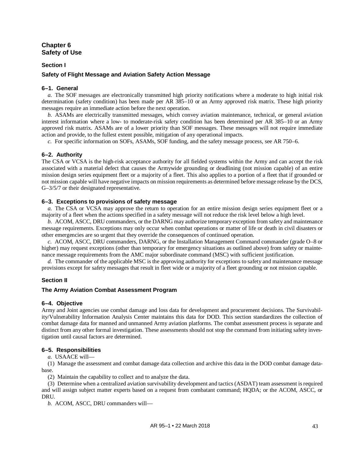## **Chapter 6 Safety of Use**

## **Section I**

## **Safety of Flight Message and Aviation Safety Action Message**

### **6–1. General**

*a.* The SOF messages are electronically transmitted high priority notifications where a moderate to high initial risk determination (safety condition) has been made per AR 385–10 or an Army approved risk matrix. These high priority messages require an immediate action before the next operation.

*b.* ASAMs are electrically transmitted messages, which convey aviation maintenance, technical, or general aviation interest information where a low- to moderate-risk safety condition has been determined per AR 385–10 or an Army approved risk matrix. ASAMs are of a lower priority than SOF messages. These messages will not require immediate action and provide, to the fullest extent possible, mitigation of any operational impacts.

*c.* For specific information on SOFs, ASAMs, SOF funding, and the safety message process, see AR 750–6.

## **6–2. Authority**

The CSA or VCSA is the high-risk acceptance authority for all fielded systems within the Army and can accept the risk associated with a material defect that causes the Armywide grounding or deadlining (not mission capable) of an entire mission design series equipment fleet or a majority of a fleet. This also applies to a portion of a fleet that if grounded or not mission capable will have negative impacts on mission requirements as determined before message release by the DCS, G–3/5/7 or their designated representative.

### **6–3. Exceptions to provisions of safety message**

*a.* The CSA or VCSA may approve the return to operation for an entire mission design series equipment fleet or a majority of a fleet when the actions specified in a safety message will not reduce the risk level below a high level.

*b.* ACOM, ASCC, DRU commanders, or the DARNG may authorize temporary exception from safety and maintenance message requirements. Exceptions may only occur when combat operations or matter of life or death in civil disasters or other emergencies are so urgent that they override the consequences of continued operation.

*c.* ACOM, ASCC, DRU commanders, DARNG, or the Installation Management Command commander (grade O–8 or higher) may request exceptions (other than temporary for emergency situations as outlined above) from safety or maintenance message requirements from the AMC major subordinate command (MSC) with sufficient justification.

*d.* The commander of the applicable MSC is the approving authority for exceptions to safety and maintenance message provisions except for safety messages that result in fleet wide or a majority of a fleet grounding or not mission capable.

## **Section II**

## **The Army Aviation Combat Assessment Program**

## **6–4. Objective**

Army and Joint agencies use combat damage and loss data for development and procurement decisions. The Survivability/Vulnerability Information Analysis Center maintains this data for DOD. This section standardizes the collection of combat damage data for manned and unmanned Army aviation platforms. The combat assessment process is separate and distinct from any other formal investigation. These assessments should not stop the command from initiating safety investigation until causal factors are determined.

## **6–5. Responsibilities**

*a.* USAACE will—

(1) Manage the assessment and combat damage data collection and archive this data in the DOD combat damage database.

(2) Maintain the capability to collect and to analyze the data.

(3) Determine when a centralized aviation survivability development and tactics (ASDAT) team assessment is required and will assign subject matter experts based on a request from combatant command; HQDA; or the ACOM, ASCC, or DRU.

*b.* ACOM, ASCC, DRU commanders will—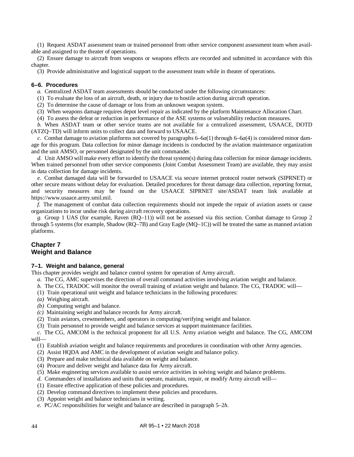(1) Request ASDAT assessment team or trained personnel from other service component assessment team when available and assigned to the theater of operations.

(2) Ensure damage to aircraft from weapons or weapons effects are recorded and submitted in accordance with this chapter.

(3) Provide administrative and logistical support to the assessment team while in theater of operations.

## **6–6. Procedures**

*a.* Centralized ASDAT team assessments should be conducted under the following circumstances:

<span id="page-52-0"></span>(1) To evaluate the loss of an aircraft, death, or injury due to hostile action during aircraft operation.

(2) To determine the cause of damage or loss from an unknown weapon system.

(3) When weapons damage requires depot level repair as indicated by the platform Maintenance Allocation Chart.

<span id="page-52-1"></span>(4) To assess the defeat or reduction in performance of the ASE systems or vulnerability reduction measures.

*b.* When ASDAT team or other service teams are not available for a centralized assessment, USAACE, DOTD (ATZQ–TD) will inform units to collect data and forward to USAACE.

*c.* Combat damage to aviation platforms not covered by paragraphs  $6-6a(1)$  through  $6-6a(4)$  is considered minor damage for this program. Data collection for minor damage incidents is conducted by the aviation maintenance organization and the unit AMSO, or personnel designated by the unit commander.

*d.* Unit AMSO will make every effort to identify the threat system(s) during data collection for minor damage incidents. When trained personnel from other service components (Joint Combat Assessment Team) are available, they may assist in data collection for damage incidents.

*e.* Combat damaged data will be forwarded to USAACE via secure internet protocol router network (SIPRNET) or other secure means without delay for evaluation. Detailed procedures for threat damage data collection, reporting format, and security measures may be found on the USAACE SIPRNET site/ASDAT team link available at [https://www.usaace.army.smil.mil.](https://www.usaace.army.smil.mil/)

*f.* The management of combat data collection requirements should not impede the repair of aviation assets or cause organizations to incur undue risk during aircraft recovery operations.

*g.* Group 1 UAS (for example, Raven (RQ–11)) will not be assessed via this section. Combat damage to Group 2 through 5 systems (for example, Shadow (RQ–7B) and Gray Eagle (MQ–1C)) will be treated the same as manned aviation platforms.

## **Chapter 7 Weight and Balance**

## **7–1. Weight and balance, general**

This chapter provides weight and balance control system for operation of Army aircraft.

*a.* The CG, AMC supervises the direction of overall command activities involving aviation weight and balance.

- *b.* The CG, TRADOC will monitor the overall training of aviation weight and balance. The CG, TRADOC will—
- (1) Train operational unit weight and balance technicians in the following procedures:
- *(a)* Weighing aircraft.
- *(b)* Computing weight and balance.
- *(c)* Maintaining weight and balance records for Army aircraft.
- (2) Train aviators, crewmembers, and operators in computing/verifying weight and balance.
- (3) Train personnel to provide weight and balance services at support maintenance facilities.

*c.* The CG, AMCOM is the technical proponent for all U.S. Army aviation weight and balance. The CG, AMCOM will—

(1) Establish aviation weight and balance requirements and procedures in coordination with other Army agencies.

- (2) Assist HQDA and AMC in the development of aviation weight and balance policy.
- (3) Prepare and make technical data available on weight and balance.
- (4) Procure and deliver weight and balance data for Army aircraft.
- (5) Make engineering services available to assist service activities in solving weight and balance problems.
- *d.* Commanders of installations and units that operate, maintain, repair, or modify Army aircraft will—
- (1) Ensure effective application of these policies and procedures.
- (2) Develop command directives to implement these policies and procedures.
- (3) Appoint weight and balance technicians in writing.
- *e.* PC/AC responsibilities for weight and balance are described i[n paragraph](#page-46-4) 5–2*h*.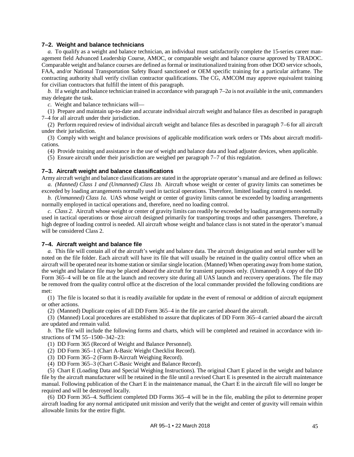### **7–2. Weight and balance technicians**

<span id="page-53-0"></span>*a.* To qualify as a weight and balance technician, an individual must satisfactorily complete the 15-series career management field Advanced Leadership Course, AMOC, or comparable weight and balance course approved by TRADOC. Comparable weight and balance courses are defined as formal or institutionalized training from other DOD service schools, FAA, and/or National Transportation Safety Board sanctioned or OEM specific training for a particular airframe. The contracting authority shall verify civilian contractor qualifications. The CG, AMCOM may approve equivalent training for civilian contractors that fulfill the intent of this paragraph.

*b.* If a weight and balance technician trained in accordance wit[h paragraph](#page-53-0)  $7-2a$  is not available in the unit, commanders may delegate the task.

*c.* Weight and balance technicians will—

(1) Prepare and maintain up-to-date and accurate individual aircraft weight and balance files as described in [paragraph](#page-53-1) [7–4](#page-53-1) for all aircraft under their jurisdiction.

(2) Perform required review of individual aircraft weight and balance files as described in [paragraph](#page-54-0) 7–6 for all aircraft under their jurisdiction.

(3) Comply with weight and balance provisions of applicable modification work orders or TMs about aircraft modifications.

(4) Provide training and assistance in the use of weight and balance data and load adjuster devices, when applicable.

(5) Ensure aircraft under their jurisdiction are weighed per [paragraph](#page-54-1) 7–7 of this regulation.

### **7–3. Aircraft weight and balance classifications**

Army aircraft weight and balance classifications are stated in the appropriate operator's manual and are defined as follows: *a. (Manned) Class 1 and (Unmanned) Class 1b.* Aircraft whose weight or center of gravity limits can sometimes be exceeded by loading arrangements normally used in tactical operations. Therefore, limited loading control is needed.

*b. (Unmanned) Class 1a.* UAS whose weight or center of gravity limits cannot be exceeded by loading arrangements normally employed in tactical operations and, therefore, need no loading control.

*c. Class 2.* Aircraft whose weight or center of gravity limits can readily be exceeded by loading arrangements normally used in tactical operations or those aircraft designed primarily for transporting troops and other passengers. Therefore, a high degree of loading control is needed. All aircraft whose weight and balance class is not stated in the operator's manual will be considered Class 2.

### <span id="page-53-1"></span>**7–4. Aircraft weight and balance file**

*a.* This file will contain all of the aircraft's weight and balance data. The aircraft designation and serial number will be noted on the file folder. Each aircraft will have its file that will usually be retained in the quality control office when an aircraft will be operated near its home station or similar single location. (Manned) When operating away from home station, the weight and balance file may be placed aboard the aircraft for transient purposes only. (Unmanned) A copy of the DD Form 365–4 will be on file at the launch and recovery site during all UAS launch and recovery operations. The file may be removed from the quality control office at the discretion of the local commander provided the following conditions are met:

(1) The file is located so that it is readily available for update in the event of removal or addition of aircraft equipment or other actions.

(2) (Manned) Duplicate copies of all DD Form 365–4 in the file are carried aboard the aircraft.

(3) (Manned) Local procedures are established to assure that duplicates of DD Form 365–4 carried aboard the aircraft are updated and remain valid.

<span id="page-53-2"></span>*b.* The file will include the following forms and charts, which will be completed and retained in accordance with instructions of TM 55–1500–342–23:

(1) DD Form 365 (Record of Weight and Balance Personnel).

(2) DD Form 365–1 (Chart A-Basic Weight Checklist Record).

(3) DD Form 365–2 (Form B-Aircraft Weighing Record).

(4) DD Form 365–3 (Chart C-Basic Weight and Balance Record).

(5) Chart E (Loading Data and Special Weighing Instructions). The original Chart E placed in the weight and balance file by the aircraft manufacturer will be retained in the file until a revised Chart E is presented in the aircraft maintenance manual. Following publication of the Chart E in the maintenance manual, the Chart E in the aircraft file will no longer be required and will be destroyed locally.

(6) DD Form 365–4. Sufficient completed DD Forms 365–4 will be in the file, enabling the pilot to determine proper aircraft loading for any normal anticipated unit mission and verify that the weight and center of gravity will remain within allowable limits for the entire flight.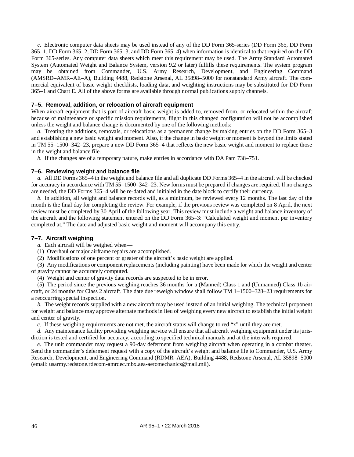*c.* Electronic computer data sheets may be used instead of any of the DD Form 365-series (DD Form 365, DD Form 365–1, DD Form 365–2, DD Form 365–3, and DD Form 365–4) when information is identical to that required on the DD Form 365-series. Any computer data sheets which meet this requirement may be used. The Army Standard Automated System (Automated Weight and Balance System, version 9.2 or later) fulfills these requirements. The system program may be obtained from Commander, U.S. Army Research, Development, and Engineering Command (AMSRD–AMR–AE–A), Building 4488, Redstone Arsenal, AL 35898–5000 for nonstandard Army aircraft. The commercial equivalent of basic weight checklists, loading data, and weighting instructions may be substituted for DD Form 365–1 and Chart E. All of the above forms are available through normal publications supply channels.

## **7–5. Removal, addition, or relocation of aircraft equipment**

When aircraft equipment that is part of aircraft basic weight is added to, removed from, or relocated within the aircraft because of maintenance or specific mission requirements, flight in this changed configuration will not be accomplished unless the weight and balance change is documented by one of the following methods:

*a.* Treating the additions, removals, or relocations as a permanent change by making entries on the DD Form 365–3 and establishing a new basic weight and moment. Also, if the change in basic weight or moment is beyond the limits stated in TM 55–1500–342–23, prepare a new DD Form 365–4 that reflects the new basic weight and moment to replace those in the weight and balance file.

*b.* If the changes are of a temporary nature, make entries in accordance with DA Pam 738–751.

### <span id="page-54-0"></span>**7–6. Reviewing weight and balance file**

*a.* All DD Forms 365–4 in the weight and balance file and all duplicate DD Forms 365–4 in the aircraft will be checked for accuracy in accordance with TM 55–1500–342–23. New forms must be prepared if changes are required. If no changes are needed, the DD Forms 365–4 will be re-dated and initialed in the date block to certify their currency.

*b.* In addition, all weight and balance records will, as a minimum, be reviewed every 12 months. The last day of the month is the final day for completing the review. For example, if the previous review was completed on 8 April, the next review must be completed by 30 April of the following year. This review must include a weight and balance inventory of the aircraft and the following statement entered on the DD Form 365–3: "Calculated weight and moment per inventory completed at." The date and adjusted basic weight and moment will accompany this entry.

### <span id="page-54-1"></span>**7–7. Aircraft weighing**

*a.* Each aircraft will be weighed when—

(1) Overhaul or major airframe repairs are accomplished.

(2) Modifications of one percent or greater of the aircraft's basic weight are applied.

(3) Any modifications or component replacements (including painting) have been made for which the weight and center of gravity cannot be accurately computed.

(4) Weight and center of gravity data records are suspected to be in error.

(5) The period since the previous weighing reaches 36 months for a (Manned) Class 1 and (Unmanned) Class 1b aircraft, or 24 months for Class 2 aircraft. The date due reweigh window shall follow TM 1–1500–328–23 requirements for a reoccurring special inspection.

*b.* The weight records supplied with a new aircraft may be used instead of an initial weighing. The technical proponent for weight and balance may approve alternate methods in lieu of weighing every new aircraft to establish the initial weight and center of gravity.

*c.* If these weighing requirements are not met, the aircraft status will change to red "x" until they are met.

*d.* Any maintenance facility providing weighing service will ensure that all aircraft weighing equipment under its jurisdiction is tested and certified for accuracy, according to specified technical manuals and at the intervals required.

*e.* The unit commander may request a 90-day deferment from weighing aircraft when operating in a combat theater. Send the commander's deferment request with a copy of the aircraft's weight and balance file to Commander, U.S. Army Research, Development, and Engineering Command (RDMR–AEA), Building 4488, Redstone Arsenal, AL 35898–5000 (email: [usarmy.redstone.rdecom-amrdec.mbx.aea-aeromechanics@mail.mil\)](mailto:usarmy.redstone.rdecom-amrdec.mbx.aea-aeromechanics@mail.mil).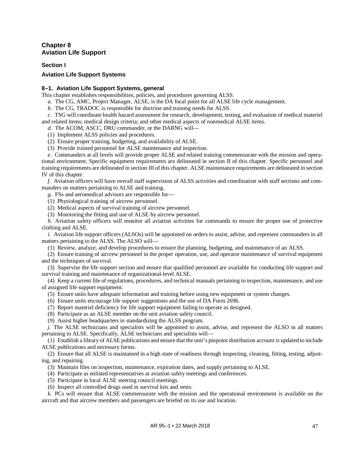## **Chapter 8 Aviation Life Support**

**Section I**

## **Aviation Life Support Systems**

## **8–1. Aviation Life Support Systems, general**

This chapter establishes responsibilities, policies, and procedures governing ALSS.

- *a.* The CG, AMC, Project Manager, ALSE, is the DA focal point for all ALSE life cycle management.
- *b.* The CG, TRADOC is responsible for doctrine and training needs for ALSS.
- *c.* TSG will coordinate health hazard assessment for research, development, testing, and evaluation of medical materiel and related items; medical design criteria; and other medical aspects of nonmedical ALSE items.
	- *d.* The ACOM, ASCC, DRU commander, or the DARNG will—
	- (1) Implement ALSS policies and procedures.
	- (2) Ensure proper training, budgeting, and availability of ALSE.
	- (3) Provide trained personnel for ALSE maintenance and inspection.

*e.* Commanders at all levels will provide proper ALSE and related training commensurate with the mission and operational environment. Specific equipment requirements are delineated in section II of this chapter. Specific personnel and training requirements are delineated in section III of this chapter. ALSE maintenance requirements are delineated in section IV of this chapter.

*f.* Aviation officers will have overall staff supervision of ALSS activities and coordination with staff sections and commanders on matters pertaining to ALSE and training.

*g.* FSs and aeromedical advisors are responsible for—

- (1) Physiological training of aircrew personnel.
- (2) Medical aspects of survival training of aircrew personnel.
- (3) Monitoring the fitting and use of ALSE by aircrew personnel.

*h.* Aviation safety officers will monitor all aviation activities for commands to ensure the proper use of protective clothing and ALSE.

*i.* Aviation life support officers (ALSOs) will be appointed on orders to assist, advise, and represent commanders in all matters pertaining to the ALSS. The ALSO will—

(1) Review, analyze, and develop procedures to ensure the planning, budgeting, and maintenance of an ALSS.

(2) Ensure training of aircrew personnel in the proper operation, use, and operator maintenance of survival equipment and the techniques of survival.

(3) Supervise the life support section and ensure that qualified personnel are available for conducting life support and survival training and maintenance of organizational-level ALSE.

(4) Keep a current file of regulations, procedures, and technical manuals pertaining to inspection, maintenance, and use of assigned life support equipment.

- (5) Ensure units have adequate information and training before using new equipment or system changes.
- (6) Ensure units encourage life support suggestions and the use of DA Form 2696.
- (7) Report materiel deficiency for life support equipment failing to operate as designed.
- (8) Participate as an ALSE member on the unit aviation safety council.
- (9) Assist higher headquarters in standardizing the ALSS program.

*j.* The ALSE technicians and specialists will be appointed to assist, advise, and represent the ALSO in all matters pertaining to ALSE. Specifically, ALSE technicians and specialists will—

(1) Establish a library of ALSE publications and ensure that the unit's pinpoint distribution account is updated to include ALSE publications and necessary forms.

(2) Ensure that all ALSE is maintained in a high state of readiness through inspecting, cleaning, fitting, testing, adjusting, and repairing.

- (3) Maintain files on inspection, maintenance, expiration dates, and supply pertaining to ALSE.
- (4) Participate as enlisted representatives at aviation safety meetings and conferences.
- (5) Participate in local ALSE steering council meetings.
- (6) Inspect all controlled drugs used in survival kits and vests.

*k.* PCs will ensure that ALSE commensurate with the mission and the operational environment is available on the aircraft and that aircrew members and passengers are briefed on its use and location.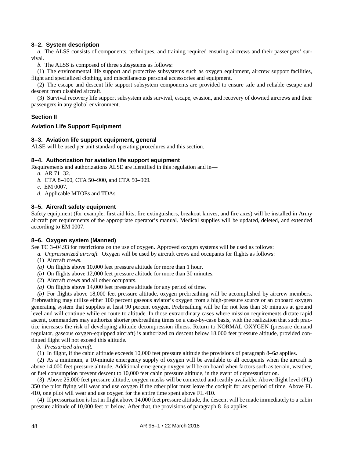## **8–2. System description**

*a.* The ALSS consists of components, techniques, and training required ensuring aircrews and their passengers' survival.

*b.* The ALSS is composed of three subsystems as follows:

(1) The environmental life support and protective subsystems such as oxygen equipment, aircrew support facilities, flight and specialized clothing, and miscellaneous personal accessories and equipment.

(2) The escape and descent life support subsystem components are provided to ensure safe and reliable escape and descent from disabled aircraft.

(3) Survival recovery life support subsystem aids survival, escape, evasion, and recovery of downed aircrews and their passengers in any global environment.

## **Section II**

### **Aviation Life Support Equipment**

### **8–3. Aviation life support equipment, general**

ALSE will be used per unit standard operating procedures and this section.

### **8–4. Authorization for aviation life support equipment**

<span id="page-56-1"></span>Requirements and authorizations ALSE are identified in this regulation and in—

- *a.* AR 71–32.
- <span id="page-56-2"></span>*b.* CTA 8–100, CTA 50–900, and CTA 50–909.
- *c.* EM 0007.
- *d.* Applicable MTOEs and TDAs.

### **8–5. Aircraft safety equipment**

Safety equipment (for example, first aid kits, fire extinguishers, breakout knives, and fire axes) will be installed in Army aircraft per requirements of the appropriate operator's manual. Medical supplies will be updated, deleted, and extended according to EM 0007.

### **8–6. Oxygen system (Manned)**

See TC 3–04.93 for restrictions on the use of oxygen. Approved oxygen systems will be used as follows:

- <span id="page-56-0"></span>*a. Unpressurized aircraft.* Oxygen will be used by aircraft crews and occupants for flights as follows:
- (1) Aircraft crews.
- *(a)* On flights above 10,000 feet pressure altitude for more than 1 hour.
- *(b)* On flights above 12,000 feet pressure altitude for more than 30 minutes.
- (2) Aircraft crews and all other occupants.
- *(a)* On flights above 14,000 feet pressure altitude for any period of time.

*(b)* For flights above 18,000 feet pressure altitude, oxygen prebreathing will be accomplished by aircrew members. Prebreathing may utilize either 100 percent gaseous aviator's oxygen from a high-pressure source or an onboard oxygen generating system that supplies at least 90 percent oxygen. Prebreathing will be for not less than 30 minutes at ground level and will continue while en route to altitude. In those extraordinary cases where mission requirements dictate rapid ascent, commanders may authorize shorter prebreathing times on a case-by-case basis, with the realization that such practice increases the risk of developing altitude decompression illness. Return to NORMAL OXYGEN (pressure demand regulator, gaseous oxygen-equipped aircraft) is authorized on descent below 18,000 feet pressure altitude, provided continued flight will not exceed this altitude.

- *b. Pressurized aircraft.*
- (1) In flight, if the cabin altitude exceeds 10,000 feet pressure altitude the provisions of [paragraph](#page-56-0) 8–6*a* applies.

(2) As a minimum, a 10-minute emergency supply of oxygen will be available to all occupants when the aircraft is above 14,000 feet pressure altitude. Additional emergency oxygen will be on board when factors such as terrain, weather, or fuel consumption prevent descent to 10,000 feet cabin pressure altitude, in the event of depressurization.

(3) Above 25,000 feet pressure altitude, oxygen masks will be connected and readily available. Above flight level (FL) 350 the pilot flying will wear and use oxygen if the other pilot must leave the cockpit for any period of time. Above FL 410, one pilot will wear and use oxygen for the entire time spent above FL 410.

(4) If pressurization is lost in flight above 14,000 feet pressure altitude, the descent will be made immediately to a cabin pressure altitude of 10,000 feet or below. After that, the provisions of [paragraph](#page-56-0) 8–6*a* applies.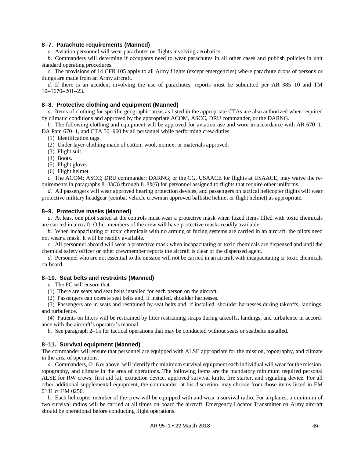### **8–7. Parachute requirements (Manned)**

*a.* Aviation personnel will wear parachutes on flights involving aerobatics.

*b.* Commanders will determine if occupants need to wear parachutes in all other cases and publish policies in unit standard operating procedures.

*c.* The provisions of 14 CFR 105 apply to all Army flights (except emergencies) where parachute drops of persons or things are made from an Army aircraft.

*d.* If there is an accident involving the use of parachutes, reports must be submitted per AR 385–10 and TM 10–1670–201–23.

### **8–8. Protective clothing and equipment (Manned)**

*a.* Items of clothing for specific geographic areas as listed in the appropriate CTAs are also authorized when required by climatic conditions and approved by the appropriate ACOM, ASCC, DRU commander, or the DARNG.

*b.* The following clothing and equipment will be approved for aviation use and worn in accordance with AR 670–1, DA Pam 670–1, and CTA 50–900 by all personnel while performing crew duties:

(1) Identification tags.

(2) Under layer clothing made of cotton, wool, nomex, or materials approved.

<span id="page-57-0"></span>(3) Flight suit.

(4) Boots.

(5) Flight gloves.

<span id="page-57-1"></span>(6) Flight helmet.

*c.* The ACOM; ASCC; DRU commander; DARNG; or the CG, USAACE for flights at USAACE, may waive the requirements in paragraph[s 8–8](#page-57-0)*b*(3) through [8–8](#page-57-1)*b*(6) for personnel assigned to flights that require other uniforms.

*d.* All passengers will wear approved hearing protection devices, and passengers on tactical helicopter flights will wear protective military headgear (combat vehicle crewman approved ballistic helmet or flight helmet) as appropriate.

### **8–9. Protective masks (Manned)**

*a.* At least one pilot seated at the controls must wear a protective mask when fuzed items filled with toxic chemicals are carried in aircraft. Other members of the crew will have protective masks readily available.

*b.* When incapacitating or toxic chemicals with no arming or fuzing systems are carried in an aircraft, the pilots need not wear a mask. It will be readily available.

*c.* All personnel aboard will wear a protective mask when incapacitating or toxic chemicals are dispensed and until the chemical safety officer or other crewmember reports the aircraft is clear of the dispensed agent.

*d.* Personnel who are not essential to the mission will not be carried in an aircraft with incapacitating or toxic chemicals on board.

## **8–10. Seat belts and restraints (Manned)**

*a.* The PC will ensure that—

(1) There are seats and seat belts installed for each person on the aircraft.

(2) Passengers can operate seat belts and, if installed, shoulder harnesses.

(3) Passengers are in seats and restrained by seat belts and, if installed, shoulder harnesses during takeoffs, landings, and turbulence.

(4) Patients on litters will be restrained by litter restraining straps during takeoffs, landings, and turbulence in accordance with the aircraft's operator's manual.

*b.* See [paragraph](#page-19-1) 2–15 for tactical operations that may be conducted without seats or seatbelts installed.

## **8–11. Survival equipment (Manned)**

The commander will ensure that personnel are equipped with ALSE appropriate for the mission, topography, and climate in the area of operations.

*a.* Commanders, O–6 or above, will identify the minimum survival equipment each individual will wear for the mission, topography, and climate in the area of operations. The following items are the mandatory minimum required personal ALSE for RW crews: first aid kit, extraction device, approved survival knife, fire starter, and signaling device. For all other additional supplemental equipment, the commander, at his discretion, may choose from those items listed in EM 0131 or EM 0250.

*b.* Each helicopter member of the crew will be equipped with and wear a survival radio. For airplanes, a minimum of two survival radios will be carried at all times on board the aircraft. Emergency Locator Transmitter on Army aircraft should be operational before conducting flight operations.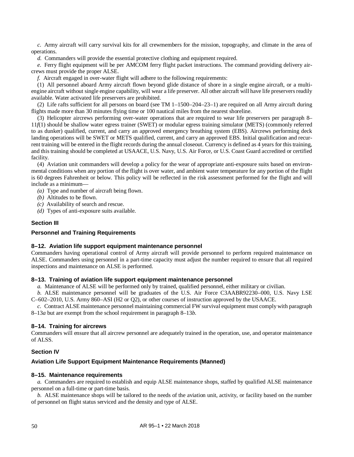*c.* Army aircraft will carry survival kits for all crewmembers for the mission, topography, and climate in the area of operations.

*d.* Commanders will provide the essential protective clothing and equipment required.

*e.* Ferry flight equipment will be per AMCOM ferry flight packet instructions. The command providing delivery aircrews must provide the proper ALSE.

*f.* Aircraft engaged in over-water flight will adhere to the following requirements:

<span id="page-58-0"></span>(1) All personnel aboard Army aircraft flown beyond glide distance of shore in a single engine aircraft, or a multiengine aircraft without single engine capability, will wear a life preserver. All other aircraft will have life preservers readily available. Water activated life preservers are prohibited.

(2) Life rafts sufficient for all persons on board (see TM 1–1500–204–23–1) are required on all Army aircraft during flights made more than 30 minutes flying time or 100 nautical miles from the nearest shoreline.

(3) Helicopter aircrews performing over-water operations that are required to wear life preservers per [paragraph](#page-58-0) 8– 11*f*[\(1\)](#page-58-0) should be shallow water egress trainer (SWET) or modular egress training simulator (METS) (commonly referred to as dunker) qualified, current, and carry an approved emergency breathing system (EBS). Aircrews performing deck landing operations will be SWET or METS qualified, current, and carry an approved EBS. Initial qualification and recurrent training will be entered in the flight records during the annual closeout. Currency is defined as 4 years for this training, and this training should be completed at USAACE, U.S. Navy, U.S. Air Force, or U.S. Coast Guard accredited or certified facility.

(4) Aviation unit commanders will develop a policy for the wear of appropriate anti-exposure suits based on environmental conditions when any portion of the flight is over water, and ambient water temperature for any portion of the flight is 60 degrees Fahrenheit or below. This policy will be reflected in the risk assessment performed for the flight and will include as a minimum—

- *(a)* Type and number of aircraft being flown.
- *(b)* Altitudes to be flown.
- *(c)* Availability of search and rescue.
- *(d)* Types of anti-exposure suits available.

### **Section III**

### **Personnel and Training Requirements**

### **8–12. Aviation life support equipment maintenance personnel**

Commanders having operational control of Army aircraft will provide personnel to perform required maintenance on ALSE. Commanders using personnel in a part-time capacity must adjust the number required to ensure that all required inspections and maintenance on ALSE is performed.

## **8–13. Training of aviation life support equipment maintenance personnel**

<span id="page-58-1"></span>*a.* Maintenance of ALSE will be performed only by trained, qualified personnel, either military or civilian.

<span id="page-58-2"></span>*b.* ALSE maintenance personnel will be graduates of the U.S. Air Force C3AABR92230–000, U.S. Navy LSE C–602–2010, U.S. Army 860–ASI (H2 or Q2), or other courses of instruction approved by the USAACE.

*c.* Contract ALSE maintenance personnel maintaining commercial FW survival equipment must comply with [paragraph](#page-58-1) [8–13](#page-58-1)*a* but are exempt from the school requirement in [paragraph](#page-58-2) 8–13*b*.

### **8–14. Training for aircrews**

Commanders will ensure that all aircrew personnel are adequately trained in the operation, use, and operator maintenance of ALSS.

## **Section IV**

## **Aviation Life Support Equipment Maintenance Requirements (Manned)**

### **8–15. Maintenance requirements**

*a.* Commanders are required to establish and equip ALSE maintenance shops, staffed by qualified ALSE maintenance personnel on a full-time or part-time basis.

*b.* ALSE maintenance shops will be tailored to the needs of the aviation unit, activity, or facility based on the number of personnel on flight status serviced and the density and type of ALSE.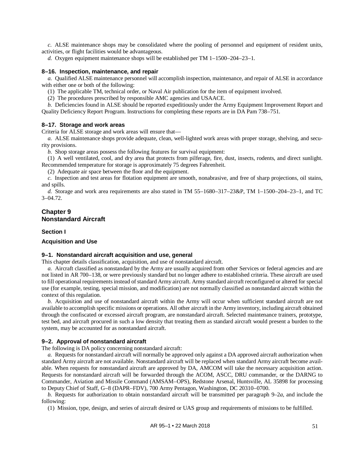*c.* ALSE maintenance shops may be consolidated where the pooling of personnel and equipment of resident units, activities, or flight facilities would be advantageous.

*d.* Oxygen equipment maintenance shops will be established per TM 1–1500–204–23–1.

### **8–16. Inspection, maintenance, and repair**

*a.* Qualified ALSE maintenance personnel will accomplish inspection, maintenance, and repair of ALSE in accordance with either one or both of the following:

(1) The applicable TM, technical order, or Naval Air publication for the item of equipment involved.

(2) The procedures prescribed by responsible AMC agencies and USAACE.

*b.* Deficiencies found in ALSE should be reported expeditiously under the Army Equipment Improvement Report and Quality Deficiency Report Program. Instructions for completing these reports are in DA Pam 738–751.

#### **8–17. Storage and work areas**

Criteria for ALSE storage and work areas will ensure that—

*a.* ALSE maintenance shops provide adequate, clean, well-lighted work areas with proper storage, shelving, and security provisions.

*b.* Shop storage areas possess the following features for survival equipment:

(1) A well ventilated, cool, and dry area that protects from pilferage, fire, dust, insects, rodents, and direct sunlight. Recommended temperature for storage is approximately 75 degrees Fahrenheit.

(2) Adequate air space between the floor and the equipment.

*c.* Inspection and test areas for flotation equipment are smooth, nonabrasive, and free of sharp projections, oil stains, and spills.

<span id="page-59-2"></span>*d.* Storage and work area requirements are also stated in TM 55–1680–317–23&P, TM 1–1500–204–23–1, and TC 3–04.72.

### **Chapter 9 Nonstandard Aircraft**

### **Section I**

### **Acquisition and Use**

### **9–1. Nonstandard aircraft acquisition and use, general**

This chapter details classification, acquisition, and use of nonstandard aircraft.

<span id="page-59-1"></span>*a.* Aircraft classified as nonstandard by the Army are usually acquired from other Services or federal agencies and are not listed in AR 700–138, or were previously standard but no longer adhere to established criteria. These aircraft are used to fill operational requirements instead of standard Army aircraft. Army standard aircraft reconfigured or altered for special use (for example, testing, special mission, and modification) are not normally classified as nonstandard aircraft within the context of this regulation.

*b.* Acquisition and use of nonstandard aircraft within the Army will occur when sufficient standard aircraft are not available to accomplish specific missions or operations. All other aircraft in the Army inventory, including aircraft obtained through the confiscated or excessed aircraft program, are nonstandard aircraft. Selected maintenance trainers, prototype, test bed, and aircraft procured in such a low density that treating them as standard aircraft would present a burden to the system, may be accounted for as nonstandard aircraft.

### **9–2. Approval of nonstandard aircraft**

The following is DA policy concerning nonstandard aircraft:

<span id="page-59-0"></span>*a.* Requests for nonstandard aircraft will normally be approved only against a DA approved aircraft authorization when standard Army aircraft are not available. Nonstandard aircraft will be replaced when standard Army aircraft become available. When requests for nonstandard aircraft are approved by DA, AMCOM will take the necessary acquisition action. Requests for nonstandard aircraft will be forwarded through the ACOM, ASCC, DRU commander, or the DARNG to Commander, Aviation and Missile Command (AMSAM–OPS), Redstone Arsenal, Huntsville, AL 35898 for processing to Deputy Chief of Staff, G–8 (DAPR–FDV), 700 Army Pentagon, Washington, DC 20310–0700.

*b.* Requests for authorization to obtain nonstandard aircraft will be transmitted per [paragraph](#page-59-0) 9–2*a*, and include the following:

(1) Mission, type, design, and series of aircraft desired or UAS group and requirements of missions to be fulfilled.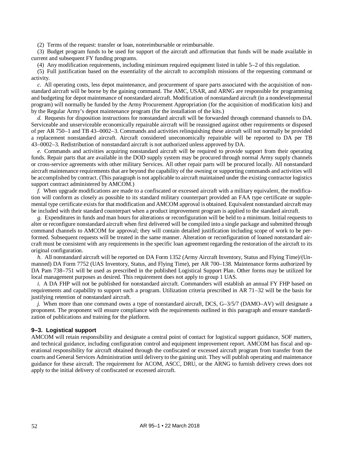(2) Terms of the request: transfer or loan, nonreimbursable or reimbursable.

(3) Budget program funds to be used for support of the aircraft and affirmation that funds will be made available in current and subsequent FY funding programs.

(4) Any modification requirements, including minimum required equipment listed i[n table](#page-46-1) 5–2 of this regulation.

(5) Full justification based on the essentiality of the aircraft to accomplish missions of the requesting command or activity.

*c.* All operating costs, less depot maintenance, and procurement of spare parts associated with the acquisition of nonstandard aircraft will be borne by the gaining command. The AMC, USAR, and ARNG are responsible for programming and budgeting for depot maintenance of nonstandard aircraft. Modification of nonstandard aircraft (in a nondevelopmental program) will normally be funded by the Army Procurement Appropriation (for the acquisition of modification kits) and by the Regular Army's depot maintenance program (for the installation of the kits.)

<span id="page-60-0"></span>*d.* Requests for disposition instructions for nonstandard aircraft will be forwarded through command channels to DA. Serviceable and unserviceable economically repairable aircraft will be reassigned against other requirements or disposed of per AR 750–1 and TB 43–0002–3. Commands and activities relinquishing these aircraft will not normally be provided a replacement nonstandard aircraft. Aircraft considered uneconomically repairable will be reported to DA per TB 43–0002–3. Redistribution of nonstandard aircraft is not authorized unless approved by DA.

*e.* Commands and activities acquiring nonstandard aircraft will be required to provide support from their operating funds. Repair parts that are available in the DOD supply system may be procured through normal Army supply channels or cross-service agreements with other military Services. All other repair parts will be procured locally. All nonstandard aircraft maintenance requirements that are beyond the capability of the owning or supporting commands and activities will be accomplished by contract. (This paragraph is not applicable to aircraft maintained under the existing contractor logistics support contract administered by AMCOM.)

*f.* When upgrade modifications are made to a confiscated or excessed aircraft with a military equivalent, the modification will conform as closely as possible to its standard military counterpart provided an FAA type certificate or supplemental type certificate exists for that modification and AMCOM approval is obtained. Equivalent nonstandard aircraft may be included with their standard counterpart when a product improvement program is applied to the standard aircraft.

*g.* Expenditures in funds and man hours for alterations or reconfiguration will be held to a minimum. Initial requests to alter or reconfigure nonstandard aircraft when first delivered will be compiled into a single package and submitted through command channels to AMCOM for approval; they will contain detailed justification including scope of work to be performed. Subsequent requests will be treated in the same manner. Alteration or reconfiguration of loaned nonstandard aircraft must be consistent with any requirements in the specific loan agreement regarding the restoration of the aircraft to its original configuration.

*h.* All nonstandard aircraft will be reported on DA Form 1352 (Army Aircraft Inventory, Status and Flying Time)/(Unmanned) DA Form 7752 (UAS Inventory, Status, and Flying Time), per AR 700–138. Maintenance forms authorized by DA Pam 738–751 will be used as prescribed in the published Logistical Support Plan. Other forms may be utilized for local management purposes as desired. This requirement does not apply to group 1 UAS.

*i.* A DA FHP will not be published for nonstandard aircraft. Commanders will establish an annual FY FHP based on requirements and capability to support such a program. Utilization criteria prescribed in AR 71–32 will be the basis for justifying retention of nonstandard aircraft.

*j.* When more than one command owns a type of nonstandard aircraft, DCS, G–3/5/7 (DAMO–AV) will designate a proponent. The proponent will ensure compliance with the requirements outlined in this paragraph and ensure standardization of publications and training for the platform.

### **9–3. Logistical support**

AMCOM will retain responsibility and designate a central point of contact for logistical support guidance, SOF matters, and technical guidance, including configuration control and equipment improvement report. AMCOM has fiscal and operational responsibility for aircraft obtained through the confiscated or excessed aircraft program from transfer from the courts and General Services Administration until delivery to the gaining unit. They will publish operating and maintenance guidance for these aircraft. The requirement for ACOM, ASCC, DRU, or the ARNG to furnish delivery crews does not apply to the initial delivery of confiscated or excessed aircraft.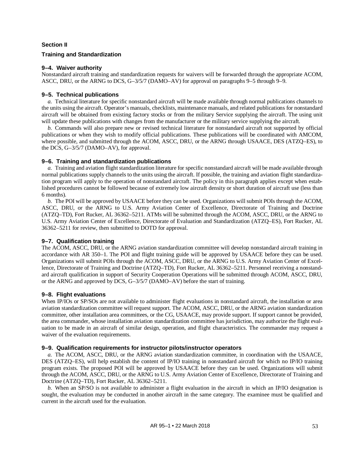## **Section II**

## **Training and Standardization**

## **9–4. Waiver authority**

Nonstandard aircraft training and standardization requests for waivers will be forwarded through the appropriate ACOM, ASCC, DRU, or the ARNG to DCS, G–3/5/7 (DAMO–AV) for approval on paragraph[s 9–5](#page-61-0) through [9–9.](#page-61-1)

## <span id="page-61-0"></span>**9–5. Technical publications**

*a.* Technical literature for specific nonstandard aircraft will be made available through normal publications channels to the units using the aircraft. Operator's manuals, checklists, maintenance manuals, and related publications for nonstandard aircraft will be obtained from existing factory stocks or from the military Service supplying the aircraft. The using unit will update these publications with changes from the manufacturer or the military service supplying the aircraft.

*b.* Commands will also prepare new or revised technical literature for nonstandard aircraft not supported by official publications or when they wish to modify official publications. These publications will be coordinated with AMCOM, where possible, and submitted through the ACOM, ASCC, DRU, or the ARNG through USAACE, DES (ATZQ–ES), to the DCS, G–3/5/7 (DAMO–AV), for approval.

## **9–6. Training and standardization publications**

*a.* Training and aviation flight standardization literature for specific nonstandard aircraft will be made available through normal publications supply channels to the units using the aircraft. If possible, the training and aviation flight standardization program will apply to the operation of nonstandard aircraft. The policy in this paragraph applies except when established procedures cannot be followed because of extremely low aircraft density or short duration of aircraft use (less than 6 months).

*b.* The POI will be approved by USAACE before they can be used. Organizations will submit POIs through the ACOM, ASCC, DRU, or the ARNG to U.S. Army Aviation Center of Excellence, Directorate of Training and Doctrine (ATZQ–TD), Fort Rucker, AL 36362–5211. ATMs will be submitted through the ACOM, ASCC, DRU, or the ARNG to U.S. Army Aviation Center of Excellence, Directorate of Evaluation and Standardization (ATZQ–ES), Fort Rucker, AL 36362–5211 for review, then submitted to DOTD for approval.

## **9–7. Qualification training**

The ACOM, ASCC, DRU, or the ARNG aviation standardization committee will develop nonstandard aircraft training in accordance with AR 350–1. The POI and flight training guide will be approved by USAACE before they can be used. Organizations will submit POIs through the ACOM, ASCC, DRU, or the ARNG to U.S. Army Aviation Center of Excellence, Directorate of Training and Doctrine (ATZQ–TD), Fort Rucker, AL 36362–5211. Personnel receiving a nonstandard aircraft qualification in support of Security Cooperation Operations will be submitted through ACOM, ASCC, DRU, or the ARNG and approved by DCS, G–3/5/7 (DAMO–AV) before the start of training.

## **9–8. Flight evaluations**

When IP/IOs or SP/SOs are not available to administer flight evaluations in nonstandard aircraft, the installation or area aviation standardization committee will request support. The ACOM, ASCC, DRU, or the ARNG aviation standardization committee, other installation area committees, or the CG, USAACE, may provide support. If support cannot be provided, the area commander, whose installation aviation standardization committee has jurisdiction, may authorize the flight evaluation to be made in an aircraft of similar design, operation, and flight characteristics. The commander may request a waiver of the evaluation requirements.

## <span id="page-61-1"></span>**9–9. Qualification requirements for instructor pilots/instructor operators**

*a.* The ACOM, ASCC, DRU, or the ARNG aviation standardization committee, in coordination with the USAACE, DES (ATZQ–ES), will help establish the content of IP/IO training in nonstandard aircraft for which no IP/IO training program exists. The proposed POI will be approved by USAACE before they can be used. Organizations will submit through the ACOM, ASCC, DRU, or the ARNG to U.S. Army Aviation Center of Excellence, Directorate of Training and Doctrine (ATZQ–TD), Fort Rucker, AL 36362–5211.

*b.* When an SP/SO is not available to administer a flight evaluation in the aircraft in which an IP/IO designation is sought, the evaluation may be conducted in another aircraft in the same category. The examinee must be qualified and current in the aircraft used for the evaluation.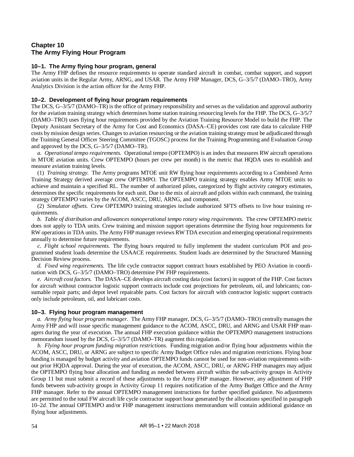## **Chapter 10 The Army Flying Hour Program**

## **10–1. The Army flying hour program, general**

The Army FHP defines the resource requirements to operate standard aircraft in combat, combat support, and support aviation units in the Regular Army, ARNG, and USAR. The Army FHP Manager, DCS, G–3/5/7 (DAMO–TRO), Army Analytics Division is the action officer for the Army FHP.

## **10–2. Development of flying hour program requirements**

The DCS, G–3/5/7 (DAMO–TR) is the office of primary responsibility and serves as the validation and approval authority for the aviation training strategy which determines home station training resourcing levels for the FHP. The DCS, G–3/5/7 (DAMO–TRO) uses flying hour requirements provided by the Aviation Training Resource Model to build the FHP. The Deputy Assistant Secretary of the Army for Cost and Economics (DASA–CE) provides cost rate data to calculate FHP costs by mission design series. Changes to aviation resourcing or the aviation training strategy must be adjudicated through the Training General Officer Steering Committee (TGOSC) process for the Training Programming and Evaluation Group and approved by the DCS, G–3/5/7 (DAMO–TR).

*a. Operational tempo requirements.* Operational tempo (OPTEMPO) is an index that measures RW aircraft operations in MTOE aviation units. Crew OPTEMPO (hours per crew per month) is the metric that HQDA uses to establish and measure aviation training levels.

(1) *Training strategy.* The Army programs MTOE unit RW flying hour requirements according to a Combined Arms Training Strategy derived average crew OPTEMPO. The OPTEMPO training strategy enables Army MTOE units to achieve and maintain a specified RL. The number of authorized pilots, categorized by flight activity category estimates, determines the specific requirements for each unit. Due to the mix of aircraft and pilots within each command, the training strategy OPTEMPO varies by the ACOM, ASCC, DRU, ARNG, and component.

(2) *Simulator offsets.* Crew OPTEMPO training strategies include authorized SFTS offsets to live hour training requirements.

*b. Table of distribution and allowances nonoperational tempo rotary wing requirements.* The crew OPTEMPO metric does not apply to TDA units. Crew training and mission support operations determine the flying hour requirements for RW operations in TDA units. The Army FHP manager reviews RW TDA execution and emerging operational requirements annually to determine future requirements.

*c. Flight school requirements.* The flying hours required to fully implement the student curriculum POI and programmed student loads determine the USAACE requirements. Student loads are determined by the Structured Manning Decision Review process.

<span id="page-62-0"></span>*d. Fixed wing requirements.* The life cycle contractor support contract hours established by PEO Aviation in coordination with DCS, G–3/5/7 (DAMO–TRO) determine FW FHP requirements.

*e. Aircraft cost factors.* The DASA–CE develops aircraft costing data (cost factors) in support of the FHP. Cost factors for aircraft without contractor logistic support contracts include cost projections for petroleum, oil, and lubricants; consumable repair parts; and depot level repairable parts. Cost factors for aircraft with contractor logistic support contracts only include petroleum, oil, and lubricant costs.

## **10–3. Flying hour program management**

<span id="page-62-1"></span>*a. Army flying hour program manager.* The Army FHP manager, DCS, G–3/5/7 (DAMO–TRO) centrally manages the Army FHP and will issue specific management guidance to the ACOM, ASCC, DRU, and ARNG and USAR FHP managers during the year of execution. The annual FHP execution guidance within the OPTEMPO management instructions memorandum issued by the DCS, G–3/5/7 (DAMO–TR) augment this regulation.

*b. Flying hour program funding migration restrictions.* Funding migration and/or flying hour adjustments within the ACOM, ASCC, DRU, or ARNG are subject to specific Army Budget Office rules and migration restrictions. Flying hour funding is managed by budget activity and aviation OPTEMPO funds cannot be used for non-aviation requirements without prior HQDA approval. During the year of execution, the ACOM, ASCC, DRU, or ARNG FHP managers may adjust the OPTEMPO flying hour allocation and funding as needed between aircraft within the sub-activity groups in Activity Group 11 but must submit a record of these adjustments to the Army FHP manager. However, any adjustment of FHP funds between sub-activity groups in Activity Group 11 requires notification of the Army Budget Office and the Army FHP manager. Refer to the annual OPTEMPO management instructions for further specified guidance. No adjustments are permitted to the total FW aircraft life cycle contractor support hour generated by the allocations specified in [paragraph](#page-62-0) [10–2](#page-62-0)*d*. The annual OPTEMPO and/or FHP management instructions memorandum will contain additional guidance on flying hour adjustments.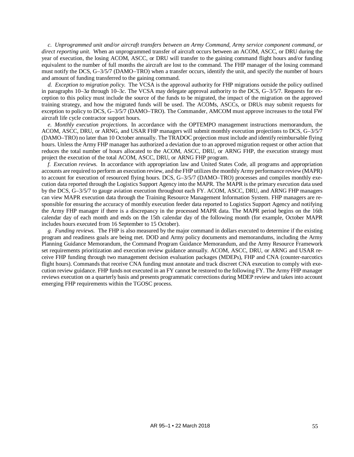<span id="page-63-0"></span>*c. Unprogrammed unit and/or aircraft transfers between an Army Command, Army service component command, or direct reporting unit.* When an unprogrammed transfer of aircraft occurs between an ACOM, ASCC, or DRU during the year of execution, the losing ACOM, ASCC, or DRU will transfer to the gaining command flight hours and/or funding equivalent to the number of full months the aircraft are lost to the command. The FHP manager of the losing command must notify the DCS, G–3/5/7 (DAMO–TRO) when a transfer occurs, identify the unit, and specify the number of hours and amount of funding transferred to the gaining command.

*d. Exception to migration policy.* The VCSA is the approval authority for FHP migrations outside the policy outlined in paragraphs [10–3](#page-62-1)*a* through [10–3](#page-63-0)*c*. The VCSA may delegate approval authority to the DCS, G–3/5/7. Requests for exception to this policy must include the source of the funds to be migrated, the impact of the migration on the approved training strategy, and how the migrated funds will be used. The ACOMs, ASCCs, or DRUs may submit requests for exception to policy to DCS, G–3/5/7 (DAMO–TRO). The Commander, AMCOM must approve increases to the total FW aircraft life cycle contractor support hours.

*e. Monthly execution projections.* In accordance with the OPTEMPO management instructions memorandum, the ACOM, ASCC, DRU, or ARNG, and USAR FHP managers will submit monthly execution projections to DCS, G–3/5/7 (DAMO–TRO) no later than 10 October annually. The TRADOC projection must include and identify reimbursable flying hours. Unless the Army FHP manager has authorized a deviation due to an approved migration request or other action that reduces the total number of hours allocated to the ACOM, ASCC, DRU, or ARNG FHP, the execution strategy must project the execution of the total ACOM, ASCC, DRU, or ARNG FHP program.

*f. Execution reviews.* In accordance with appropriation law and United States Code, all programs and appropriation accounts are required to perform an execution review, and the FHP utilizes the monthly Army performance review (MAPR) to account for execution of resourced flying hours. DCS, G-3/5/7 (DAMO–TRO) processes and compiles monthly execution data reported through the Logistics Support Agency into the MAPR. The MAPR is the primary execution data used by the DCS, G–3/5/7 to gauge aviation execution throughout each FY. ACOM, ASCC, DRU, and ARNG FHP managers can view MAPR execution data through the Training Resource Management Information System. FHP managers are responsible for ensuring the accuracy of monthly execution feeder data reported to Logistics Support Agency and notifying the Army FHP manager if there is a discrepancy in the processed MAPR data. The MAPR period begins on the 16th calendar day of each month and ends on the 15th calendar day of the following month (for example, October MAPR includes hours executed from 16 September to 15 October).

*g. Funding reviews.* The FHP is also measured by the major command in dollars executed to determine if the existing program and readiness goals are being met. DOD and Army policy documents and memorandums, including the Army Planning Guidance Memorandum, the Command Program Guidance Memorandum, and the Army Resource Framework set requirements prioritization and execution review guidance annually. ACOM, ASCC, DRU, or ARNG and USAR receive FHP funding through two management decision evaluation packages (MDEPs), FHP and CNA (counter-narcotics flight hours). Commands that receive CNA funding must annotate and track discreet CNA execution to comply with execution review guidance. FHP funds not executed in an FY cannot be restored to the following FY. The Army FHP manager reviews execution on a quarterly basis and presents programmatic corrections during MDEP review and takes into account emerging FHP requirements within the TGOSC process.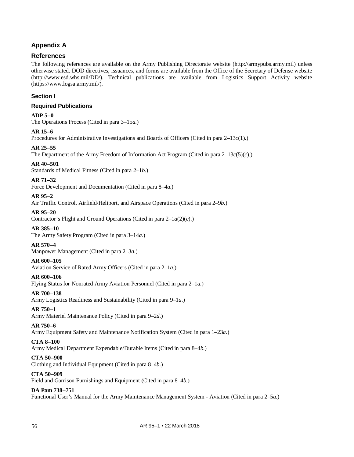## **Appendix A**

## **References**

The following references are available on the Army Publishing Directorate website (http://armypubs.army.mil) unless otherwise stated. DOD directives, issuances, and forms are available from the Office of the Secretary of Defense website (http://www.esd.whs.mil/DD/). Technical publications are available from Logistics Support Activity website (https://www.logsa.army.mil/).

## **Section I**

## **Required Publications**

## **ADP 5–0**

The Operations Process (Cited in [para 3–15](#page-28-0)*a*.)

## **AR 15–6**

Procedures for Administrative Investigations and Boards of Officers (Cited in [para 2–13](#page-17-1)*c*(1).)

## **AR 25–55**

The Department of the Army Freedom of Information Act Program (Cited in [para 2–13](#page-18-0)*c*(5)(*c*).)

## **AR 40–501**

Standards of Medical Fitness (Cited i[n para 2–1](#page-13-1)*b*.)

## **AR 71–32**

Force Development and Documentation (Cited i[n para 8–4](#page-56-1)*a*.)

## **AR 95–2**

Air Traffic Control, Airfield/Heliport, and Airspace Operations (Cited i[n para 2–9](#page-16-0)*b*.)

## **AR 95–20**

Contractor's Flight and Ground Operations (Cited in para 2–1*a*(2)(*c*).)

## **AR 385–10**

The Army Safety Program (Cited i[n para 3–14](#page-28-1)*a*.)

## **AR 570–4**

Manpower Management (Cited in [para 2–3](#page-13-2)*a*.)

## **AR 600–105**

Aviation Service of Rated Army Officers (Cited i[n para 2–1](#page-12-0)*a*.)

## **AR 600–106**

Flying Status for Nonrated Army Aviation Personnel (Cited i[n para 2–1](#page-12-0)*a*.)

## **AR 700–138**

Army Logistics Readiness and Sustainability (Cited in [para 9–1](#page-59-1)*a*.)

## **AR 750–1**

Army Materiel Maintenance Policy (Cited in [para 9–2](#page-60-0)*d*.)

## **AR 750–6**

Army Equipment Safety and Maintenance Notification System (Cited in [para 1–23](#page-12-1)*a*.)

## **CTA 8–100**

Army Medical Department Expendable/Durable Items (Cited in [para 8–4](#page-56-2)*b*.)

## **CTA 50–900**

Clothing and Individual Equipment (Cited in [para 8–4](#page-56-2)*b*.)

## **CTA 50–909**

Field and Garrison Furnishings and Equipment (Cited in [para 8–4](#page-56-2)*b*.)

## **DA Pam 738–751**

Functional User's Manual for the Army Maintenance Management System - Aviation (Cited i[n para 2–5](#page-14-0)*a*.)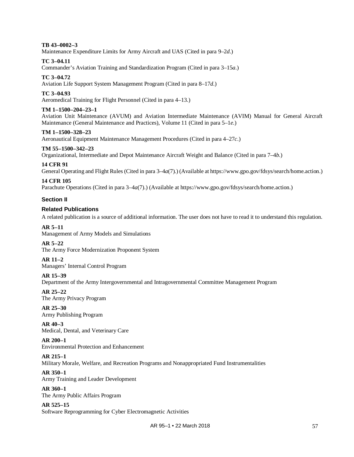## **TB 43–0002–3**

Maintenance Expenditure Limits for Army Aircraft and UAS (Cited i[n para 9–2](#page-60-0)*d*.)

### **TC 3–04.11**

Commander's Aviation Training and Standardization Program (Cited in [para 3–15](#page-28-0)*a*.)

## **TC 3–04.72**

Aviation Life Support System Management Program (Cited in [para 8–17](#page-59-2)*d*.)

## **TC 3–04.93**

Aeromedical Training for Flight Personnel (Cited in [para 4–13.](#page-35-1))

### **TM 1–1500–204–23–1**

Aviation Unit Maintenance (AVUM) and Aviation Intermediate Maintenance (AVIM) Manual for General Aircraft Maintenance (General Maintenance and Practices), Volume 11 (Cited in [para 5–1](#page-43-0)*e*.)

### **TM 1–1500–328–23**

Aeronautical Equipment Maintenance Management Procedures (Cited in [para 4–27](#page-37-4)*c*.)

### **TM 55–1500–342–23**

Organizational, Intermediate and Depot Maintenance Aircraft Weight and Balance (Cited in [para 7–4](#page-53-2)*b*.)

### **14 CFR 91**

General Operating and Flight Rules (Cited i[n para 3–4](#page-22-0)*a*(7).) (Available a[t https://www.gpo.gov/fdsys/search/home.action.](https://www.gpo.gov/fdsys/search/home.action))

## **14 CFR 105**

Parachute Operations (Cited in [para 3–4](#page-22-0)*a*(7).) (Available at [https://www.gpo.gov/fdsys/search/home.action.](https://www.gpo.gov/fdsys/search/home.action))

### **Section II**

## **Related Publications**

A related publication is a source of additional information. The user does not have to read it to understand this regulation.

#### **AR 5–11**

Management of Army Models and Simulations

### **AR 5–22**

The Army Force Modernization Proponent System

## **AR 11–2**

Managers' Internal Control Program

### **AR 15–39**

Department of the Army Intergovernmental and Intragovernmental Committee Management Program

## **AR 25–22**

The Army Privacy Program

### **AR 25–30** Army Publishing Program

**AR 40–3** Medical, Dental, and Veterinary Care

### **AR 200–1** Environmental Protection and Enhancement

## **AR 215–1**

Military Morale, Welfare, and Recreation Programs and Nonappropriated Fund Instrumentalities

## **AR 350–1**

Army Training and Leader Development

### **AR 360–1**

The Army Public Affairs Program

## **AR 525–15**

Software Reprogramming for Cyber Electromagnetic Activities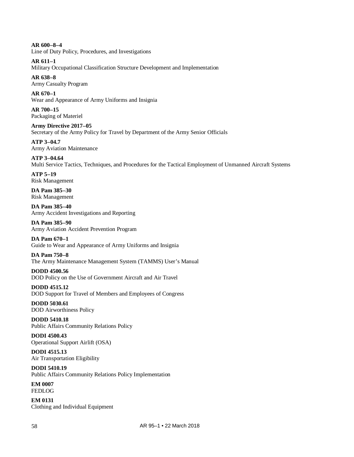**AR 600–8–4** Line of Duty Policy, Procedures, and Investigations

**AR 611–1**

Military Occupational Classification Structure Development and Implementation

**AR 638–8** Army Casualty Program

**AR 670–1** Wear and Appearance of Army Uniforms and Insignia

**AR 700–15** Packaging of Materiel

**Army Directive 2017–05** Secretary of the Army Policy for Travel by Department of the Army Senior Officials

**ATP 3–04.7** Army Aviation Maintenance

**ATP 3–04.64** Multi Service Tactics, Techniques, and Procedures for the Tactical Employment of Unmanned Aircraft Systems

**ATP 5–19** Risk Management

**DA Pam 385–30** Risk Management

**DA Pam 385–40** Army Accident Investigations and Reporting

**DA Pam 385–90** Army Aviation Accident Prevention Program

**DA Pam 670–1** Guide to Wear and Appearance of Army Uniforms and Insignia

**DA Pam 750–8** The Army Maintenance Management System (TAMMS) User's Manual

**DODD 4500.56** DOD Policy on the Use of Government Aircraft and Air Travel

**DODD 4515.12** DOD Support for Travel of Members and Employees of Congress

**DODD 5030.61** DOD Airworthiness Policy

**DODD 5410.18** Public Affairs Community Relations Policy

**DODI 4500.43** Operational Support Airlift (OSA)

**DODI 4515.13** Air Transportation Eligibility **DODI 5410.19**

Public Affairs Community Relations Policy Implementation **EM 0007**

FEDLOG

**EM 0131** Clothing and Individual Equipment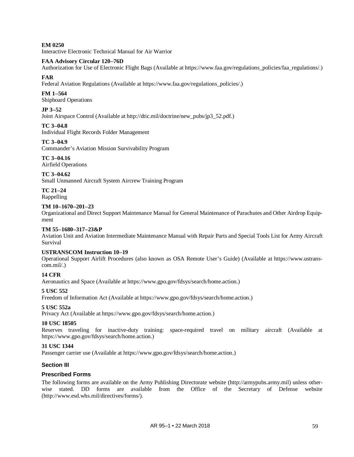**EM 0250** Interactive Electronic Technical Manual for Air Warrior

## **FAA Advisory Circular 120–76D**

Authorization for Use of Electronic Flight Bags (Available at [https://www.faa.gov/regulations\\_policies/faa\\_regulations/.](https://www.faa.gov/regulations_policies/faa_regulations/))

## **FAR**

Federal Aviation Regulations (Available a[t https://www.faa.gov/regulations\\_policies/.\)](https://www.faa.gov/regulations_policies/)

## **FM 1–564**

Shipboard Operations

## **JP 3–52**

Joint Airspace Control (Available a[t http://dtic.mil/doctrine/new\\_pubs/jp3\\_52.pdf.\)](http://dtic.mil/doctrine/new_pubs/jp3_52.pdf)

## **TC 3–04.8**

Individual Flight Records Folder Management

## **TC 3–04.9**

Commander's Aviation Mission Survivability Program

**TC 3–04.16** Airfield Operations

## **TC 3–04.62**

Small Unmanned Aircraft System Aircrew Training Program

# **TC 21–24**

Rappelling

## **TM 10–1670–201–23**

Organizational and Direct Support Maintenance Manual for General Maintenance of Parachutes and Other Airdrop Equipment

## **TM 55–1680–317–23&P**

Aviation Unit and Aviation Intermediate Maintenance Manual with Repair Parts and Special Tools List for Army Aircraft Survival

## **USTRANSCOM Instruction 10–19**

Operational Support Airlift Procedures (also known as OSA Remote User's Guide) (Available at [https://www.ustrans](https://www.ustranscom.mil/)[com.mil/.](https://www.ustranscom.mil/))

## **14 CFR**

Aeronautics and Space (Available a[t https://www.gpo.gov/fdsys/search/home.action.](https://www.gpo.gov/fdsys/search/home.action))

## **5 USC 552**

Freedom of Information Act (Available a[t https://www.gpo.gov/fdsys/search/home.action.](https://www.gpo.gov/fdsys/search/home.action))

## **5 USC 552a**

Privacy Act (Available a[t https://www.gpo.gov/fdsys/search/home.action.](https://www.gpo.gov/fdsys/search/home.action))

## **10 USC 18505**

Reserves traveling for inactive-duty training: space-required travel on military aircraft (Available at [https://www.gpo.gov/fdsys/search/home.action.](https://www.gpo.gov/fdsys/search/home.action))

## **31 USC 1344**

Passenger carrier use (Available at [https://www.gpo.gov/fdsys/search/home.action.](https://www.gpo.gov/fdsys/search/home.action))

## **Section III**

## **Prescribed Forms**

The following forms are available on the Army Publishing Directorate website [\(http://armypubs.army.mil\)](http://armypubs.army.mil/) unless otherwise stated. DD forms are available from the Office of the Secretary of Defense website [\(http://www.esd.whs.mil/directives/forms/\)](http://www.esd.whs.mil/Directives/forms/).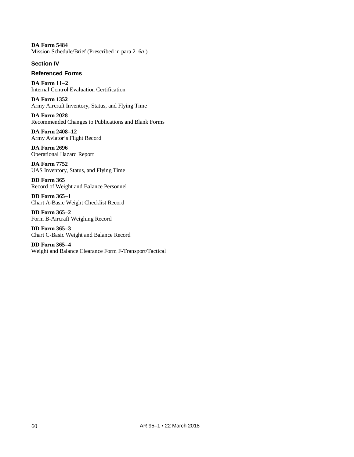**DA Form 5484** Mission Schedule/Brief (Prescribed i[n para 2–6](#page-14-1)*a*.)

## **Section IV**

## **Referenced Forms**

**DA Form 11–2** Internal Control Evaluation Certification

**DA Form 1352** Army Aircraft Inventory, Status, and Flying Time

**DA Form 2028** Recommended Changes to Publications and Blank Forms

**DA Form 2408–12** Army Aviator's Flight Record

**DA Form 2696** Operational Hazard Report

**DA Form 7752** UAS Inventory, Status, and Flying Time

**DD Form 365** Record of Weight and Balance Personnel

**DD Form 365–1** Chart A-Basic Weight Checklist Record

**DD Form 365–2** Form B-Aircraft Weighing Record

**DD Form 365–3** Chart C-Basic Weight and Balance Record

**DD Form 365–4** Weight and Balance Clearance Form F-Transport/Tactical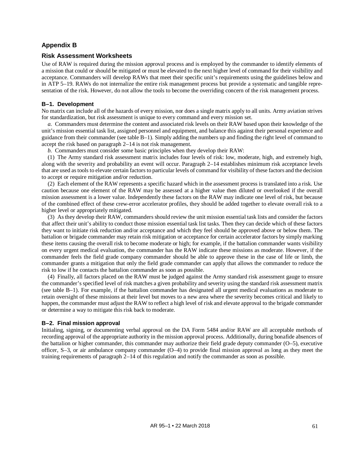## **Appendix B**

## **Risk Assessment Worksheets**

Use of RAW is required during the mission approval process and is employed by the commander to identify elements of a mission that could or should be mitigated or must be elevated to the next higher level of command for their visibility and acceptance. Commanders will develop RAWs that meet their specific unit's requirements using the guidelines below and in ATP 5–19. RAWs do not internalize the entire risk management process but provide a systematic and tangible representation of the risk. However, do not allow the tools to become the overriding concern of the risk management process.

### **B–1. Development**

No matrix can include all of the hazards of every mission, nor does a single matrix apply to all units. Army aviation strives for standardization, but risk assessment is unique to every command and every mission set.

*a.* Commanders must determine the content and associated risk levels on their RAW based upon their knowledge of the unit's mission essential task list, assigned personnel and equipment, and balance this against their personal experience and guidance from their commander (see [table](#page-70-0) B–1). Simply adding the numbers up and finding the right level of command to accept the risk based on [paragraph](#page-18-1) 2–14 is not risk management.

*b.* Commanders must consider some basic principles when they develop their RAW:

(1) The Army standard risk assessment matrix includes four levels of risk: low, moderate, high, and extremely high, along with the severity and probability an event will occur. [Paragraph](#page-18-1) 2–14 establishes minimum risk acceptance levels that are used as tools to elevate certain factors to particular levels of command for visibility of these factors and the decision to accept or require mitigation and/or reduction.

(2) Each element of the RAW represents a specific hazard which in the assessment process is translated into a risk. Use caution because one element of the RAW may be assessed at a higher value then diluted or overlooked if the overall mission assessment is a lower value. Independently these factors on the RAW may indicate one level of risk, but because of the combined effect of these crew-error accelerator profiles, they should be added together to elevate overall risk to a higher level or appropriately mitigated.

(3) As they develop their RAW, commanders should review the unit mission essential task lists and consider the factors that affect their unit's ability to conduct those mission essential task list tasks. Then they can decide which of these factors they want to initiate risk reduction and/or acceptance and which they feel should be approved above or below them. The battalion or brigade commander may retain risk mitigation or acceptance for certain accelerator factors by simply marking these items causing the overall risk to become moderate or high; for example, if the battalion commander wants visibility on every urgent medical evaluation, the commander has the RAW indicate these missions as moderate. However, if the commander feels the field grade company commander should be able to approve these in the case of life or limb, the commander grants a mitigation that only the field grade commander can apply that allows the commander to reduce the risk to low if he contacts the battalion commander as soon as possible.

(4) Finally, all factors placed on the RAW must be judged against the Army standard risk assessment gauge to ensure the commander's specified level of risk matches a given probability and severity using the standard risk assessment matrix (see [table](#page-70-0) B–1). For example, if the battalion commander has designated all urgent medical evaluations as moderate to retain oversight of these missions at their level but moves to a new area where the severity becomes critical and likely to happen, the commander must adjust the RAW to reflect a high level of risk and elevate approval to the brigade commander or determine a way to mitigate this risk back to moderate.

## **B–2. Final mission approval**

Initialing, signing, or documenting verbal approval on the DA Form 5484 and/or RAW are all acceptable methods of recording approval of the appropriate authority in the mission approval process. Additionally, during bonafide absences of the battalion or higher commander, this commander may authorize their field grade deputy commander (O–5), executive officer, S–3, or air ambulance company commander  $(O-4)$  to provide final mission approval as long as they meet the training requirements of [paragraph 2–14](#page-18-1) of this regulation and notify the commander as soon as possible.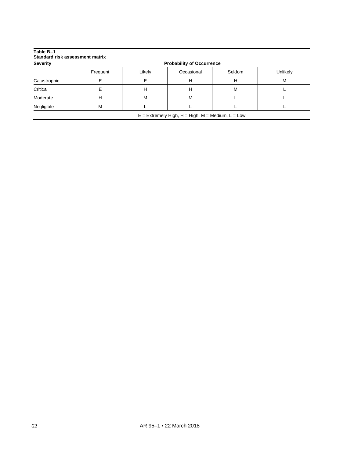<span id="page-70-0"></span>

| <b>Severity</b> | <b>Probability of Occurrence</b>                    |        |            |        |          |  |  |
|-----------------|-----------------------------------------------------|--------|------------|--------|----------|--|--|
|                 | Frequent                                            | Likely | Occasional | Seldom | Unlikely |  |  |
| Catastrophic    |                                                     |        | н          | н      | М        |  |  |
| Critical        |                                                     | н      | н          | M      |          |  |  |
| Moderate        | н                                                   | M      | M          |        |          |  |  |
| Negligible      | M                                                   |        |            |        |          |  |  |
|                 | $E =$ Extremely High, H = High, M = Medium, L = Low |        |            |        |          |  |  |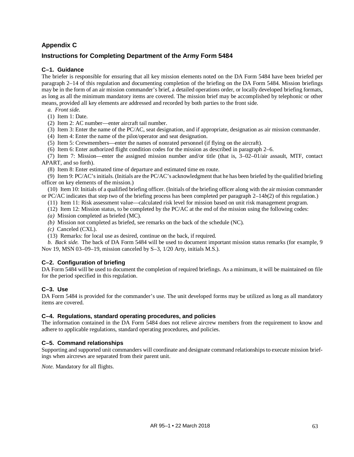## **Appendix C**

## **Instructions for Completing Department of the Army Form 5484**

## **C–1. Guidance**

The briefer is responsible for ensuring that all key mission elements noted on the DA Form 5484 have been briefed per [paragraph 2–14](#page-18-1) of this regulation and documenting completion of the briefing on the DA Form 5484. Mission briefings may be in the form of an air mission commander's brief, a detailed operations order, or locally developed briefing formats, as long as all the minimum mandatory items are covered. The mission brief may be accomplished by telephonic or other means, provided all key elements are addressed and recorded by both parties to the front side.

- *a. Front side.*
- (1) Item 1: Date.
- (2) Item 2: AC number—enter aircraft tail number.
- (3) Item 3: Enter the name of the PC/AC, seat designation, and if appropriate, designation as air mission commander.
- (4) Item 4: Enter the name of the pilot/operator and seat designation.
- (5) Item 5: Crewmembers—enter the names of nonrated personnel (if flying on the aircraft).
- (6) Item 6: Enter authorized flight condition codes for the mission as described in [paragraph](#page-14-2) 2–6.

(7) Item 7: Mission—enter the assigned mission number and/or title (that is, 3–02–01/air assault, MTF, contact APART, and so forth).

(8) Item 8: Enter estimated time of departure and estimated time en route.

(9) Item 9: PC/AC's initials. (Initials are the PC/AC's acknowledgment that he has been briefed by the qualified briefing officer on key elements of the mission.)

(10) Item 10: Initials of a qualified briefing officer. (Initials of the briefing officer along with the air mission commander or PC/AC indicates that step two of the briefing process has been completed pe[r paragraph](#page-19-2) 2–14*b*(2) of this regulation.)

- (11) Item 11: Risk assessment value—calculated risk level for mission based on unit risk management program.
- (12) Item 12: Mission status, to be completed by the PC/AC at the end of the mission using the following codes:
- *(a)* Mission completed as briefed (MC).
- *(b)* Mission not completed as briefed, see remarks on the back of the schedule (NC).
- *(c)* Canceled (CXL).
- (13) Remarks: for local use as desired, continue on the back, if required.

*b. Back side.* The back of DA Form 5484 will be used to document important mission status remarks (for example, 9 Nov 19, MSN 03–09–19, mission canceled by S–3, 1/20 Arty, initials M.S.).

## **C–2. Configuration of briefing**

DA Form 5484 will be used to document the completion of required briefings. As a minimum, it will be maintained on file for the period specified in this regulation.

## **C–3. Use**

DA Form 5484 is provided for the commander's use. The unit developed forms may be utilized as long as all mandatory items are covered.

## **C–4. Regulations, standard operating procedures, and policies**

The information contained in the DA Form 5484 does not relieve aircrew members from the requirement to know and adhere to applicable regulations, standard operating procedures, and policies.

## **C–5. Command relationships**

Supporting and supported unit commanders will coordinate and designate command relationships to execute mission briefings when aircrews are separated from their parent unit.

*Note.* Mandatory for all flights.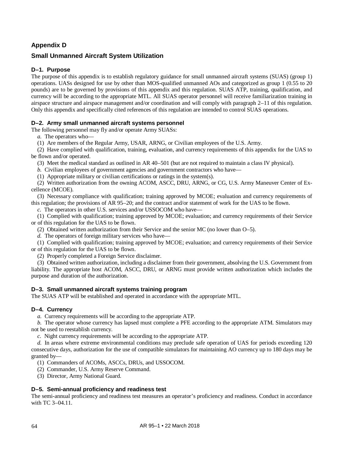# **Appendix D**

### **Small Unmanned Aircraft System Utilization**

### **D–1. Purpose**

The purpose of this appendix is to establish regulatory guidance for small unmanned aircraft systems (SUAS) (group 1) operations. UASs designed for use by other than MOS-qualified unmanned AOs and categorized as group 1 (0.55 to 20 pounds) are to be governed by provisions of this appendix and this regulation. SUAS ATP, training, qualification, and currency will be according to the appropriate MTL. All SUAS operator personnel will receive familiarization training in airspace structure and airspace management and/or coordination and will comply with [paragraph 2–11](#page-16-0) of this regulation. Only this appendix and specifically cited references of this regulation are intended to control SUAS operations.

### **D–2. Army small unmanned aircraft systems personnel**

The following personnel may fly and/or operate Army SUASs:

*a.* The operators who—

(1) Are members of the Regular Army, USAR, ARNG, or Civilian employees of the U.S. Army.

(2) Have complied with qualification, training, evaluation, and currency requirements of this appendix for the UAS to be flown and/or operated.

(3) Meet the medical standard as outlined in AR 40–501 (but are not required to maintain a class IV physical).

*b.* Civilian employees of government agencies and government contractors who have—

(1) Appropriate military or civilian certifications or ratings in the system(s).

(2) Written authorization from the owning ACOM, ASCC, DRU, ARNG, or CG, U.S. Army Maneuver Center of Excellence (MCOE).

(3) Necessary compliance with qualification; training approved by MCOE; evaluation and currency requirements of this regulation; the provisions of AR 95–20; and the contract and/or statement of work for the UAS to be flown.

*c.* The operators in other U.S. services and/or USSOCOM who have—

(1) Complied with qualification; training approved by MCOE; evaluation; and currency requirements of their Service or of this regulation for the UAS to be flown.

(2) Obtained written authorization from their Service and the senior MC (no lower than O–5).

*d.* The operators of foreign military services who have—

(1) Complied with qualification; training approved by MCOE; evaluation; and currency requirements of their Service or of this regulation for the UAS to be flown.

(2) Properly completed a Foreign Service disclaimer.

(3) Obtained written authorization, including a disclaimer from their government, absolving the U.S. Government from liability. The appropriate host ACOM, ASCC, DRU, or ARNG must provide written authorization which includes the purpose and duration of the authorization.

### <span id="page-72-0"></span>**D–3. Small unmanned aircraft systems training program**

<span id="page-72-1"></span>The SUAS ATP will be established and operated in accordance with the appropriate MTL.

### **D–4. Currency**

*a.* Currency requirements will be according to the appropriate ATP.

*b.* The operator whose currency has lapsed must complete a PFE according to the appropriate ATM. Simulators may not be used to reestablish currency.

*c.* Night currency requirements will be according to the appropriate ATP.

*d.* In areas where extreme environmental conditions may preclude safe operation of UAS for periods exceeding 120 consecutive days, authorization for the use of compatible simulators for maintaining AO currency up to 180 days may be granted by—

(1) Commanders of ACOMs, ASCCs, DRUs, and USSOCOM.

- (2) Commander, U.S. Army Reserve Command.
- (3) Director, Army National Guard.

### <span id="page-72-2"></span>**D–5. Semi-annual proficiency and readiness test**

The semi-annual proficiency and readiness test measures an operator's proficiency and readiness. Conduct in accordance with TC 3–04.11.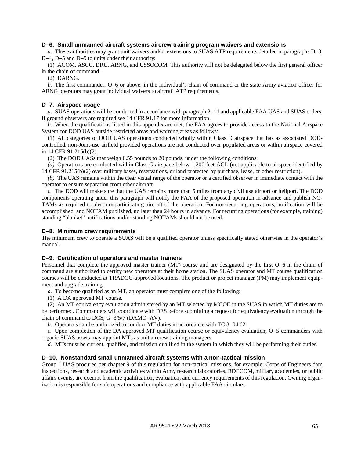### **D–6. Small unmanned aircraft systems aircrew training program waivers and extensions**

*a.* These authorities may grant unit waivers and/or extensions to SUAS ATP requirements detailed in paragraphs [D–3,](#page-72-0)  [D–4,](#page-72-1) [D–5](#page-72-2) and [D–9](#page-73-0) to units under their authority:

(1) ACOM, ASCC, DRU, ARNG, and USSOCOM. This authority will not be delegated below the first general officer in the chain of command.

(2) DARNG.

*b.* The first commander, O–6 or above, in the individual's chain of command or the state Army aviation officer for ARNG operators may grant individual waivers to aircraft ATP requirements.

### **D–7. Airspace usage**

*a.* SUAS operations will be conducted in accordance wit[h paragraph](#page-16-0) 2–11 and applicable FAA UAS and SUAS orders. If ground observers are required see 14 CFR 91.17 for more information.

*b.* When the qualifications listed in this appendix are met, the FAA agrees to provide access to the National Airspace System for DOD UAS outside restricted areas and warning areas as follows:

(1) All categories of DOD UAS operations conducted wholly within Class D airspace that has as associated DODcontrolled, non-Joint-use airfield provided operations are not conducted over populated areas or within airspace covered in 14 CFR 91.215(b)(2).

(2) The DOD UASs that weigh 0.55 pounds to 20 pounds, under the following conditions:

*(a)* Operations are conducted within Class G airspace below 1,200 feet AGL (not applicable to airspace identified by 14 CFR 91.215(b)(2) over military bases, reservations, or land protected by purchase, lease, or other restriction).

*(b)* The UAS remains within the clear visual range of the operator or a certified observer in immediate contact with the operator to ensure separation from other aircraft.

*c.* The DOD will make sure that the UAS remains more than 5 miles from any civil use airport or heliport. The DOD components operating under this paragraph will notify the FAA of the proposed operation in advance and publish NO-TAMs as required to alert nonparticipating aircraft of the operation. For non-recurring operations, notification will be accomplished, and NOTAM published, no later than 24 hours in advance. For recurring operations (for example, training) standing "blanket" notifications and/or standing NOTAMs should not be used.

### **D–8. Minimum crew requirements**

The minimum crew to operate a SUAS will be a qualified operator unless specifically stated otherwise in the operator's manual.

#### <span id="page-73-0"></span>**D–9. Certification of operators and master trainers**

Personnel that complete the approved master trainer (MT) course and are designated by the first O–6 in the chain of command are authorized to certify new operators at their home station. The SUAS operator and MT course qualification courses will be conducted at TRADOC-approved locations. The product or project manager (PM) may implement equipment and upgrade training.

*a.* To become qualified as an MT, an operator must complete one of the following:

(1) A DA approved MT course.

(2) An MT equivalency evaluation administered by an MT selected by MCOE in the SUAS in which MT duties are to be performed. Commanders will coordinate with DES before submitting a request for equivalency evaluation through the chain of command to DCS, G–3/5/7 (DAMO–AV).

*b.* Operators can be authorized to conduct MT duties in accordance with TC 3–04.62.

*c.* Upon completion of the DA approved MT qualification course or equivalency evaluation, O–5 commanders with organic SUAS assets may appoint MTs as unit aircrew training managers.

*d.* MTs must be current, qualified, and mission qualified in the system in which they will be performing their duties.

### **D–10. Nonstandard small unmanned aircraft systems with a non-tactical mission**

Group 1 UAS procured per [chapter 9](#page-59-0) of this regulation for non-tactical missions, for example, Corps of Engineers dam inspections, research and academic activities within Army research laboratories, RDECOM, military academies, or public affairs events, are exempt from the qualification, evaluation, and currency requirements of this regulation. Owning organization is responsible for safe operations and compliance with applicable FAA circulars.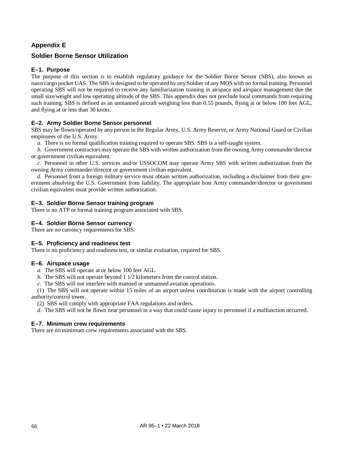# **Appendix E**

### **Soldier Borne Sensor Utilization**

### **E–1. Purpose**

The purpose of this section is to establish regulatory guidance for the Soldier Borne Sensor (SBS), also known as nano/cargo pocket UAS. The SBS is designed to be operated by any Soldier of any MOS with no formal training. Personnel operating SBS will not be required to receive any familiarization training in airspace and airspace management due the small size/weight and low operating altitude of the SBS. This appendix does not preclude local commands from requiring such training. SBS is defined as an unmanned aircraft weighing less than 0.55 pounds, flying at or below 100 feet AGL, and flying at or less than 30 knots.

### **E–2. Army Soldier Borne Sensor personnel**

SBS may be flown/operated by any person in the Regular Army, U.S. Army Reserve, or Army National Guard or Civilian employees of the U.S. Army.

*a.* There is no formal qualification training required to operate SBS. SBS is a self-taught system.

*b.* Government contractors may operate the SBS with written authorization from the owning Army commander/director or government civilian equivalent.

*c.* Personnel in other U.S. services and/or USSOCOM may operate Army SBS with written authorization from the owning Army commander/director or government civilian equivalent.

*d.* Personnel from a foreign military service must obtain written authorization, including a disclaimer from their government absolving the U.S. Government from liability. The appropriate host Army commander/director or government civilian equivalent must provide written authorization.

### **E–3. Soldier Borne Sensor training program**

There is no ATP or formal training program associated with SBS.

### **E–4. Soldier Borne Sensor currency**

There are no currency requirements for SBS.

### **E–5. Proficiency and readiness test**

There is no proficiency and readiness test, or similar evaluation, required for SBS.

### **E–6. Airspace usage**

*a.* The SBS will operate at or below 100 feet AGL.

*b.* The SBS will not operate beyond 1 1/2 kilometers from the control station.

*c.* The SBS will not interfere with manned or unmanned aviation operations.

(1) The SBS will not operate within 15 miles of an airport unless coordination is made with the airport controlling authority/control tower.

(2) SBS will comply with appropriate FAA regulations and orders.

*d.* The SBS will not be flown near personnel in a way that could cause injury to personnel if a malfunction occurred.

#### **E–7. Minimum crew requirements**

There are no minimum crew requirements associated with the SBS.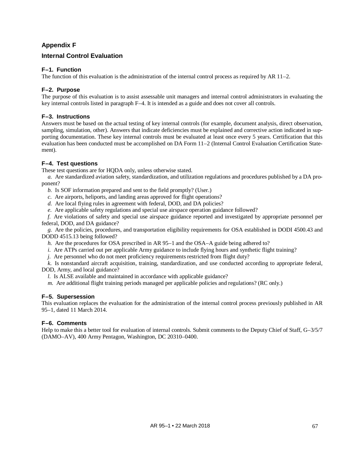# **Appendix F**

### **Internal Control Evaluation**

### **F–1. Function**

The function of this evaluation is the administration of the internal control process as required by AR 11–2.

### **F–2. Purpose**

The purpose of this evaluation is to assist assessable unit managers and internal control administrators in evaluating the key internal controls listed in [paragraph F–4.](#page-75-0) It is intended as a guide and does not cover all controls.

### **F–3. Instructions**

Answers must be based on the actual testing of key internal controls (for example, document analysis, direct observation, sampling, simulation, other). Answers that indicate deficiencies must be explained and corrective action indicated in supporting documentation. These key internal controls must be evaluated at least once every 5 years. Certification that this evaluation has been conducted must be accomplished on DA Form 11–2 (Internal Control Evaluation Certification Statement).

### <span id="page-75-0"></span>**F–4. Test questions**

These test questions are for HQDA only, unless otherwise stated.

*a.* Are standardized aviation safety, standardization, and utilization regulations and procedures published by a DA proponent?

- *b.* Is SOF information prepared and sent to the field promptly? (User.)
- *c.* Are airports, heliports, and landing areas approved for flight operations?
- *d.* Are local flying rules in agreement with federal, DOD, and DA policies?
- *e.* Are applicable safety regulations and special use airspace operation guidance followed?

*f.* Are violations of safety and special use airspace guidance reported and investigated by appropriate personnel per federal, DOD, and DA guidance?

*g.* Are the policies, procedures, and transportation eligibility requirements for OSA established in DODI 4500.43 and DODD 4515.13 being followed?

- *h.* Are the procedures for OSA prescribed in AR 95–1 and the OSA–A guide being adhered to?
- *i.* Are ATPs carried out per applicable Army guidance to include flying hours and synthetic flight training?
- *j.* Are personnel who do not meet proficiency requirements restricted from flight duty?

*k.* Is nonstandard aircraft acquisition, training, standardization, and use conducted according to appropriate federal,

DOD, Army, and local guidance?

*l.* Is ALSE available and maintained in accordance with applicable guidance?

*m.* Are additional flight training periods managed per applicable policies and regulations? (RC only.)

### **F–5. Supersession**

This evaluation replaces the evaluation for the administration of the internal control process previously published in AR 95–1, dated 11 March 2014.

### **F–6. Comments**

Help to make this a better tool for evaluation of internal controls. Submit comments to the Deputy Chief of Staff, G–3/5/7 (DAMO–AV), 400 Army Pentagon, Washington, DC 20310–0400.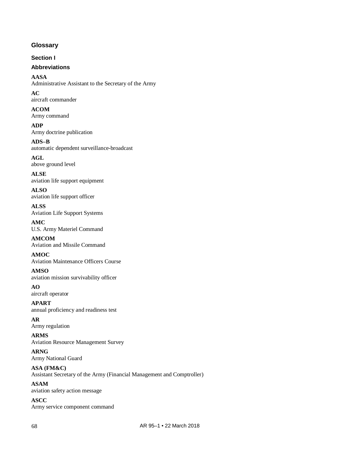### **Glossary**

**Section I**

## **Abbreviations**

**AASA** Administrative Assistant to the Secretary of the Army

**AC** aircraft commander

**ACOM** Army command

**ADP** Army doctrine publication

**ADS–B** automatic dependent surveillance-broadcast

**AGL** above ground level

**ALSE** aviation life support equipment

**ALSO** aviation life support officer

**ALSS** Aviation Life Support Systems

**AMC** U.S. Army Materiel Command

**AMCOM** Aviation and Missile Command

**AMOC** Aviation Maintenance Officers Course

**AMSO** aviation mission survivability officer

**AO** aircraft operator

**APART** annual proficiency and readiness test

**AR** Army regulation

**ARMS** Aviation Resource Management Survey

**ARNG** Army National Guard

**ASA (FM&C)** Assistant Secretary of the Army (Financial Management and Comptroller)

**ASAM** aviation safety action message

**ASCC** Army service component command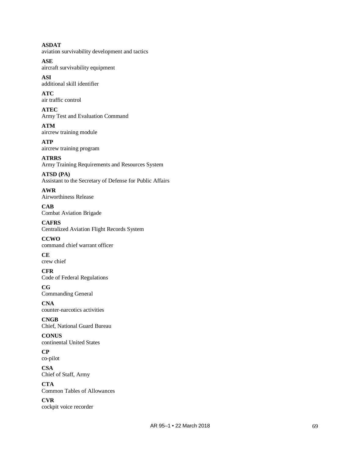**ASDAT** aviation survivability development and tactics

**ASE** aircraft survivability equipment

**ASI** additional skill identifier

**ATC** air traffic control

**ATEC** Army Test and Evaluation Command

**ATM** aircrew training module

**ATP** aircrew training program

**ATRRS** Army Training Requirements and Resources System

**ATSD (PA)** Assistant to the Secretary of Defense for Public Affairs

**AWR** Airworthiness Release

**CAB** Combat Aviation Brigade

**CAFRS** Centralized Aviation Flight Records System

**CCWO** command chief warrant officer

**CE** crew chief

**CFR** Code of Federal Regulations

**CG** Commanding General

**CNA** counter-narcotics activities

**CNGB** Chief, National Guard Bureau

**CONUS** continental United States

**CP** co-pilot

**CSA** Chief of Staff, Army

**CTA** Common Tables of Allowances

**CVR** cockpit voice recorder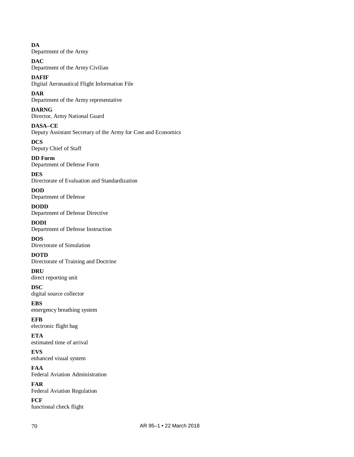**DA** Department of the Army

**DAC** Department of the Army Civilian

**DAFIF** Digital Aeronautical Flight Information File

**DAR** Department of the Army representative

**DARNG** Director, Army National Guard

**DASA–CE** Deputy Assistant Secretary of the Army for Cost and Economics **DCS**

Deputy Chief of Staff

**DD Form** Department of Defense Form

**DES** Directorate of Evaluation and Standardization

**DOD** Department of Defense

**DODD** Department of Defense Directive

**DODI** Department of Defense Instruction

**DOS** Directorate of Simulation

**DOTD** Directorate of Training and Doctrine

**DRU** direct reporting unit

**DSC** digital source collector

**EBS** emergency breathing system

**EFB** electronic flight bag

**ETA** estimated time of arrival

**EVS** enhanced visual system

**FAA** Federal Aviation Administration

**FAR** Federal Aviation Regulation

**FCF** functional check flight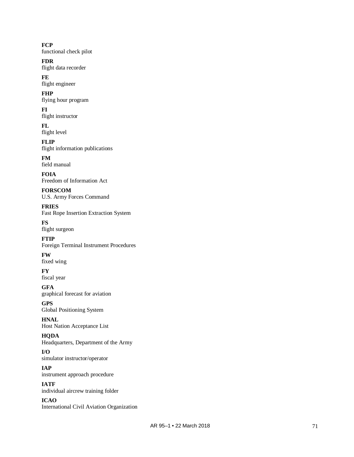### **FCP**

functional check pilot

### **FDR**

flight data recorder

# **FE**

flight engineer

### **FHP**

flying hour program

## **FI**

flight instructor

### **FL** flight level

**FLIP**

# flight information publications

**FM** field manual

### **FOIA** Freedom of Information Act

**FORSCOM** U.S. Army Forces Command

# **FRIES**

Fast Rope Insertion Extraction System

# **FS**

flight surgeon

# **FTIP**

Foreign Terminal Instrument Procedures

# **FW**

fixed wing

### **FY** fiscal year

**GFA**

# graphical forecast for aviation

**GPS** Global Positioning System

### **HNAL** Host Nation Acceptance List

### **HQDA**

Headquarters, Department of the Army

### **I/O** simulator instructor/operator

**IAP** instrument approach procedure

### **IATF** individual aircrew training folder

**ICAO** International Civil Aviation Organization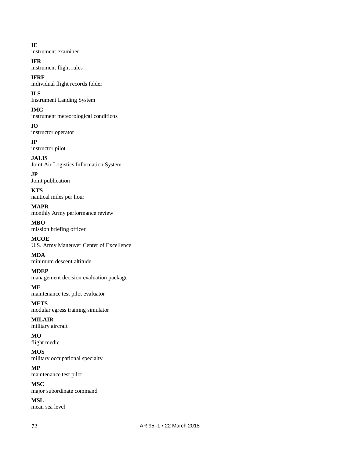### **IE**

instrument examiner

### **IFR**

instrument flight rules

# **IFRF**

individual flight records folder

# **ILS**

Instrument Landing System

# **IMC**

instrument meteorological conditions

### **IO**

instructor operator

# **IP**

instructor pilot

# **JALIS**

Joint Air Logistics Information System

# **JP**

Joint publication

### **KTS** nautical miles per hour

**MAPR** monthly Army performance review

# **MBO**

mission briefing officer

### **MCOE** U.S. Army Maneuver Center of Excellence

**MDA** minimum descent altitude

# **MDEP**

management decision evaluation package

### **ME** maintenance test pilot evaluator

**METS** modular egress training simulator

### **MILAIR** military aircraft

**MO** flight medic

### **MOS** military occupational specialty

**MP** maintenance test pilot

### **MSC** major subordinate command

**MSL** mean sea level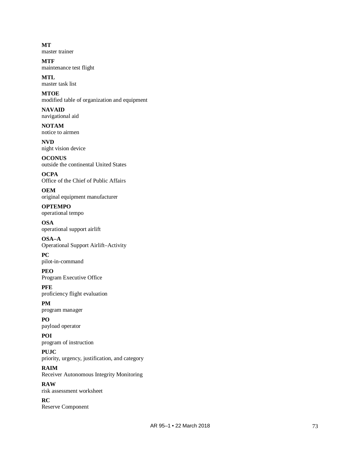**MT** master trainer

**MTF** maintenance test flight

**MTL** master task list

**MTOE** modified table of organization and equipment

**NAVAID** navigational aid

**NOTAM** notice to airmen

**NVD** night vision device

**OCONUS** outside the continental United States

**OCPA** Office of the Chief of Public Affairs

**OEM** original equipment manufacturer

**OPTEMPO** operational tempo

**OSA** operational support airlift

**OSA–A** Operational Support Airlift–Activity

**PC** pilot-in-command

**PEO** Program Executive Office

**PFE** proficiency flight evaluation

**PM** program manager

**PO** payload operator

**POI** program of instruction **PUJC**

priority, urgency, justification, and category **RAIM** Receiver Autonomous Integrity Monitoring

**RAW** risk assessment worksheet

**RC** Reserve Component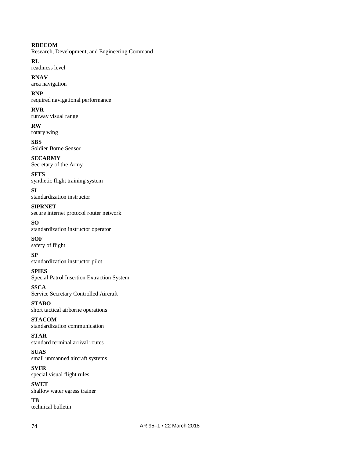### **RDECOM**

Research, Development, and Engineering Command

**RL**

readiness level

**RNAV** area navigation

### **RNP**

required navigational performance

### **RVR**

runway visual range

### **RW**

rotary wing

**SBS** Soldier Borne Sensor

### **SECARMY** Secretary of the Army

**SFTS** synthetic flight training system

### **SI** standardization instructor

**SIPRNET** secure internet protocol router network

### **SO**

standardization instructor operator

#### **SOF** safety of flight

**SP** standardization instructor pilot

### **SPIES**

Special Patrol Insertion Extraction System

### **SSCA** Service Secretary Controlled Aircraft

**STABO** short tactical airborne operations

### **STACOM** standardization communication

### **STAR** standard terminal arrival routes

**SUAS** small unmanned aircraft systems

### **SVFR** special visual flight rules

**SWET** shallow water egress trainer

**TB** technical bulletin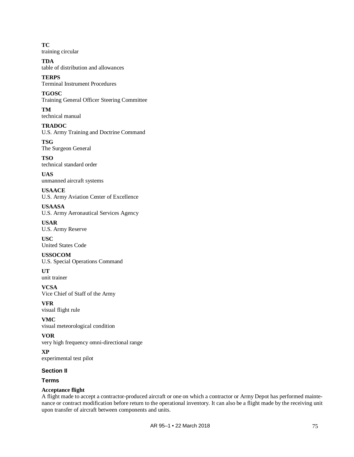**TC** training circular

**TDA** table of distribution and allowances

**TERPS** Terminal Instrument Procedures

**TGOSC** Training General Officer Steering Committee

**TM** technical manual

**TRADOC** U.S. Army Training and Doctrine Command

**TSG** The Surgeon General

**TSO** technical standard order

**UAS** unmanned aircraft systems

**USAACE** U.S. Army Aviation Center of Excellence

**USAASA** U.S. Army Aeronautical Services Agency

**USAR** U.S. Army Reserve

**USC** United States Code

**USSOCOM** U.S. Special Operations Command

**UT** unit trainer

**VCSA** Vice Chief of Staff of the Army

**VFR** visual flight rule

**VMC** visual meteorological condition

**VOR** very high frequency omni-directional range

**XP** experimental test pilot

### **Section II**

**Terms**

### **Acceptance flight**

A flight made to accept a contractor-produced aircraft or one on which a contractor or Army Depot has performed maintenance or contract modification before return to the operational inventory. It can also be a flight made by the receiving unit upon transfer of aircraft between components and units.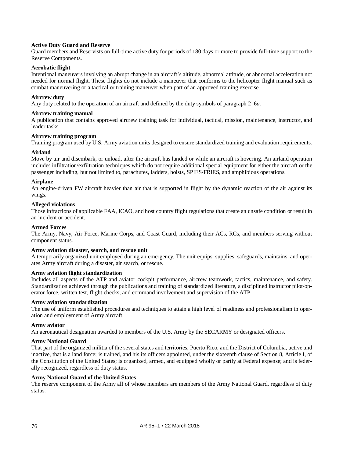### **Active Duty Guard and Reserve**

Guard members and Reservists on full-time active duty for periods of 180 days or more to provide full-time support to the Reserve Components.

### **Aerobatic flight**

Intentional maneuvers involving an abrupt change in an aircraft's altitude, abnormal attitude, or abnormal acceleration not needed for normal flight. These flights do not include a maneuver that conforms to the helicopter flight manual such as combat maneuvering or a tactical or training maneuver when part of an approved training exercise.

### **Aircrew duty**

Any duty related to the operation of an aircraft and defined by the duty symbols o[f paragraph 2–6](#page-14-0)*a*.

### **Aircrew training manual**

A publication that contains approved aircrew training task for individual, tactical, mission, maintenance, instructor, and leader tasks.

### **Aircrew training program**

Training program used by U.S. Army aviation units designed to ensure standardized training and evaluation requirements.

### **Airland**

Move by air and disembark, or unload, after the aircraft has landed or while an aircraft is hovering. An airland operation includes infiltration/exfiltration techniques which do not require additional special equipment for either the aircraft or the passenger including, but not limited to, parachutes, ladders, hoists, SPIES/FRIES, and amphibious operations.

### **Airplane**

An engine-driven FW aircraft heavier than air that is supported in flight by the dynamic reaction of the air against its wings.

### **Alleged violations**

Those infractions of applicable FAA, ICAO, and host country flight regulations that create an unsafe condition or result in an incident or accident.

### **Armed Forces**

The Army, Navy, Air Force, Marine Corps, and Coast Guard, including their ACs, RCs, and members serving without component status.

#### **Army aviation disaster, search, and rescue unit**

A temporarily organized unit employed during an emergency. The unit equips, supplies, safeguards, maintains, and operates Army aircraft during a disaster, air search, or rescue.

### **Army aviation flight standardization**

Includes all aspects of the ATP and aviator cockpit performance, aircrew teamwork, tactics, maintenance, and safety. Standardization achieved through the publications and training of standardized literature, a disciplined instructor pilot/operator force, written test, flight checks, and command involvement and supervision of the ATP.

#### **Army aviation standardization**

The use of uniform established procedures and techniques to attain a high level of readiness and professionalism in operation and employment of Army aircraft.

#### **Army aviator**

An aeronautical designation awarded to members of the U.S. Army by the SECARMY or designated officers.

### **Army National Guard**

That part of the organized militia of the several states and territories, Puerto Rico, and the District of Columbia, active and inactive, that is a land force; is trained, and his its officers appointed, under the sixteenth clause of Section 8, Article I, of the Constitution of the United States; is organized, armed, and equipped wholly or partly at Federal expense; and is federally recognized, regardless of duty status.

### **Army National Guard of the United States**

The reserve component of the Army all of whose members are members of the Army National Guard, regardless of duty status.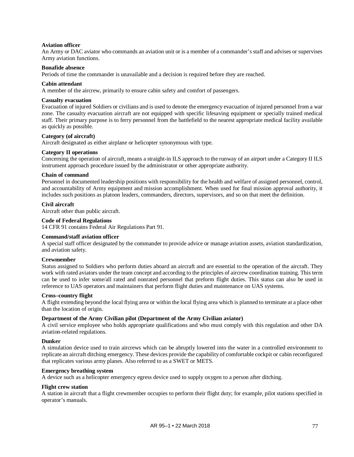### **Aviation officer**

An Army or DAC aviator who commands an aviation unit or is a member of a commander's staff and advises or supervises Army aviation functions.

#### **Bonafide absence**

Periods of time the commander is unavailable and a decision is required before they are reached.

#### **Cabin attendant**

A member of the aircrew, primarily to ensure cabin safety and comfort of passengers.

### **Casualty evacuation**

Evacuation of injured Soldiers or civilians and is used to denote the emergency evacuation of injured personnel from a war zone. The casualty evacuation aircraft are not equipped with specific lifesaving equipment or specially trained medical staff. Their primary purpose is to ferry personnel from the battlefield to the nearest appropriate medical facility available as quickly as possible.

### **Category (of aircraft)**

Aircraft designated as either airplane or helicopter synonymous with type.

### **Category II operations**

Concerning the operation of aircraft, means a straight-in ILS approach to the runway of an airport under a Category II ILS instrument approach procedure issued by the administrator or other appropriate authority.

#### **Chain of command**

Personnel in documented leadership positions with responsibility for the health and welfare of assigned personnel, control, and accountability of Army equipment and mission accomplishment. When used for final mission approval authority, it includes such positions as platoon leaders, commanders, directors, supervisors, and so on that meet the definition.

### **Civil aircraft**

Aircraft other than public aircraft.

#### **Code of Federal Regulations**

14 CFR 91 contains Federal Air Regulations Part 91.

#### **Command/staff aviation officer**

A special staff officer designated by the commander to provide advice or manage aviation assets, aviation standardization, and aviation safety.

### **Crewmember**

Status assigned to Soldiers who perform duties aboard an aircraft and are essential to the operation of the aircraft. They work with rated aviators under the team concept and according to the principles of aircrew coordination training. This term can be used to infer some/all rated and nonrated personnel that preform flight duties. This status can also be used in reference to UAS operators and maintainers that perform flight duties and maintenance on UAS systems.

#### **Cross–country flight**

A flight extending beyond the local flying area or within the local flying area which is planned to terminate at a place other than the location of origin.

#### **Department of the Army Civilian pilot (Department of the Army Civilian aviator)**

A civil service employee who holds appropriate qualifications and who must comply with this regulation and other DA aviation-related regulations.

#### **Dunker**

A simulation device used to train aircrews which can be abruptly lowered into the water in a controlled environment to replicate an aircraft ditching emergency. These devices provide the capability of comfortable cockpit or cabin reconfigured that replicates various army planes. Also referred to as a SWET or METS.

### **Emergency breathing system**

A device such as a helicopter emergency egress device used to supply oxygen to a person after ditching.

#### **Flight crew station**

A station in aircraft that a flight crewmember occupies to perform their flight duty; for example, pilot stations specified in operator's manuals.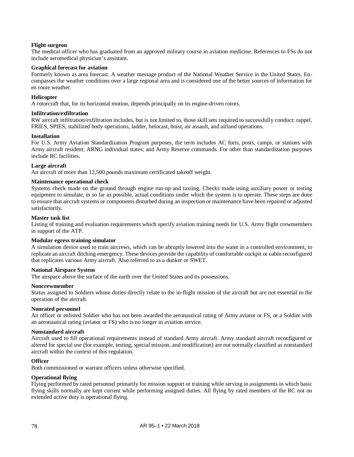### **Flight surgeon**

The medical officer who has graduated from an approved military course in aviation medicine. References to FSs do not include aeromedical physician's assistant.

#### **Graphical forecast for aviation**

Formerly known as area forecast. A weather message product of the National Weather Service in the United States. Encompasses the weather conditions over a large regional area and is considered one of the better sources of information for en route weather.

#### **Helicopter**

A rotorcraft that, for its horizontal motion, depends principally on its engine-driven rotors.

#### **Infiltration/exfiltration**

RW aircraft infiltration/exfiltration includes, but is not limited to, those skill sets required to successfully conduct: rappel, FRIES, SPIES, stabilized body operations, ladder, helocast, hoist, air assault, and airland operations.

#### **Installation**

For U.S. Army Aviation Standardization Program purposes, the term includes AC forts, posts, camps, or stations with Army aircraft resident; ARNG individual states; and Army Reserve commands. For other than standardization purposes include RC facilities.

#### **Large aircraft**

An aircraft of more than 12,500 pounds maximum certificated takeoff weight.

#### **Maintenance operational check**

Systems check made on the ground through engine run-up and taxiing. Checks made using auxiliary power or testing equipment to simulate, in so far as possible, actual conditions under which the system is to operate. These steps are done to ensure that aircraft systems or components disturbed during an inspection or maintenance have been repaired or adjusted satisfactorily.

#### **Master task list**

Listing of training and evaluation requirements which specify aviation training needs for U.S. Army flight crewmembers in support of the ATP.

#### **Modular egress training simulator**

A simulation device used to train aircrews, which can be abruptly lowered into the water in a controlled environment, to replicate an aircraft ditching emergency. These devices provide the capability of comfortable cockpit or cabin reconfigured that replicates various Army aircraft. Also referred to as a dunker or SWET.

#### **National Airspace System**

The airspace above the surface of the earth over the United States and its possessions.

#### **Noncrewmember**

Status assigned to Soldiers whose duties directly relate to the in-flight mission of the aircraft but are not essential to the operation of the aircraft.

#### **Nonrated personnel**

An officer or enlisted Soldier who has not been awarded the aeronautical rating of Army aviator or FS, or a Soldier with an aeronautical rating (aviator or FS) who is no longer in aviation service.

#### **Nonstandard aircraft**

Aircraft used to fill operational requirements instead of standard Army aircraft. Army standard aircraft reconfigured or altered for special use (for example, testing, special mission, and modification) are not normally classified as nonstandard aircraft within the context of this regulation.

#### **Officer**

Both commissioned or warrant officers unless otherwise specified.

### **Operational flying**

Flying performed by rated personnel primarily for mission support or training while serving in assignments in which basic flying skills normally are kept current while performing assigned duties. All flying by rated members of the RC not on extended active duty is operational flying.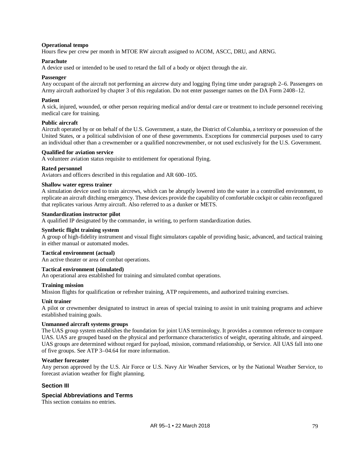### **Operational tempo**

Hours flew per crew per month in MTOE RW aircraft assigned to ACOM, ASCC, DRU, and ARNG.

### **Parachute**

A device used or intended to be used to retard the fall of a body or object through the air.

### **Passenger**

Any occupant of the aircraft not performing an aircrew duty and logging flying time under [paragraph 2–6.](#page-14-1) Passengers on Army aircraft authorized b[y chapter 3](#page-21-0) of this regulation. Do not enter passenger names on the DA Form 2408–12.

### **Patient**

A sick, injured, wounded, or other person requiring medical and/or dental care or treatment to include personnel receiving medical care for training.

### **Public aircraft**

Aircraft operated by or on behalf of the U.S. Government, a state, the District of Columbia, a territory or possession of the United States, or a political subdivision of one of these governments. Exceptions for commercial purposes used to carry an individual other than a crewmember or a qualified noncrewmember, or not used exclusively for the U.S. Government.

### **Qualified for aviation service**

A volunteer aviation status requisite to entitlement for operational flying.

#### **Rated personnel**

Aviators and officers described in this regulation and AR 600–105.

### **Shallow water egress trainer**

A simulation device used to train aircrews, which can be abruptly lowered into the water in a controlled environment, to replicate an aircraft ditching emergency. These devices provide the capability of comfortable cockpit or cabin reconfigured that replicates various Army aircraft. Also referred to as a dunker or METS.

### **Standardization instructor pilot**

A qualified IP designated by the commander, in writing, to perform standardization duties.

#### **Synthetic flight training system**

A group of high-fidelity instrument and visual flight simulators capable of providing basic, advanced, and tactical training in either manual or automated modes.

#### **Tactical environment (actual)**

An active theater or area of combat operations.

### **Tactical environment (simulated)**

An operational area established for training and simulated combat operations.

### **Training mission**

Mission flights for qualification or refresher training, ATP requirements, and authorized training exercises.

#### **Unit trainer**

A pilot or crewmember designated to instruct in areas of special training to assist in unit training programs and achieve established training goals.

#### **Unmanned aircraft systems groups**

The UAS group system establishes the foundation for joint UAS terminology. It provides a common reference to compare UAS. UAS are grouped based on the physical and performance characteristics of weight, operating altitude, and airspeed. UAS groups are determined without regard for payload, mission, command relationship, or Service. All UAS fall into one of five groups. See ATP 3–04.64 for more information.

#### **Weather forecaster**

Any person approved by the U.S. Air Force or U.S. Navy Air Weather Services, or by the National Weather Service, to forecast aviation weather for flight planning.

### **Section III**

### **Special Abbreviations and Terms**

This section contains no entries.